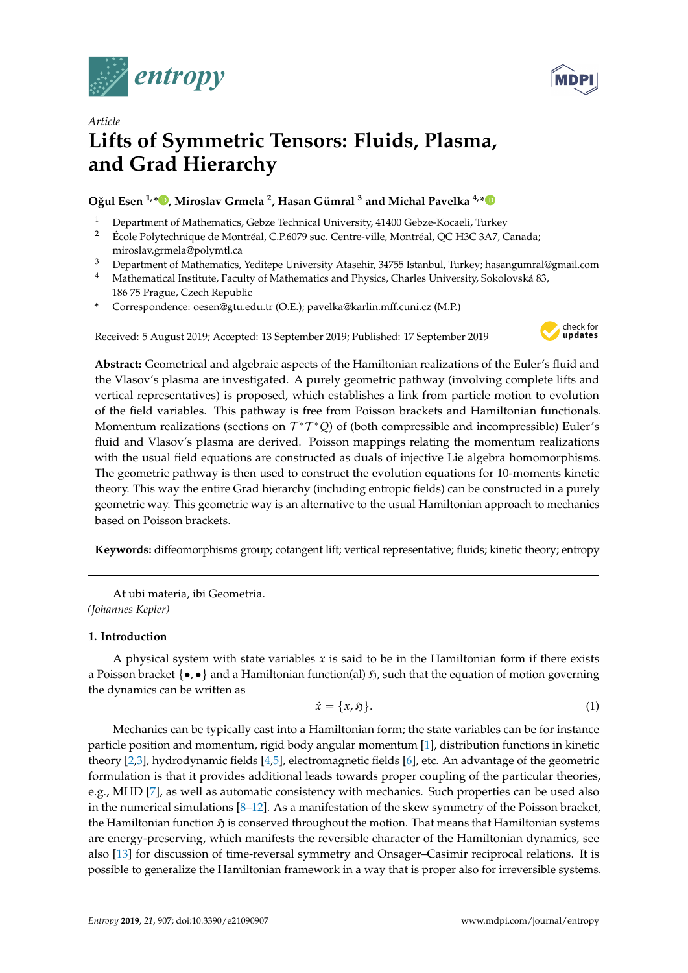



# *Article* **Lifts of Symmetric Tensors: Fluids, Plasma, and Grad Hierarchy**

# **O ˘gul Esen 1,\* [,](https://orcid.org/0000-0002-6766-0287) Miroslav Grmela <sup>2</sup> , Hasan Gümral <sup>3</sup> and Michal Pavelka 4,[\\*](https://orcid.org/0000-0003-0605-6737)**

- <sup>1</sup> Department of Mathematics, Gebze Technical University, 41400 Gebze-Kocaeli, Turkey<br><sup>2</sup> Ecolo Polytechnique de Montréal C P6079 sus Contre ville Montréal OC H3C 3A7 C
- <sup>2</sup> École Polytechnique de Montréal, C.P.6079 suc. Centre-ville, Montréal, QC H3C 3A7, Canada; miroslav.grmela@polymtl.ca
- <sup>3</sup> Department of Mathematics, Yeditepe University Atasehir, 34755 Istanbul, Turkey; hasangumral@gmail.com
- <sup>4</sup> Mathematical Institute, Faculty of Mathematics and Physics, Charles University, Sokolovská 83, 186 75 Prague, Czech Republic
- **\*** Correspondence: oesen@gtu.edu.tr (O.E.); pavelka@karlin.mff.cuni.cz (M.P.)

Received: 5 August 2019; Accepted: 13 September 2019; Published: 17 September 2019



**Abstract:** Geometrical and algebraic aspects of the Hamiltonian realizations of the Euler's fluid and the Vlasov's plasma are investigated. A purely geometric pathway (involving complete lifts and vertical representatives) is proposed, which establishes a link from particle motion to evolution of the field variables. This pathway is free from Poisson brackets and Hamiltonian functionals. Momentum realizations (sections on  $\mathcal{T}^*\mathcal{T}^*Q$ ) of (both compressible and incompressible) Euler's fluid and Vlasov's plasma are derived. Poisson mappings relating the momentum realizations with the usual field equations are constructed as duals of injective Lie algebra homomorphisms. The geometric pathway is then used to construct the evolution equations for 10-moments kinetic theory. This way the entire Grad hierarchy (including entropic fields) can be constructed in a purely geometric way. This geometric way is an alternative to the usual Hamiltonian approach to mechanics based on Poisson brackets.

**Keywords:** diffeomorphisms group; cotangent lift; vertical representative; fluids; kinetic theory; entropy

At ubi materia, ibi Geometria. *(Johannes Kepler)*

# **1. Introduction**

A physical system with state variables *x* is said to be in the Hamiltonian form if there exists a Poisson bracket  $\{\bullet,\bullet\}$  and a Hamiltonian function(al)  $\mathfrak{H}$ , such that the equation of motion governing the dynamics can be written as

$$
\dot{x} = \{x, \mathfrak{H}\}.\tag{1}
$$

Mechanics can be typically cast into a Hamiltonian form; the state variables can be for instance particle position and momentum, rigid body angular momentum [\[1\]](#page-29-0), distribution functions in kinetic theory [\[2](#page-29-1)[,3\]](#page-29-2), hydrodynamic fields [\[4,](#page-29-3)[5\]](#page-29-4), electromagnetic fields [\[6\]](#page-29-5), etc. An advantage of the geometric formulation is that it provides additional leads towards proper coupling of the particular theories, e.g., MHD [\[7\]](#page-29-6), as well as automatic consistency with mechanics. Such properties can be used also in the numerical simulations  $[8-12]$  $[8-12]$ . As a manifestation of the skew symmetry of the Poisson bracket, the Hamiltonian function  $\mathfrak H$  is conserved throughout the motion. That means that Hamiltonian systems are energy-preserving, which manifests the reversible character of the Hamiltonian dynamics, see also [\[13\]](#page-30-1) for discussion of time-reversal symmetry and Onsager–Casimir reciprocal relations. It is possible to generalize the Hamiltonian framework in a way that is proper also for irreversible systems.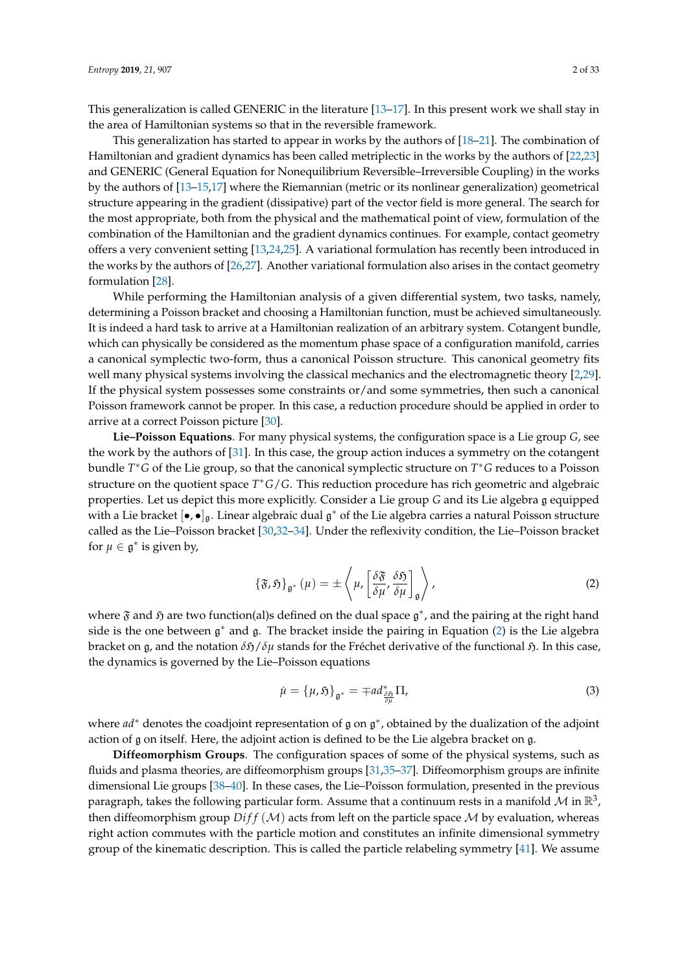This generalization is called GENERIC in the literature [\[13–](#page-30-1)[17\]](#page-30-2). In this present work we shall stay in the area of Hamiltonian systems so that in the reversible framework.

This generalization has started to appear in works by the authors of [\[18–](#page-30-3)[21\]](#page-30-4). The combination of Hamiltonian and gradient dynamics has been called metriplectic in the works by the authors of [\[22,](#page-30-5)[23\]](#page-30-6) and GENERIC (General Equation for Nonequilibrium Reversible–Irreversible Coupling) in the works by the authors of [\[13–](#page-30-1)[15,](#page-30-7)[17\]](#page-30-2) where the Riemannian (metric or its nonlinear generalization) geometrical structure appearing in the gradient (dissipative) part of the vector field is more general. The search for the most appropriate, both from the physical and the mathematical point of view, formulation of the combination of the Hamiltonian and the gradient dynamics continues. For example, contact geometry offers a very convenient setting [\[13,](#page-30-1)[24](#page-30-8)[,25\]](#page-30-9). A variational formulation has recently been introduced in the works by the authors of [\[26,](#page-30-10)[27\]](#page-30-11). Another variational formulation also arises in the contact geometry formulation [\[28\]](#page-30-12).

While performing the Hamiltonian analysis of a given differential system, two tasks, namely, determining a Poisson bracket and choosing a Hamiltonian function, must be achieved simultaneously. It is indeed a hard task to arrive at a Hamiltonian realization of an arbitrary system. Cotangent bundle, which can physically be considered as the momentum phase space of a configuration manifold, carries a canonical symplectic two-form, thus a canonical Poisson structure. This canonical geometry fits well many physical systems involving the classical mechanics and the electromagnetic theory [\[2,](#page-29-1)[29\]](#page-30-13). If the physical system possesses some constraints or/and some symmetries, then such a canonical Poisson framework cannot be proper. In this case, a reduction procedure should be applied in order to arrive at a correct Poisson picture [\[30\]](#page-30-14).

**Lie–Poisson Equations**. For many physical systems, the configuration space is a Lie group *G*, see the work by the authors of [\[31\]](#page-30-15). In this case, the group action induces a symmetry on the cotangent bundle *T* <sup>∗</sup>*G* of the Lie group, so that the canonical symplectic structure on *T* <sup>∗</sup>*G* reduces to a Poisson structure on the quotient space *T* <sup>∗</sup>*G*/*G*. This reduction procedure has rich geometric and algebraic properties. Let us depict this more explicitly. Consider a Lie group *G* and its Lie algebra g equipped with a Lie bracket  $[\bullet,\bullet]_{\mathfrak{g}}$ . Linear algebraic dual  $\mathfrak{g}^*$  of the Lie algebra carries a natural Poisson structure called as the Lie–Poisson bracket [\[30,](#page-30-14)[32](#page-30-16)[–34\]](#page-30-17). Under the reflexivity condition, the Lie–Poisson bracket for  $\mu \in \mathfrak{g}^*$  is given by,

<span id="page-1-0"></span>
$$
\left\{\mathfrak{F},\mathfrak{H}\right\}_{\mathfrak{g}^*}\left(\mu\right)=\pm\left\langle\mu,\left[\frac{\delta\mathfrak{F}}{\delta\mu},\frac{\delta\mathfrak{H}}{\delta\mu}\right]_{\mathfrak{g}}\right\rangle,\tag{2}
$$

where  $\mathfrak F$  and  $\mathfrak H$  are two function(al)s defined on the dual space  $\mathfrak g^*$ , and the pairing at the right hand side is the one between  $g^*$  and g. The bracket inside the pairing in Equation [\(2\)](#page-1-0) is the Lie algebra bracket on g, and the notation *δ*H/*δµ* stands for the Fréchet derivative of the functional H. In this case, the dynamics is governed by the Lie–Poisson equations

$$
\dot{\mu} = {\mu, \mathfrak{H}}_{\mathfrak{g}^*} = \mp ad_{\frac{\delta \mathfrak{H}}{\partial \mu}}^* \Pi,\tag{3}
$$

where *ad*<sup>∗</sup> denotes the coadjoint representation of  $\mathfrak g$  on  $\mathfrak g^*$ , obtained by the dualization of the adjoint action of g on itself. Here, the adjoint action is defined to be the Lie algebra bracket on g.

**Diffeomorphism Groups**. The configuration spaces of some of the physical systems, such as fluids and plasma theories, are diffeomorphism groups [\[31,](#page-30-15)[35–](#page-30-18)[37\]](#page-31-0). Diffeomorphism groups are infinite dimensional Lie groups [\[38](#page-31-1)[–40\]](#page-31-2). In these cases, the Lie–Poisson formulation, presented in the previous paragraph, takes the following particular form. Assume that a continuum rests in a manifold  $\mathcal M$  in  $\mathbb R^3$ , then diffeomorphism group  $Diff(M)$  acts from left on the particle space  $M$  by evaluation, whereas right action commutes with the particle motion and constitutes an infinite dimensional symmetry group of the kinematic description. This is called the particle relabeling symmetry [\[41\]](#page-31-3). We assume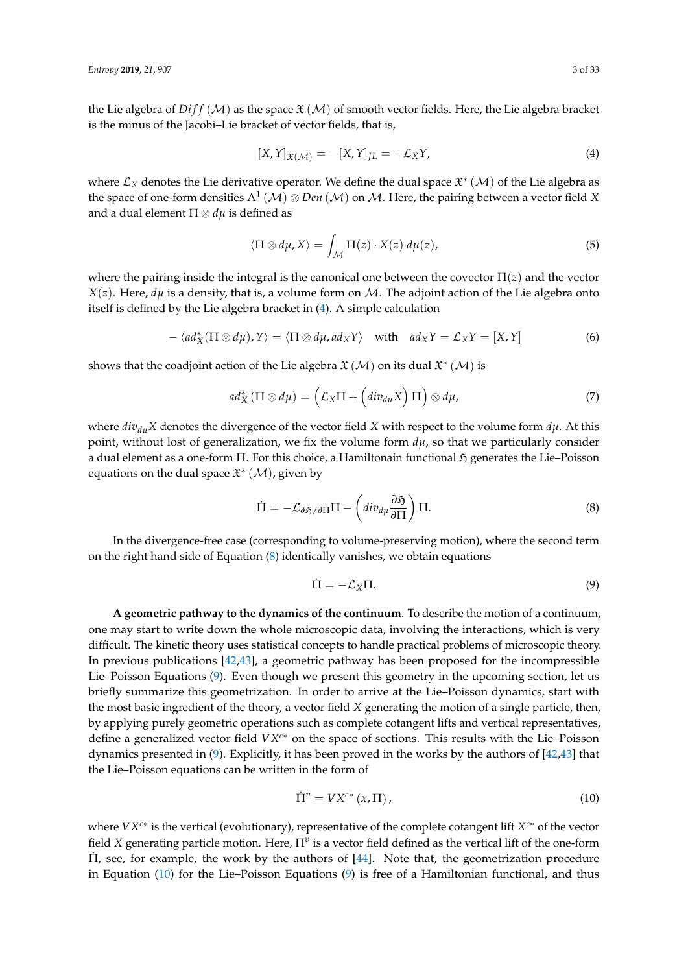the Lie algebra of  $Diff(M)$  as the space  $\mathfrak{X}(M)$  of smooth vector fields. Here, the Lie algebra bracket is the minus of the Jacobi–Lie bracket of vector fields, that is,

<span id="page-2-0"></span>
$$
[X,Y]_{\mathfrak{X}(\mathcal{M})} = -[X,Y]_{JL} = -\mathcal{L}_X Y,\tag{4}
$$

where  $\mathcal{L}_X$  denotes the Lie derivative operator. We define the dual space  $\mathfrak{X}^*(\mathcal{M})$  of the Lie algebra as the space of one-form densities  $\Lambda^1\left(\mathcal{M}\right)\otimes Den\left(\mathcal{M}\right)$  on  $\mathcal{M}$ . Here, the pairing between a vector field X and a dual element  $\Pi \otimes d\mu$  is defined as

$$
\langle \Pi \otimes d\mu, X \rangle = \int_{\mathcal{M}} \Pi(z) \cdot X(z) \, d\mu(z), \tag{5}
$$

where the pairing inside the integral is the canonical one between the covector  $\Pi(z)$  and the vector *X*(*z*). Here, *d* $\mu$  is a density, that is, a volume form on M. The adjoint action of the Lie algebra onto itself is defined by the Lie algebra bracket in [\(4\)](#page-2-0). A simple calculation

$$
- \langle ad_X^*(\Pi \otimes d\mu), Y \rangle = \langle \Pi \otimes d\mu, ad_X Y \rangle \quad \text{with} \quad ad_X Y = \mathcal{L}_X Y = [X, Y]
$$
 (6)

shows that the coadjoint action of the Lie algebra  $\mathfrak{X}\left( \mathcal{M}\right)$  on its dual  $\mathfrak{X}^{*}\left( \mathcal{M}\right)$  is

$$
ad_X^*\left(\Pi\otimes d\mu\right)=\left(\mathcal{L}_X\Pi+\left(div_{d\mu}X\right)\Pi\right)\otimes d\mu,\tag{7}
$$

where  $div_{du}X$  denotes the divergence of the vector field *X* with respect to the volume form  $d\mu$ . At this point, without lost of generalization, we fix the volume form  $d\mu$ , so that we particularly consider a dual element as a one-form Π. For this choice, a Hamiltonain functional ή generates the Lie–Poisson equations on the dual space  $\mathfrak{X}^*(\mathcal{M})$ , given by

<span id="page-2-1"></span>
$$
\dot{\Pi} = -\mathcal{L}_{\partial \mathfrak{H}/\partial \Pi} \Pi - \left( \text{div}_{d\mu} \frac{\partial \mathfrak{H}}{\partial \Pi} \right) \Pi. \tag{8}
$$

In the divergence-free case (corresponding to volume-preserving motion), where the second term on the right hand side of Equation  $(8)$  identically vanishes, we obtain equations

<span id="page-2-2"></span>
$$
\dot{\Pi} = -\mathcal{L}_X \Pi. \tag{9}
$$

**A geometric pathway to the dynamics of the continuum**. To describe the motion of a continuum, one may start to write down the whole microscopic data, involving the interactions, which is very difficult. The kinetic theory uses statistical concepts to handle practical problems of microscopic theory. In previous publications [\[42](#page-31-4)[,43\]](#page-31-5), a geometric pathway has been proposed for the incompressible Lie–Poisson Equations [\(9\)](#page-2-2). Even though we present this geometry in the upcoming section, let us briefly summarize this geometrization. In order to arrive at the Lie–Poisson dynamics, start with the most basic ingredient of the theory, a vector field *X* generating the motion of a single particle, then, by applying purely geometric operations such as complete cotangent lifts and vertical representatives, define a generalized vector field *VXc*<sup>∗</sup> on the space of sections. This results with the Lie–Poisson dynamics presented in  $(9)$ . Explicitly, it has been proved in the works by the authors of  $[42,43]$  $[42,43]$  that the Lie–Poisson equations can be written in the form of

<span id="page-2-3"></span>
$$
\dot{\Pi}^v = V X^{c*} \left( x, \Pi \right), \tag{10}
$$

where *VXc*<sup>∗</sup> is the vertical (evolutionary), representative of the complete cotangent lift *X <sup>c</sup>*<sup>∗</sup> of the vector field *X* generating particle motion. Here,  $\Pi^v$  is a vector field defined as the vertical lift of the one-form Π˙ , see, for example, the work by the authors of [\[44\]](#page-31-6). Note that, the geometrization procedure in Equation  $(10)$  for the Lie–Poisson Equations  $(9)$  is free of a Hamiltonian functional, and thus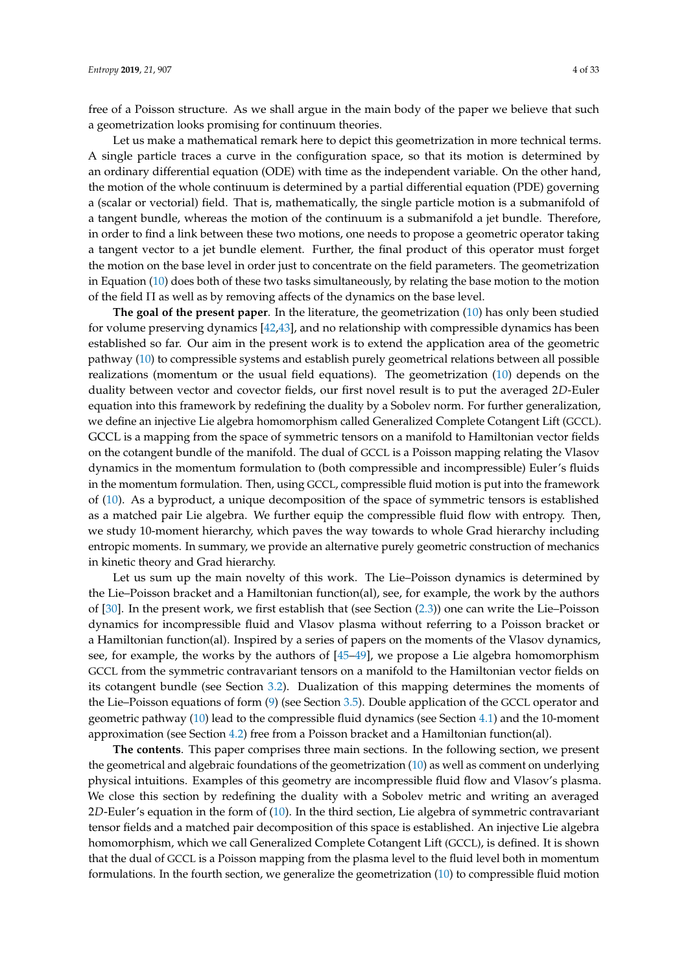free of a Poisson structure. As we shall argue in the main body of the paper we believe that such a geometrization looks promising for continuum theories.

Let us make a mathematical remark here to depict this geometrization in more technical terms. A single particle traces a curve in the configuration space, so that its motion is determined by an ordinary differential equation (ODE) with time as the independent variable. On the other hand, the motion of the whole continuum is determined by a partial differential equation (PDE) governing a (scalar or vectorial) field. That is, mathematically, the single particle motion is a submanifold of a tangent bundle, whereas the motion of the continuum is a submanifold a jet bundle. Therefore, in order to find a link between these two motions, one needs to propose a geometric operator taking a tangent vector to a jet bundle element. Further, the final product of this operator must forget the motion on the base level in order just to concentrate on the field parameters. The geometrization in Equation [\(10\)](#page-2-3) does both of these two tasks simultaneously, by relating the base motion to the motion of the field Π as well as by removing affects of the dynamics on the base level.

**The goal of the present paper**. In the literature, the geometrization [\(10\)](#page-2-3) has only been studied for volume preserving dynamics [\[42,](#page-31-4)[43\]](#page-31-5), and no relationship with compressible dynamics has been established so far. Our aim in the present work is to extend the application area of the geometric pathway [\(10\)](#page-2-3) to compressible systems and establish purely geometrical relations between all possible realizations (momentum or the usual field equations). The geometrization [\(10\)](#page-2-3) depends on the duality between vector and covector fields, our first novel result is to put the averaged 2*D*-Euler equation into this framework by redefining the duality by a Sobolev norm. For further generalization, we define an injective Lie algebra homomorphism called Generalized Complete Cotangent Lift (GCCL). GCCL is a mapping from the space of symmetric tensors on a manifold to Hamiltonian vector fields on the cotangent bundle of the manifold. The dual of GCCL is a Poisson mapping relating the Vlasov dynamics in the momentum formulation to (both compressible and incompressible) Euler's fluids in the momentum formulation. Then, using GCCL, compressible fluid motion is put into the framework of [\(10\)](#page-2-3). As a byproduct, a unique decomposition of the space of symmetric tensors is established as a matched pair Lie algebra. We further equip the compressible fluid flow with entropy. Then, we study 10-moment hierarchy, which paves the way towards to whole Grad hierarchy including entropic moments. In summary, we provide an alternative purely geometric construction of mechanics in kinetic theory and Grad hierarchy.

Let us sum up the main novelty of this work. The Lie–Poisson dynamics is determined by the Lie–Poisson bracket and a Hamiltonian function(al), see, for example, the work by the authors of [\[30\]](#page-30-14). In the present work, we first establish that (see Section [\(2.3\)](#page-7-0)) one can write the Lie–Poisson dynamics for incompressible fluid and Vlasov plasma without referring to a Poisson bracket or a Hamiltonian function(al). Inspired by a series of papers on the moments of the Vlasov dynamics, see, for example, the works by the authors of [\[45](#page-31-7)[–49\]](#page-31-8), we propose a Lie algebra homomorphism GCCL from the symmetric contravariant tensors on a manifold to the Hamiltonian vector fields on its cotangent bundle (see Section [3.2\)](#page-16-0). Dualization of this mapping determines the moments of the Lie–Poisson equations of form [\(9\)](#page-2-2) (see Section [3.5\)](#page-21-0). Double application of the GCCL operator and geometric pathway [\(10\)](#page-2-3) lead to the compressible fluid dynamics (see Section [4.1\)](#page-23-0) and the 10-moment approximation (see Section [4.2\)](#page-25-0) free from a Poisson bracket and a Hamiltonian function(al).

**The contents**. This paper comprises three main sections. In the following section, we present the geometrical and algebraic foundations of the geometrization [\(10\)](#page-2-3) as well as comment on underlying physical intuitions. Examples of this geometry are incompressible fluid flow and Vlasov's plasma. We close this section by redefining the duality with a Sobolev metric and writing an averaged 2*D*-Euler's equation in the form of [\(10\)](#page-2-3). In the third section, Lie algebra of symmetric contravariant tensor fields and a matched pair decomposition of this space is established. An injective Lie algebra homomorphism, which we call Generalized Complete Cotangent Lift (GCCL), is defined. It is shown that the dual of GCCL is a Poisson mapping from the plasma level to the fluid level both in momentum formulations. In the fourth section, we generalize the geometrization [\(10\)](#page-2-3) to compressible fluid motion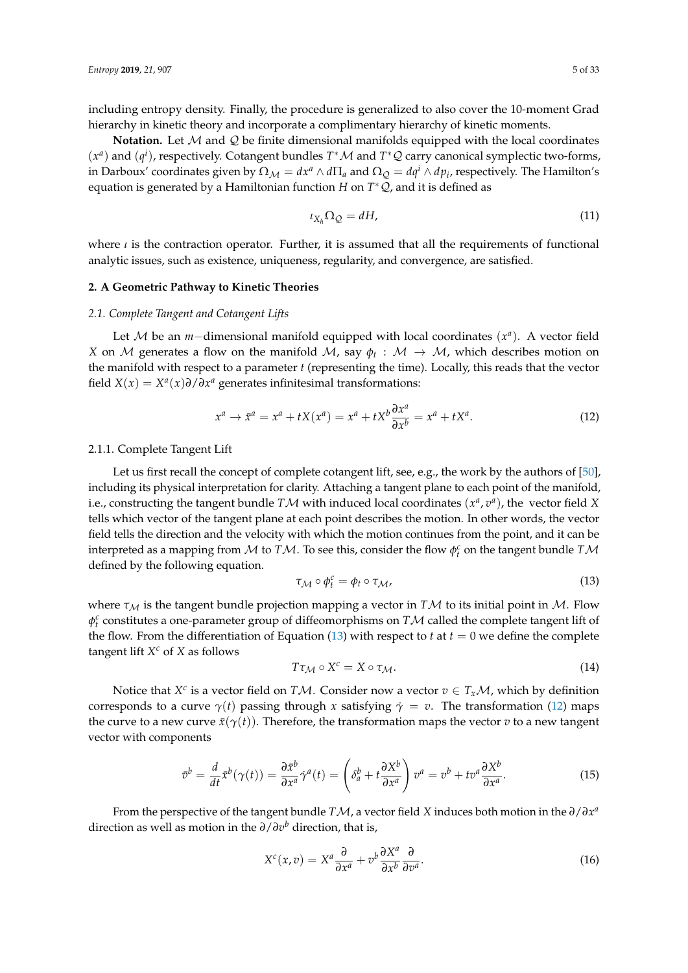including entropy density. Finally, the procedure is generalized to also cover the 10-moment Grad hierarchy in kinetic theory and incorporate a complimentary hierarchy of kinetic moments.

**Notation.** Let M and Q be finite dimensional manifolds equipped with the local coordinates  $(x^a)$  and  $(q^i)$ , respectively. Cotangent bundles  $T^*M$  and  $T^*\mathcal{Q}$  carry canonical symplectic two-forms, in Darboux' coordinates given by  $\Omega_M = dx^a \wedge d\Pi_a$  and  $\Omega_Q = dq^i \wedge dp_i$ , respectively. The Hamilton's equation is generated by a Hamiltonian function *H* on *T* <sup>∗</sup>Q, and it is defined as

$$
\iota_{X_h} \Omega_{\mathcal{Q}} = dH,\tag{11}
$$

where *ι* is the contraction operator. Further, it is assumed that all the requirements of functional analytic issues, such as existence, uniqueness, regularity, and convergence, are satisfied.

## <span id="page-4-2"></span>**2. A Geometric Pathway to Kinetic Theories**

#### *2.1. Complete Tangent and Cotangent Lifts*

Let *M* be an *m*−dimensional manifold equipped with local coordinates ( $x<sup>a</sup>$ ). A vector field *X* on  $M$  generates a flow on the manifold  $M$ , say  $\phi_t$  :  $M \rightarrow M$ , which describes motion on the manifold with respect to a parameter *t* (representing the time). Locally, this reads that the vector field *X*(*x*) = *X<sup>a</sup>*(*x*) $\partial/\partial x^a$  generates infinitesimal transformations:

<span id="page-4-1"></span>
$$
x^{a} \rightarrow \bar{x}^{a} = x^{a} + tX(x^{a}) = x^{a} + tX^{b} \frac{\partial x^{a}}{\partial x^{b}} = x^{a} + tX^{a}.
$$
 (12)

#### 2.1.1. Complete Tangent Lift

Let us first recall the concept of complete cotangent lift, see, e.g., the work by the authors of [\[50\]](#page-31-9), including its physical interpretation for clarity. Attaching a tangent plane to each point of the manifold, i.e., constructing the tangent bundle  $T\mathcal{M}$  with induced local coordinates  $(x^a, v^a)$ , the vector field X tells which vector of the tangent plane at each point describes the motion. In other words, the vector field tells the direction and the velocity with which the motion continues from the point, and it can be interpreted as a mapping from  $M$  to  $T M$ . To see this, consider the flow  $\phi_t^c$  on the tangent bundle  $T M$ defined by the following equation.

<span id="page-4-0"></span>
$$
\tau_{\mathcal{M}} \circ \phi_t^c = \phi_t \circ \tau_{\mathcal{M}},\tag{13}
$$

where  $\tau_M$  is the tangent bundle projection mapping a vector in *TM* to its initial point in *M*. Flow *φ c t* constitutes a one-parameter group of diffeomorphisms on *T*M called the complete tangent lift of the flow. From the differentiation of Equation [\(13\)](#page-4-0) with respect to  $t$  at  $t = 0$  we define the complete tangent lift *X <sup>c</sup>* of *X* as follows

$$
T\tau_{\mathcal{M}} \circ X^c = X \circ \tau_{\mathcal{M}}.\tag{14}
$$

Notice that  $X^c$  is a vector field on  $T\mathcal{M}$ . Consider now a vector  $v \in T_x\mathcal{M}$ , which by definition corresponds to a curve  $\gamma(t)$  passing through *x* satisfying  $\dot{\gamma} = v$ . The transformation [\(12\)](#page-4-1) maps the curve to a new curve  $\bar{x}(\gamma(t))$ . Therefore, the transformation maps the vector *v* to a new tangent vector with components

$$
\bar{v}^b = \frac{d}{dt}\bar{x}^b(\gamma(t)) = \frac{\partial \bar{x}^b}{\partial x^a}\dot{\gamma}^a(t) = \left(\delta_a^b + t\frac{\partial X^b}{\partial x^a}\right)v^a = v^b + tv^a\frac{\partial X^b}{\partial x^a}.
$$
\n(15)

From the perspective of the tangent bundle  $T\mathcal{M}$ , a vector field X induces both motion in the  $\partial/\partial x^a$ direction as well as motion in the *∂*/*∂v <sup>b</sup>* direction, that is,

$$
X^{c}(x,v) = X^{a} \frac{\partial}{\partial x^{a}} + v^{b} \frac{\partial X^{a}}{\partial x^{b}} \frac{\partial}{\partial v^{a}}.
$$
\n(16)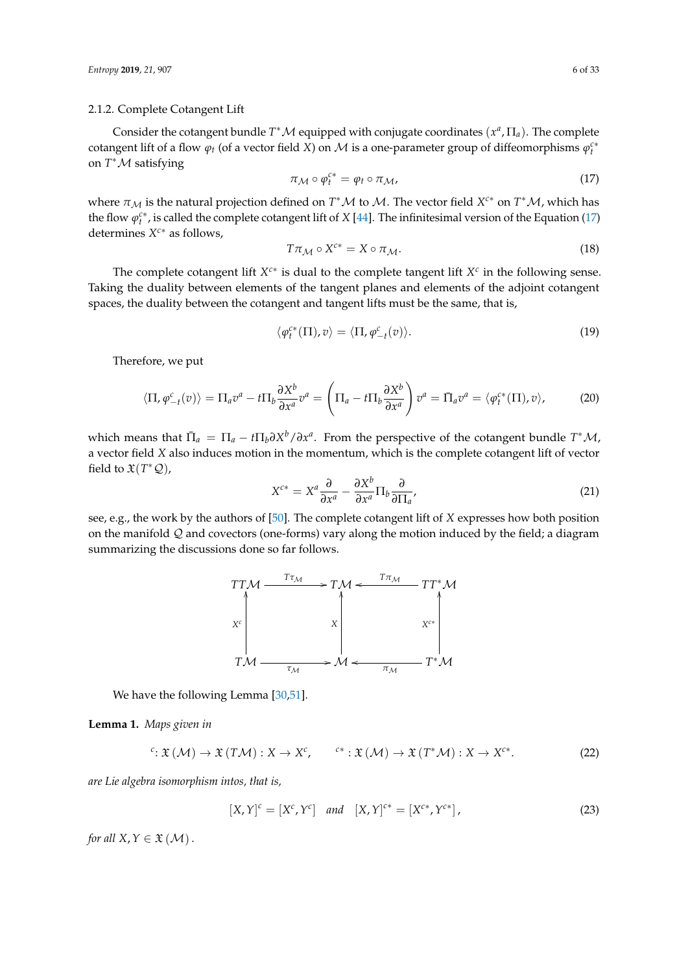#### 2.1.2. Complete Cotangent Lift

Consider the cotangent bundle  $T^*{\mathcal M}$  equipped with conjugate coordinates  $(x^a,\Pi_a)$ . The complete cotangent lift of a flow  $\varphi_t$  (of a vector field *X*) on *M* is a one-parameter group of diffeomorphisms  $\varphi_t^{c*}$ on *T* <sup>∗</sup>M satisfying

<span id="page-5-0"></span>
$$
\pi_{\mathcal{M}} \circ \varphi_t^{c*} = \varphi_t \circ \pi_{\mathcal{M}},\tag{17}
$$

where  $\pi_{\mathcal{M}}$  is the natural projection defined on  $T^*\mathcal{M}$  to  $\mathcal{M}$ . The vector field *X<sup>c\*</sup>* on  $T^*\mathcal{M}$ , which has the flow  $\varphi_t^{c*}$ , is called the complete cotangent lift of *X* [\[44\]](#page-31-6). The infinitesimal version of the Equation [\(17\)](#page-5-0) determines *X <sup>c</sup>*<sup>∗</sup> as follows,

$$
T\pi_{\mathcal{M}} \circ X^{c*} = X \circ \pi_{\mathcal{M}}.\tag{18}
$$

The complete cotangent lift  $X^{c*}$  is dual to the complete tangent lift  $X^c$  in the following sense. Taking the duality between elements of the tangent planes and elements of the adjoint cotangent spaces, the duality between the cotangent and tangent lifts must be the same, that is,

$$
\langle \varphi_t^{c*}(\Pi), v \rangle = \langle \Pi, \varphi_{-t}^{c}(v) \rangle. \tag{19}
$$

Therefore, we put

$$
\langle \Pi, \varphi_{-t}^c(v) \rangle = \Pi_a v^a - t \Pi_b \frac{\partial X^b}{\partial x^a} v^a = \left( \Pi_a - t \Pi_b \frac{\partial X^b}{\partial x^a} \right) v^a = \bar{\Pi}_a v^a = \langle \varphi_t^{c*}(\Pi), v \rangle,
$$
 (20)

which means that  $\bar{\Pi}_a = \Pi_a - t \Pi_b \partial X^b / \partial x^a$ . From the perspective of the cotangent bundle  $T^*M$ , a vector field *X* also induces motion in the momentum, which is the complete cotangent lift of vector field to  $\mathfrak{X}(T^*\mathcal{Q})$ ,

<span id="page-5-1"></span>
$$
X^{c*} = X^a \frac{\partial}{\partial x^a} - \frac{\partial X^b}{\partial x^a} \Pi_b \frac{\partial}{\partial \Pi_a},\tag{21}
$$

see, e.g., the work by the authors of [\[50\]](#page-31-9). The complete cotangent lift of *X* expresses how both position on the manifold Q and covectors (one-forms) vary along the motion induced by the field; a diagram summarizing the discussions done so far follows.



We have the following Lemma [\[30](#page-30-14)[,51\]](#page-31-10).

**Lemma 1.** *Maps given in*

$$
c: \mathfrak{X}(\mathcal{M}) \to \mathfrak{X}(T\mathcal{M}): X \to X^c, \qquad c^*: \mathfrak{X}(\mathcal{M}) \to \mathfrak{X}(T^*\mathcal{M}): X \to X^{c*}.
$$
 (22)

*are Lie algebra isomorphism intos, that is,*

$$
[X,Y]^{c} = [X^{c}, Y^{c}] \quad and \quad [X,Y]^{c*} = [X^{c*}, Y^{c*}], \tag{23}
$$

*for all*  $X, Y \in \mathfrak{X}(\mathcal{M})$ .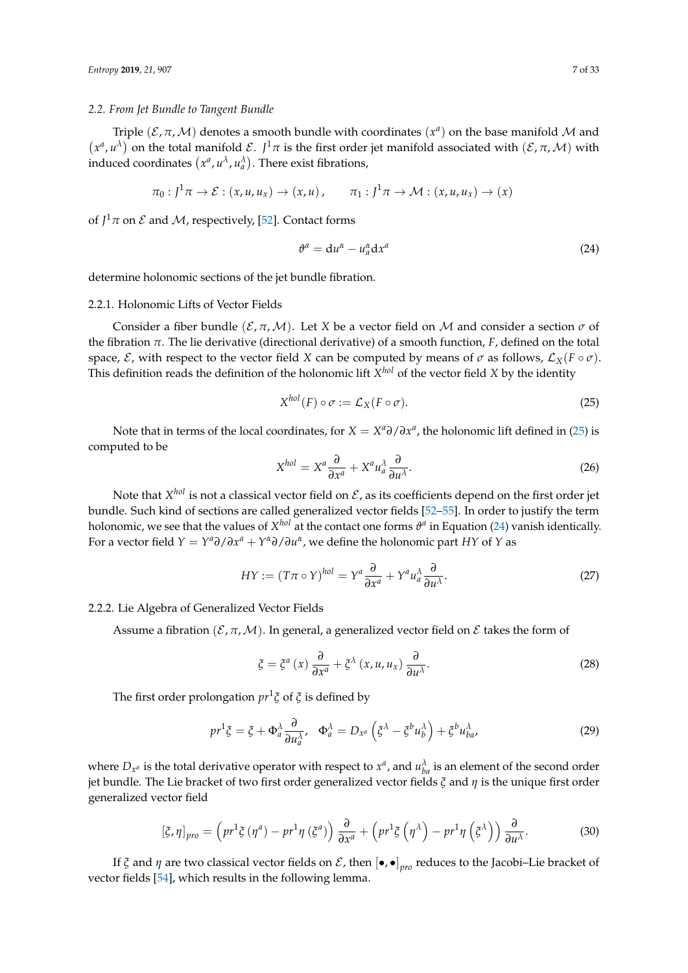#### *2.2. From Jet Bundle to Tangent Bundle*

Triple  $(\mathcal{E}, \pi, \mathcal{M})$  denotes a smooth bundle with coordinates  $(x^a)$  on the base manifold  $\mathcal M$  and  $(x^a, u^{\lambda})$  on the total manifold  $\mathcal{E}$ . *J*<sup>1</sup> $\pi$  is the first order jet manifold associated with  $(\mathcal{E}, \pi, \mathcal{M})$  with induced coordinates  $(x^a, u^\lambda, u^\lambda_a)$ . There exist fibrations,

$$
\pi_0: J^1\pi \to \mathcal{E}: (x, u, u_x) \to (x, u), \qquad \pi_1: J^1\pi \to \mathcal{M}: (x, u, u_x) \to (x)
$$

of  $J^1\pi$  on  $\mathcal E$  and  $\mathcal M$ , respectively, [\[52\]](#page-31-11). Contact forms

<span id="page-6-1"></span>
$$
\vartheta^a = \mathrm{d}u^{\alpha} - u^{\alpha}_a \mathrm{d}x^a \tag{24}
$$

determine holonomic sections of the jet bundle fibration.

#### 2.2.1. Holonomic Lifts of Vector Fields

Consider a fiber bundle  $(\mathcal{E}, \pi, \mathcal{M})$ . Let X be a vector field on M and consider a section  $\sigma$  of the fibration *π*. The lie derivative (directional derivative) of a smooth function, *F*, defined on the total space,  $\mathcal{E}$ , with respect to the vector field *X* can be computed by means of  $\sigma$  as follows,  $\mathcal{L}_X(F \circ \sigma)$ . This definition reads the definition of the holonomic lift  $X^{hol}$  of the vector field  $X$  by the identity

<span id="page-6-0"></span>
$$
X^{hol}(F) \circ \sigma := \mathcal{L}_X(F \circ \sigma). \tag{25}
$$

Note that in terms of the local coordinates, for  $X = X^a \partial / \partial x^a$ , the holonomic lift defined in [\(25\)](#page-6-0) is computed to be

$$
X^{hol} = X^a \frac{\partial}{\partial x^a} + X^a u_a^{\lambda} \frac{\partial}{\partial u^{\lambda}}.
$$
 (26)

Note that  $X^{hol}$  is not a classical vector field on  ${\cal E}$ , as its coefficients depend on the first order jet bundle. Such kind of sections are called generalized vector fields [\[52](#page-31-11)[–55\]](#page-31-12). In order to justify the term holonomic, we see that the values of  $X^{hol}$  at the contact one forms  $\vartheta^a$  in Equation [\(24\)](#page-6-1) vanish identically. For a vector field  $Y = Y^a \partial / \partial x^a + Y^a \partial / \partial u^a$ , we define the holonomic part *HY* of *Y* as

<span id="page-6-2"></span>
$$
HY := (T\pi \circ Y)^{hol} = Y^a \frac{\partial}{\partial x^a} + Y^a u_a^{\lambda} \frac{\partial}{\partial u^{\lambda}}.
$$
 (27)

#### 2.2.2. Lie Algebra of Generalized Vector Fields

Assume a fibration ( $\mathcal{E}, \pi, \mathcal{M}$ ). In general, a generalized vector field on  $\mathcal{E}$  takes the form of

$$
\xi = \xi^{a}(x) \frac{\partial}{\partial x^{a}} + \xi^{\lambda}(x, u, u_{x}) \frac{\partial}{\partial u^{\lambda}}.
$$
\n(28)

The first order prolongation *pr*<sup>1</sup> *ξ* of *ξ* is defined by

$$
pr^{1}\xi = \xi + \Phi_{a}^{\lambda} \frac{\partial}{\partial u_{a}^{\lambda}}, \quad \Phi_{a}^{\lambda} = D_{x^{a}} \left( \xi^{\lambda} - \xi^{b} u_{b}^{\lambda} \right) + \xi^{b} u_{ba}^{\lambda}, \tag{29}
$$

where  $D_{x^a}$  is the total derivative operator with respect to  $x^a$ , and  $u_{ba}^{\lambda}$  is an element of the second order jet bundle. The Lie bracket of two first order generalized vector fields *ξ* and *η* is the unique first order generalized vector field

<span id="page-6-3"></span>
$$
\left[\xi,\eta\right]_{pro} = \left(p r^1 \xi\left(\eta^a\right) - p r^1 \eta\left(\xi^a\right)\right) \frac{\partial}{\partial x^a} + \left(p r^1 \xi\left(\eta^{\lambda}\right) - p r^1 \eta\left(\xi^{\lambda}\right)\right) \frac{\partial}{\partial u^{\lambda}}.\tag{30}
$$

If *ξ* and *η* are two classical vector fields on *ξ* , then  $[\bullet,\bullet]_{pro}$  reduces to the Jacobi–Lie bracket of vector fields [\[54\]](#page-31-13), which results in the following lemma.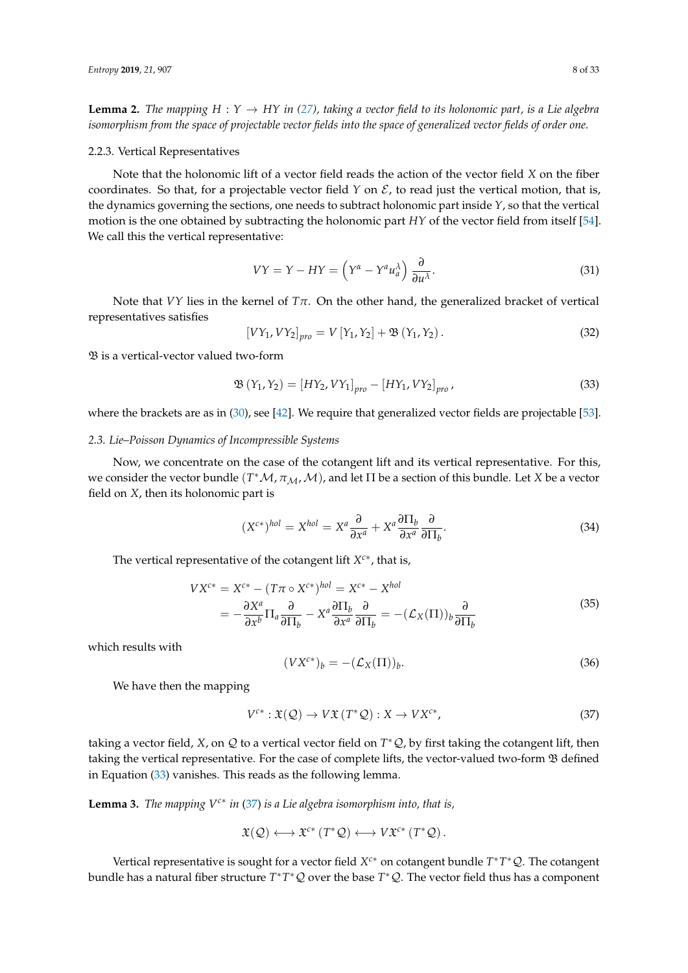**Lemma 2.** *The mapping*  $H : Y \to HY$  *in* [\(27\)](#page-6-2)*,* taking a vector field to its holonomic part, is a Lie algebra *isomorphism from the space of projectable vector fields into the space of generalized vector fields of order one.*

#### 2.2.3. Vertical Representatives

Note that the holonomic lift of a vector field reads the action of the vector field *X* on the fiber coordinates. So that, for a projectable vector field *Y* on  $\mathcal{E}$ , to read just the vertical motion, that is, the dynamics governing the sections, one needs to subtract holonomic part inside *Y*, so that the vertical motion is the one obtained by subtracting the holonomic part *HY* of the vector field from itself [\[54\]](#page-31-13). We call this the vertical representative:

$$
VY = Y - HY = \left(Y^{\alpha} - Y^{a}u_{a}^{\lambda}\right)\frac{\partial}{\partial u^{\lambda}}.
$$
\n(31)

Note that *VY* lies in the kernel of  $Tπ$ . On the other hand, the generalized bracket of vertical representatives satisfies

$$
[VY_1, VY_2]_{pro} = V[Y_1, Y_2] + \mathfrak{B}(Y_1, Y_2).
$$
 (32)

B is a vertical-vector valued two-form

<span id="page-7-1"></span>
$$
\mathfrak{B}(Y_1, Y_2) = [HY_2, VY_1]_{pro} - [HY_1, VY_2]_{pro}
$$
\n(33)

where the brackets are as in [\(30\)](#page-6-3), see [\[42\]](#page-31-4). We require that generalized vector fields are projectable [\[53\]](#page-31-14).

## <span id="page-7-0"></span>*2.3. Lie–Poisson Dynamics of Incompressible Systems*

Now, we concentrate on the case of the cotangent lift and its vertical representative. For this, we consider the vector bundle  $(T^*\mathcal{M}, \pi_{\mathcal{M}},\mathcal{M})$ , and let  $\Pi$  be a section of this bundle. Let *X* be a vector field on *X*, then its holonomic part is

$$
(X^{c*})^{hol} = X^{hol} = X^a \frac{\partial}{\partial x^a} + X^a \frac{\partial \Pi_b}{\partial x^a} \frac{\partial}{\partial \Pi_b}.
$$
 (34)

The vertical representative of the cotangent lift *X c*∗ , that is,

$$
V X^{c*} = X^{c*} - (T\pi \circ X^{c*})^{hol} = X^{c*} - X^{hol}
$$
  
= 
$$
-\frac{\partial X^a}{\partial x^b} \Pi_a \frac{\partial}{\partial \Pi_b} - X^a \frac{\partial \Pi_b}{\partial x^a} \frac{\partial}{\partial \Pi_b} = -(\mathcal{L}_X(\Pi))_b \frac{\partial}{\partial \Pi_b}
$$
(35)

which results with

<span id="page-7-3"></span>
$$
(V X^{c*})_b = -(\mathcal{L}_X(\Pi))_b. \tag{36}
$$

We have then the mapping

<span id="page-7-2"></span>
$$
V^{c*}: \mathfrak{X}(\mathcal{Q}) \to V\mathfrak{X}(T^*\mathcal{Q}): X \to VX^{c*},\tag{37}
$$

taking a vector field, *X*, on *Q* to a vertical vector field on *T*<sup>∗</sup>*Q*, by first taking the cotangent lift, then taking the vertical representative. For the case of complete lifts, the vector-valued two-form  $\mathfrak B$  defined in Equation [\(33\)](#page-7-1) vanishes. This reads as the following lemma.

**Lemma 3.** *The mapping Vc*<sup>∗</sup> *in* [\(37\)](#page-7-2) *is a Lie algebra isomorphism into, that is,*

$$
\mathfrak{X}(\mathcal{Q}) \longleftrightarrow \mathfrak{X}^{c*} (T^*\mathcal{Q}) \longleftrightarrow V\mathfrak{X}^{c*} (T^*\mathcal{Q}).
$$

Vertical representative is sought for a vector field *X<sup>c*∗</sup> on cotangent bundle *T*<sup>∗</sup>*T*<sup>∗</sup>*Q*. The cotangent bundle has a natural fiber structure *T* ∗*T* <sup>∗</sup>Q over the base *T* <sup>∗</sup>Q. The vector field thus has a component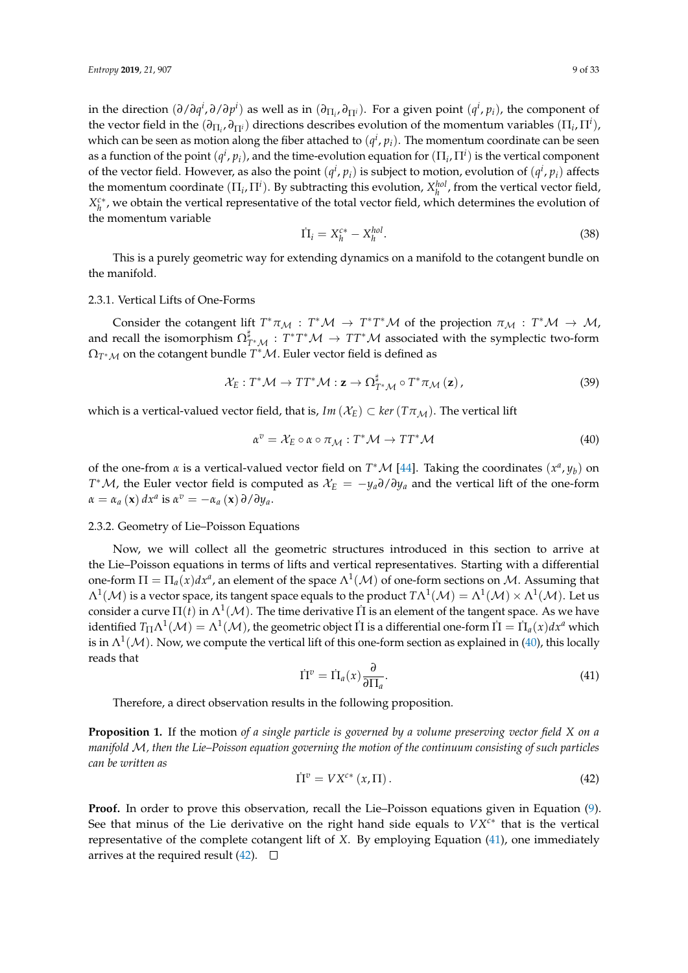in the direction  $(\partial/\partial q^i, \partial/\partial p^i)$  as well as in  $(\partial_{\Pi_i}, \partial_{\Pi^i})$ . For a given point  $(q^i, p_i)$ , the component of the vector field in the  $(\partial_{\Pi_i}, \partial_{\Pi^i})$  directions describes evolution of the momentum variables  $(\Pi_i, \Pi^i)$ , which can be seen as motion along the fiber attached to  $(q^i, p_i)$ . The momentum coordinate can be seen as a function of the point  $(q^i, p_i)$ , and the time-evolution equation for  $(\Pi_i, \Pi^i)$  is the vertical component of the vector field. However, as also the point  $(q^i, p_i)$  is subject to motion, evolution of  $(q^i, p_i)$  affects the momentum coordinate  $(\Pi_i, \Pi^i)$ . By subtracting this evolution,  $X_h^{hol}$ , from the vertical vector field,  $X_h^{c*}$ , we obtain the vertical representative of the total vector field, which determines the evolution of the momentum variable

$$
\dot{\Pi}_i = X_h^{c*} - X_h^{hol}.\tag{38}
$$

This is a purely geometric way for extending dynamics on a manifold to the cotangent bundle on the manifold.

## 2.3.1. Vertical Lifts of One-Forms

Consider the cotangent lift  $T^*\pi_M : T^*\mathcal{M} \to T^*T^*\mathcal{M}$  of the projection  $\pi_M : T^*\mathcal{M} \to \mathcal{M}$ , and recall the isomorphism  $\Omega_{T^*M}^{\sharp}: T^*T^*\mathcal{M} \to TT^*\mathcal{M}$  associated with the symplectic two-form  $\Omega_{T^*\mathcal{M}}$  on the cotangent bundle  $T^*\mathcal{M}.$  Euler vector field is defined as

$$
\mathcal{X}_{E}: T^{*}\mathcal{M} \to TT^{*}\mathcal{M}: \mathbf{z} \to \Omega^{\sharp}_{T^{*}\mathcal{M}} \circ T^{*}\pi_{\mathcal{M}}(\mathbf{z}), \tag{39}
$$

which is a vertical-valued vector field, that is,  $Im(X_E) \subset ker(T\pi_M)$ . The vertical lift

<span id="page-8-0"></span>
$$
\alpha^v = \mathcal{X}_E \circ \alpha \circ \pi_{\mathcal{M}} : T^* \mathcal{M} \to TT^* \mathcal{M}
$$
 (40)

of the one-from *α* is a vertical-valued vector field on  $T^*M$  [\[44\]](#page-31-6). Taking the coordinates  $(x^a, y_b)$  on *T*<sup>\*</sup>*M*, the Euler vector field is computed as  $X_E = -y_a \partial/\partial y_a$  and the vertical lift of the one-form  $\alpha = \alpha_a(\mathbf{x}) dx^a$  is  $\alpha^v = -\alpha_a(\mathbf{x}) \partial/\partial y_a$ .

## 2.3.2. Geometry of Lie–Poisson Equations

Now, we will collect all the geometric structures introduced in this section to arrive at the Lie–Poisson equations in terms of lifts and vertical representatives. Starting with a differential one-form  $\Pi = \Pi_a(x)dx^a$ , an element of the space  $\Lambda^1(\mathcal{M})$  of one-form sections on  $\mathcal{M}$ . Assuming that  $\Lambda^1(\cal M)$  is a vector space, its tangent space equals to the product  $T\Lambda^1(\cal M)=\Lambda^1(\cal M)\times\Lambda^1(\cal M).$  Let us consider a curve  $\Pi(t)$  in  $\Lambda^1(\mathcal{M})$ . The time derivative  $\Pi$  is an element of the tangent space. As we have identified  $T_\Pi\Lambda^1(\mathcal{M})=\Lambda^1(\mathcal{M})$ , the geometric object  $\Pi$  is a differential one-form  $\Pi=\Pi_a(x)dx^a$  which is in  $\Lambda^1(\mathcal{M})$ . Now, we compute the vertical lift of this one-form section as explained in [\(40\)](#page-8-0), this locally reads that

<span id="page-8-1"></span>
$$
\dot{\Pi}^v = \dot{\Pi}_a(x) \frac{\partial}{\partial \Pi_a}.
$$
\n(41)

Therefore, a direct observation results in the following proposition.

**Proposition 1.** If the motion *of a single particle is governed by a volume preserving vector field X on a manifold* M*, then the Lie–Poisson equation governing the motion of the continuum consisting of such particles can be written as*

<span id="page-8-2"></span>
$$
\dot{\Pi}^v = V X^{c*} \left( x, \Pi \right). \tag{42}
$$

**Proof.** In order to prove this observation, recall the Lie–Poisson equations given in Equation [\(9\)](#page-2-2). See that minus of the Lie derivative on the right hand side equals to *VXc*<sup>∗</sup> that is the vertical representative of the complete cotangent lift of *X*. By employing Equation [\(41\)](#page-8-1), one immediately arrives at the required result [\(42\)](#page-8-2).  $\Box$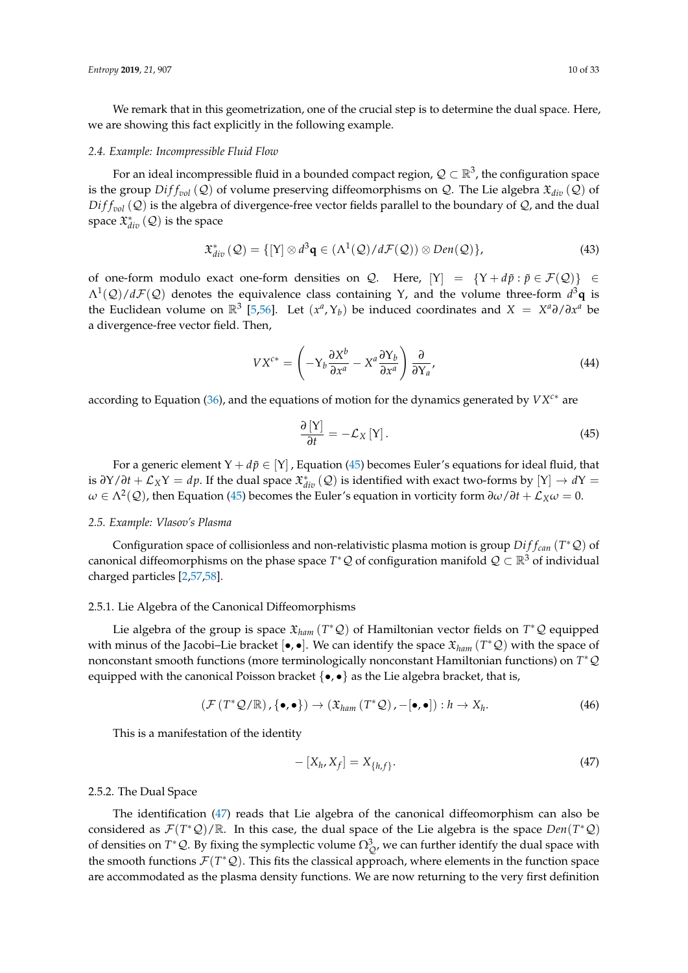We remark that in this geometrization, one of the crucial step is to determine the dual space. Here, we are showing this fact explicitly in the following example.

#### *2.4. Example: Incompressible Fluid Flow*

For an ideal incompressible fluid in a bounded compact region,  $\mathcal{Q}\subset\mathbb{R}^3$ , the configuration space is the group  $Diff_{vol}(Q)$  of volume preserving diffeomorphisms on Q. The Lie algebra  $\mathfrak{X}_{dir}(Q)$  of  $Diff_{vol}(Q)$  is the algebra of divergence-free vector fields parallel to the boundary of  $Q$ , and the dual space  $\mathfrak{X}_{div}^*$   $(\mathcal{Q})$  is the space

$$
\mathfrak{X}_{div}^*(\mathcal{Q}) = \{ [Y] \otimes d^3 \mathbf{q} \in (\Lambda^1(\mathcal{Q})/d\mathcal{F}(\mathcal{Q})) \otimes Den(\mathcal{Q}) \},\tag{43}
$$

of one-form modulo exact one-form densities on Q. Here,  $[Y] = \{Y + d\tilde{p} : \tilde{p} \in \mathcal{F}(\mathcal{Q})\} \in$ Λ<sup>1</sup> (Q)/*d*F(Q) denotes the equivalence class containing Υ, and the volume three-form *d* <sup>3</sup>**q** is the Euclidean volume on  $\mathbb{R}^3$  [\[5,](#page-29-4)[56\]](#page-31-15). Let  $(x^a, Y_b)$  be induced coordinates and  $X = X^a \partial / \partial x^a$  be a divergence-free vector field. Then,

$$
V X^{c*} = \left(-Y_b \frac{\partial X^b}{\partial x^a} - X^a \frac{\partial Y_b}{\partial x^a}\right) \frac{\partial}{\partial Y_a},\tag{44}
$$

according to Equation [\(36\)](#page-7-3), and the equations of motion for the dynamics generated by *VXc*<sup>∗</sup> are

<span id="page-9-0"></span>
$$
\frac{\partial \left[ Y \right]}{\partial t} = -\mathcal{L}_X \left[ Y \right]. \tag{45}
$$

For a generic element  $Y + d\tilde{p} \in [Y]$ , Equation [\(45\)](#page-9-0) becomes Euler's equations for ideal fluid, that is  $\partial Y/\partial t + \mathcal{L}_X Y = dp$ . If the dual space  $\mathfrak{X}_{div}^*(Q)$  is identified with exact two-forms by  $[Y] \to dY$  $ω ∈ Λ<sup>2</sup>(Q)$ , then Equation [\(45\)](#page-9-0) becomes the Euler's equation in vorticity form  $∂ω/∂t + L_Xω = 0$ .

# *2.5. Example: Vlasov's Plasma*

Configuration space of collisionless and non-relativistic plasma motion is group *Di f fcan* (*T* <sup>∗</sup>Q) of canonical diffeomorphisms on the phase space  $T^*\mathcal{Q}$  of configuration manifold  $\mathcal{Q}\subset\mathbb{R}^3$  of individual charged particles [\[2,](#page-29-1)[57](#page-31-16)[,58\]](#page-31-17).

## 2.5.1. Lie Algebra of the Canonical Diffeomorphisms

Lie algebra of the group is space X*ham* (*T* <sup>∗</sup>Q) of Hamiltonian vector fields on *T* <sup>∗</sup>Q equipped with minus of the Jacobi–Lie bracket [•, •]. We can identify the space X*ham* (*T* <sup>∗</sup>Q) with the space of nonconstant smooth functions (more terminologically nonconstant Hamiltonian functions) on *T* <sup>∗</sup>Q equipped with the canonical Poisson bracket  $\{\bullet, \bullet\}$  as the Lie algebra bracket, that is,

$$
\left(\mathcal{F}\left(T^*\mathcal{Q}/\mathbb{R}\right), \{\bullet,\bullet\}\right) \to \left(\mathfrak{X}_{ham}\left(T^*\mathcal{Q}\right), -\left[\bullet,\bullet\right]\right) : h \to X_h. \tag{46}
$$

This is a manifestation of the identity

<span id="page-9-1"></span>
$$
-[X_h, X_f] = X_{\{h, f\}}.
$$
\n(47)

## 2.5.2. The Dual Space

The identification [\(47\)](#page-9-1) reads that Lie algebra of the canonical diffeomorphism can also be considered as  $\mathcal{F}(T^*\mathcal{Q})/\mathbb{R}$ . In this case, the dual space of the Lie algebra is the space  $Den(T^*\mathcal{Q})$ of densities on  $T^*Q$ . By fixing the symplectic volume  $\Omega^3_{Q}$ , we can further identify the dual space with the smooth functions  $\mathcal{F}(T^*Q)$ . This fits the classical approach, where elements in the function space are accommodated as the plasma density functions. We are now returning to the very first definition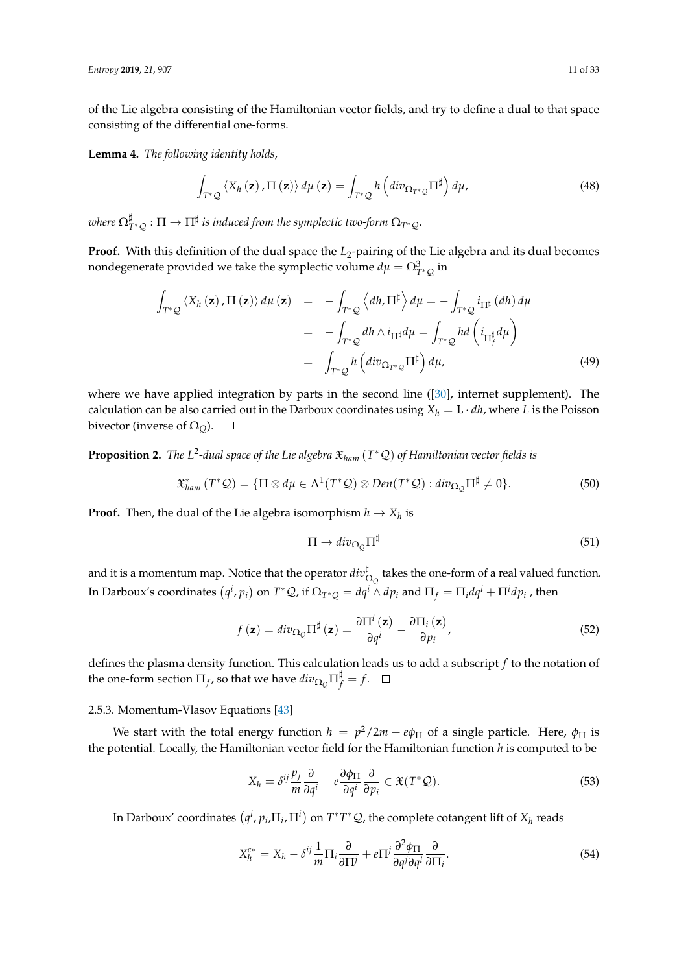of the Lie algebra consisting of the Hamiltonian vector fields, and try to define a dual to that space consisting of the differential one-forms.

<span id="page-10-2"></span>**Lemma 4.** *The following identity holds,*

$$
\int_{T^*\mathcal{Q}} \langle X_h(\mathbf{z}), \Pi(\mathbf{z}) \rangle d\mu(\mathbf{z}) = \int_{T^*\mathcal{Q}} h\left(div_{\Omega_{T^*\mathcal{Q}}} \Pi^{\sharp}\right) d\mu,
$$
\n(48)

where  $\Omega^\sharp_{T^*\mathcal{Q}}:\Pi\to\Pi^\sharp$  is induced from the symplectic two-form  $\Omega_{T^*\mathcal{Q}}.$ 

Proof. With this definition of the dual space the *L*<sub>2</sub>-pairing of the Lie algebra and its dual becomes nondegenerate provided we take the symplectic volume  $d\mu = \Omega^3_{T^*\mathcal{Q}}$  in

<span id="page-10-0"></span>
$$
\int_{T^*\mathcal{Q}} \langle X_h(\mathbf{z}), \Pi(\mathbf{z}) \rangle d\mu(\mathbf{z}) = - \int_{T^*\mathcal{Q}} \langle dh, \Pi^{\sharp} \rangle d\mu = - \int_{T^*\mathcal{Q}} i_{\Pi^{\sharp}}(dh) d\mu
$$
\n
$$
= - \int_{T^*\mathcal{Q}} dh \wedge i_{\Pi^{\sharp}} d\mu = \int_{T^*\mathcal{Q}} hd \left( i_{\Pi^{\sharp}_f} d\mu \right)
$$
\n
$$
= \int_{T^*\mathcal{Q}} h \left( div_{\Omega_{T^*\mathcal{Q}}} \Pi^{\sharp} \right) d\mu, \tag{49}
$$

where we have applied integration by parts in the second line ([\[30\]](#page-30-14), internet supplement). The calculation can be also carried out in the Darboux coordinates using  $X_h = \mathbf{L} \cdot dh$ , where *L* is the Poisson bivector (inverse of  $\Omega$ <sub>O</sub>).  $\Box$ 

**Proposition 2.** *The L*<sup>2</sup> *-dual space of the Lie algebra* X*ham* (*T* <sup>∗</sup>Q) *of Hamiltonian vector fields is*

$$
\mathfrak{X}^*_{ham}(T^*\mathcal{Q}) = \{ \Pi \otimes d\mu \in \Lambda^1(T^*\mathcal{Q}) \otimes Den(T^*\mathcal{Q}) : div_{\Omega_{\mathcal{Q}}} \Pi^{\sharp} \neq 0 \}. \tag{50}
$$

**Proof.** Then, the dual of the Lie algebra isomorphism  $h \to X_h$  is

<span id="page-10-1"></span>
$$
\Pi \to \operatorname{div}_{\Omega_{Q}} \Pi^{\sharp} \tag{51}
$$

and it is a momentum map. Notice that the operator  $div_{\Omega_Q}^\sharp$  takes the one-form of a real valued function. In Darboux's coordinates  $(q^i, p_i)$  on  $T^*\mathcal{Q}$ , if  $\Omega_{T^*Q} = dq^i \wedge dp_i$  and  $\Pi_f = \Pi_i dq^i + \Pi^i dp_i$  , then

<span id="page-10-3"></span>
$$
f(\mathbf{z}) = div_{\Omega_{Q}} \Pi^{\sharp}(\mathbf{z}) = \frac{\partial \Pi^{i}(\mathbf{z})}{\partial q^{i}} - \frac{\partial \Pi_{i}(\mathbf{z})}{\partial p_{i}},
$$
\n(52)

defines the plasma density function. This calculation leads us to add a subscript *f* to the notation of the one-form section  $\Pi_f$ , so that we have  $div_{\Omega_Q} \Pi_f^{\sharp} = f$ .

#### 2.5.3. Momentum-Vlasov Equations [\[43\]](#page-31-5)

We start with the total energy function  $h = p^2/2m + e\phi_{\Pi}$  of a single particle. Here,  $\phi_{\Pi}$  is the potential. Locally, the Hamiltonian vector field for the Hamiltonian function *h* is computed to be

$$
X_h = \delta^{ij} \frac{p_j}{m} \frac{\partial}{\partial q^i} - e \frac{\partial \phi_{\Pi}}{\partial q^i} \frac{\partial}{\partial p_i} \in \mathfrak{X}(T^* \mathcal{Q}). \tag{53}
$$

In Darboux' coordinates  $(q^i, p_i, \Pi_i, \Pi^i)$  on  $T^*T^*\mathcal{Q}$ , the complete cotangent lift of  $X_h$  reads

$$
X_h^{c*} = X_h - \delta^{ij} \frac{1}{m} \Pi_i \frac{\partial}{\partial \Pi^j} + e \Pi^j \frac{\partial^2 \phi_{\Pi}}{\partial q^j \partial q^i} \frac{\partial}{\partial \Pi_i}.
$$
 (54)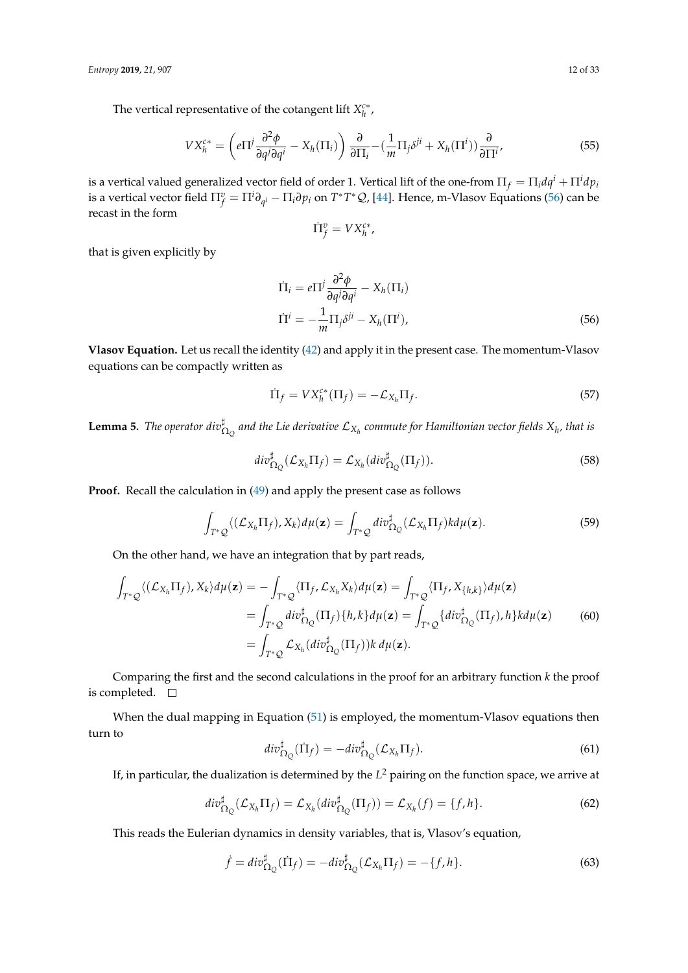The vertical representative of the cotangent lift  $X_h^{c*}$ ,

$$
V X_h^{c*} = \left( e \Pi^j \frac{\partial^2 \phi}{\partial q^j \partial q^i} - X_h(\Pi_i) \right) \frac{\partial}{\partial \Pi_i} - \left( \frac{1}{m} \Pi_j \delta^{ji} + X_h(\Pi^i) \right) \frac{\partial}{\partial \Pi^i},\tag{55}
$$

is a vertical valued generalized vector field of order 1. Vertical lift of the one-from  $\Pi_f = \Pi_i dq^i + \Pi^i dp_i$ is a vertical vector field  $\Pi_f^v = \Pi^i\partial_{q^i} - \Pi_i\partial p_i$  on  $T^*T^*\mathcal{Q}$ , [\[44\]](#page-31-6). Hence, m-Vlasov Equations [\(56\)](#page-11-0) can be recast in the form

<span id="page-11-0"></span>
$$
\dot{\Pi}^v_f = V X^{c*}_h,
$$

that is given explicitly by

$$
\dot{\Pi}_i = e\Pi^j \frac{\partial^2 \phi}{\partial q^j \partial q^i} - X_h(\Pi_i)
$$
\n
$$
\dot{\Pi}^i = -\frac{1}{m} \Pi_j \delta^{ji} - X_h(\Pi^i),
$$
\n(56)

**Vlasov Equation.** Let us recall the identity [\(42\)](#page-8-2) and apply it in the present case. The momentum-Vlasov equations can be compactly written as

$$
\dot{\Pi}_f = V X_h^{c*} (\Pi_f) = -\mathcal{L}_{X_h} \Pi_f. \tag{57}
$$

<span id="page-11-1"></span> $L$ emma 5. *The operator div* $_{\Omega_Q}^\sharp$  *and the Lie derivative*  $\mathcal{L}_{X_h}$  *commute for Hamiltonian vector fields*  $X_h$ *, that is* 

$$
div_{\Omega_{Q}}^{\sharp}(\mathcal{L}_{X_{h}}\Pi_{f})=\mathcal{L}_{X_{h}}(div_{\Omega_{Q}}^{\sharp}(\Pi_{f})).
$$
\n(58)

**Proof.** Recall the calculation in [\(49\)](#page-10-0) and apply the present case as follows

$$
\int_{T^*\mathcal{Q}} \langle (\mathcal{L}_{X_h} \Pi_f), X_k \rangle d\mu(\mathbf{z}) = \int_{T^*\mathcal{Q}} div_{\Omega_{\mathcal{Q}}}^{\sharp} (\mathcal{L}_{X_h} \Pi_f) k d\mu(\mathbf{z}). \tag{59}
$$

On the other hand, we have an integration that by part reads,

$$
\int_{T^*\mathcal{Q}} \langle (\mathcal{L}_{X_h} \Pi_f), X_k \rangle d\mu(\mathbf{z}) = -\int_{T^*\mathcal{Q}} \langle \Pi_f, \mathcal{L}_{X_h} X_k \rangle d\mu(\mathbf{z}) = \int_{T^*\mathcal{Q}} \langle \Pi_f, X_{\{h,k\}} \rangle d\mu(\mathbf{z})
$$
\n
$$
= \int_{T^*\mathcal{Q}} div_{\Omega_{\mathcal{Q}}}^{\sharp}(\Pi_f) \{h, k\} d\mu(\mathbf{z}) = \int_{T^*\mathcal{Q}} \{div_{\Omega_{\mathcal{Q}}}^{\sharp}(\Pi_f), h\} k d\mu(\mathbf{z})
$$
\n
$$
= \int_{T^*\mathcal{Q}} \mathcal{L}_{X_h}(div_{\Omega_{\mathcal{Q}}}^{\sharp}(\Pi_f)) k d\mu(\mathbf{z}). \tag{60}
$$

Comparing the first and the second calculations in the proof for an arbitrary function *k* the proof is completed.  $\square$ 

When the dual mapping in Equation [\(51\)](#page-10-1) is employed, the momentum-Vlasov equations then turn to

$$
div_{\Omega_Q}^{\sharp}(\Pi_f) = -div_{\Omega_Q}^{\sharp}(\mathcal{L}_{X_h}\Pi_f). \tag{61}
$$

If, in particular, the dualization is determined by the *L* <sup>2</sup> pairing on the function space, we arrive at

$$
div_{\Omega_{Q}}^{\sharp}(\mathcal{L}_{X_{h}}\Pi_{f})=\mathcal{L}_{X_{h}}(div_{\Omega_{Q}}^{\sharp}(\Pi_{f}))=\mathcal{L}_{X_{h}}(f)=\{f,h\}.
$$
\n(62)

This reads the Eulerian dynamics in density variables, that is, Vlasov's equation,

$$
\dot{f} = div_{\Omega_Q}^{\sharp}(\Pi_f) = -div_{\Omega_Q}^{\sharp}(\mathcal{L}_{X_h}\Pi_f) = -\{f, h\}.
$$
\n(63)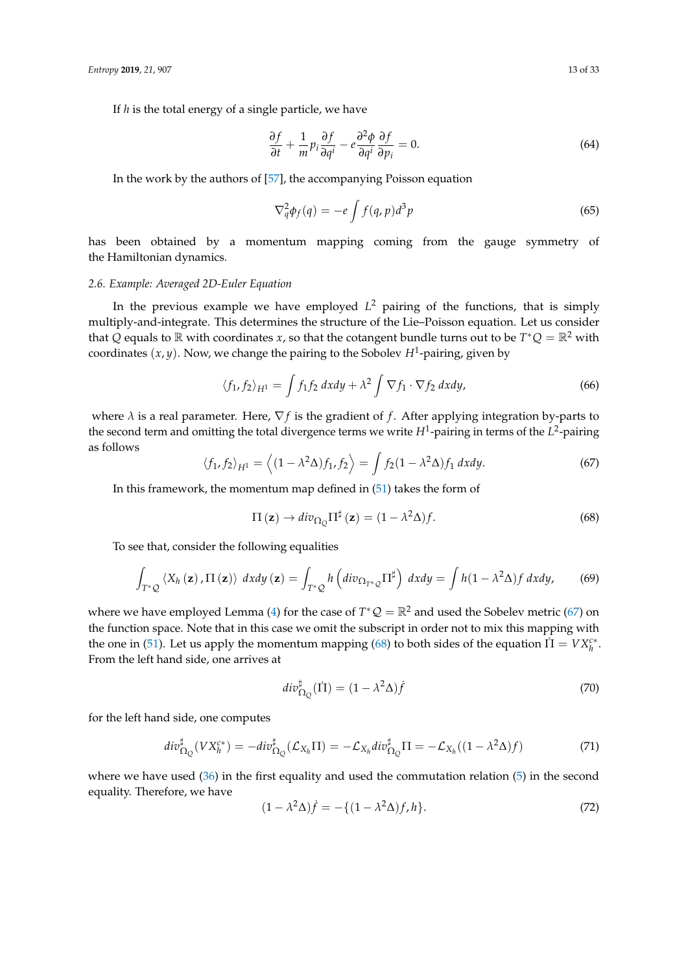If *h* is the total energy of a single particle, we have

$$
\frac{\partial f}{\partial t} + \frac{1}{m} p_i \frac{\partial f}{\partial q^i} - e \frac{\partial^2 \phi}{\partial q^i} \frac{\partial f}{\partial p_i} = 0.
$$
 (64)

In the work by the authors of [\[57\]](#page-31-16), the accompanying Poisson equation

$$
\nabla_q^2 \phi_f(q) = -e \int f(q, p) d^3 p \tag{65}
$$

has been obtained by a momentum mapping coming from the gauge symmetry of the Hamiltonian dynamics.

# *2.6. Example: Averaged 2D-Euler Equation*

In the previous example we have employed *L* <sup>2</sup> pairing of the functions, that is simply multiply-and-integrate. This determines the structure of the Lie–Poisson equation. Let us consider that Q equals to  $\mathbb R$  with coordinates *x*, so that the cotangent bundle turns out to be  $T^*Q = \mathbb R^2$  with coordinates (*x*, *y*). Now, we change the pairing to the Sobolev *H*<sup>1</sup> -pairing, given by

$$
\langle f_1, f_2 \rangle_{H^1} = \int f_1 f_2 \, dx dy + \lambda^2 \int \nabla f_1 \cdot \nabla f_2 \, dx dy, \tag{66}
$$

where  $\lambda$  is a real parameter. Here,  $\nabla f$  is the gradient of  $f$ . After applying integration by-parts to the second term and omitting the total divergence terms we write *H*<sup>1</sup> -pairing in terms of the *L* 2 -pairing as follows

<span id="page-12-0"></span>
$$
\langle f_1, f_2 \rangle_{H^1} = \langle (1 - \lambda^2 \Delta) f_1, f_2 \rangle = \int f_2 (1 - \lambda^2 \Delta) f_1 \, dx dy. \tag{67}
$$

In this framework, the momentum map defined in [\(51\)](#page-10-1) takes the form of

<span id="page-12-1"></span>
$$
\Pi\left(\mathbf{z}\right) \to \text{div}_{\Omega_{Q}} \Pi^{\sharp}\left(\mathbf{z}\right) = (1 - \lambda^{2} \Delta) f. \tag{68}
$$

To see that, consider the following equalities

$$
\int_{T^*\mathcal{Q}} \langle X_h(\mathbf{z}), \Pi(\mathbf{z}) \rangle \, dx dy \, (\mathbf{z}) = \int_{T^*\mathcal{Q}} h \left( div_{\Omega_{T^*\mathcal{Q}}} \Pi^{\sharp} \right) \, dx dy = \int h (1 - \lambda^2 \Delta) f \, dx dy, \tag{69}
$$

where we have employed Lemma [\(4\)](#page-10-2) for the case of  $T^*Q = \mathbb{R}^2$  and used the Sobelev metric [\(67\)](#page-12-0) on the function space. Note that in this case we omit the subscript in order not to mix this mapping with the one in [\(51\)](#page-10-1). Let us apply the momentum mapping [\(68\)](#page-12-1) to both sides of the equation  $\Pi = V X_h^{c*}$ . From the left hand side, one arrives at

$$
div_{\Omega_{\mathcal{Q}}}^{\sharp}(\dot{\Pi}) = (1 - \lambda^2 \Delta) \dot{f}
$$
\n(70)

for the left hand side, one computes

$$
div_{\Omega_Q}^{\sharp}(V X_h^{c*}) = -div_{\Omega_Q}^{\sharp}(\mathcal{L}_{X_h} \Pi) = -\mathcal{L}_{X_h}div_{\Omega_Q}^{\sharp} \Pi = -\mathcal{L}_{X_h}((1 - \lambda^2 \Delta)f)
$$
(71)

where we have used [\(36\)](#page-7-3) in the first equality and used the commutation relation [\(5\)](#page-11-1) in the second equality. Therefore, we have

$$
(1 - \lambda^2 \Delta)\dot{f} = -\{(1 - \lambda^2 \Delta)f, h\}.
$$
\n(72)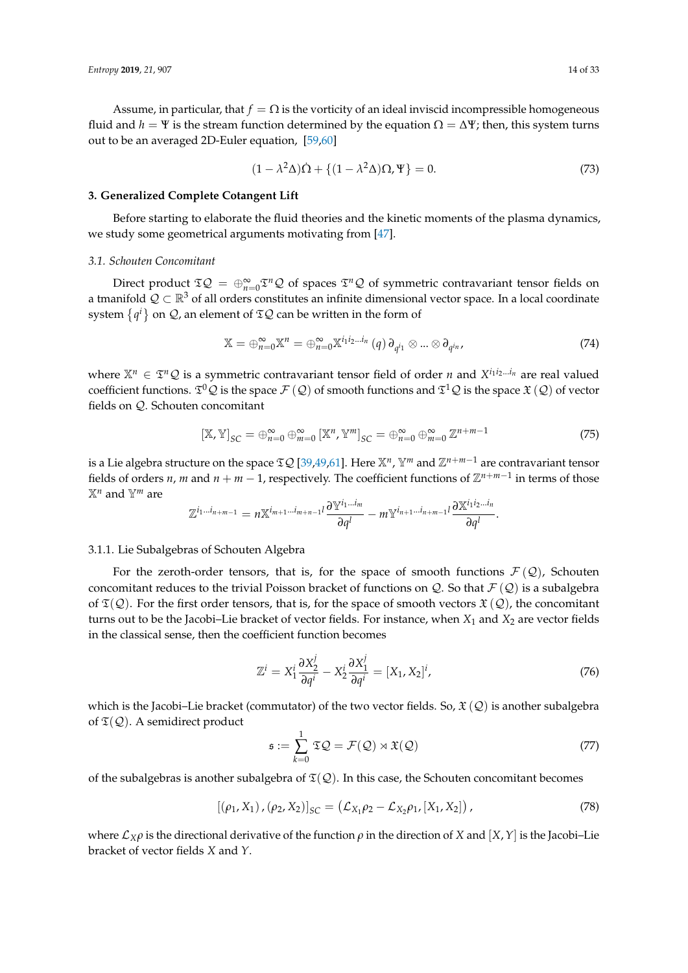Assume, in particular, that  $f = \Omega$  is the vorticity of an ideal inviscid incompressible homogeneous fluid and *h* = Ψ is the stream function determined by the equation  $\Omega = \Delta \Psi$ ; then, this system turns out to be an averaged 2D-Euler equation, [\[59](#page-31-18)[,60\]](#page-31-19)

$$
(1 - \lambda^2 \Delta)\dot{\Omega} + \{(1 - \lambda^2 \Delta)\Omega, \Psi\} = 0.
$$
\n(73)

#### **3. Generalized Complete Cotangent Lift**

Before starting to elaborate the fluid theories and the kinetic moments of the plasma dynamics, we study some geometrical arguments motivating from [\[47\]](#page-31-20).

#### *3.1. Schouten Concomitant*

Direct product  $\mathfrak{IQ} = \bigoplus_{n=0}^{\infty} \mathfrak{I}^n \mathcal{Q}$  of spaces  $\mathfrak{I}^n \mathcal{Q}$  of symmetric contravariant tensor fields on a tmanifold  $\mathcal{Q} \subset \mathbb{R}^3$  of all orders constitutes an infinite dimensional vector space. In a local coordinate system  $\{q^i\}$  on  $\mathcal Q$ , an element of  $\mathfrak T\mathcal Q$  can be written in the form of

$$
\mathbb{X} = \bigoplus_{n=0}^{\infty} \mathbb{X}^n = \bigoplus_{n=0}^{\infty} \mathbb{X}^{i_1 i_2 \dots i_n} (q) \partial_{q^{i_1}} \otimes \dots \otimes \partial_{q^{i_n}},
$$
\n(74)

where  $\mathbb{X}^n \in \mathfrak{T}^n\mathcal{Q}$  is a symmetric contravariant tensor field of order *n* and  $X^{i_1 i_2 \dots i_n}$  are real valued coefficient functions.  $\mathfrak T^0\mathcal Q$  is the space  $\mathcal F(\mathcal Q)$  of smooth functions and  $\mathfrak T^1\mathcal Q$  is the space  $\mathfrak X(\mathcal Q)$  of vector fields on Q. Schouten concomitant

<span id="page-13-2"></span>
$$
[\mathbb{X}, \mathbb{Y}]_{SC} = \bigoplus_{n=0}^{\infty} \bigoplus_{m=0}^{\infty} [\mathbb{X}^n, \mathbb{Y}^m]_{SC} = \bigoplus_{n=0}^{\infty} \bigoplus_{m=0}^{\infty} \mathbb{Z}^{n+m-1}
$$
(75)

is a Lie algebra structure on the space  $\mathfrak{T}Q$  [\[39,](#page-31-21)[49,](#page-31-8)[61\]](#page-31-22). Here  $\mathbb{X}^n$ ,  $\mathbb{Y}^m$  and  $\mathbb{Z}^{n+m-1}$  are contravariant tensor fields of orders *n*, *m* and  $n + m - 1$ , respectively. The coefficient functions of  $\mathbb{Z}^{n+m-1}$  in terms of those  $X^n$  and  $Y^m$  are

$$
\mathbb{Z}^{i_1\ldots i_{n+m-1}}=n\mathbb{X}^{i_{m+1}\ldots i_{m+n-1}l}\frac{\partial\mathbb{Y}^{i_1\ldots i_m}}{\partial q^l}-m\mathbb{Y}^{i_{n+1}\ldots i_{n+m-1}l}\frac{\partial\mathbb{X}^{i_1i_2\ldots i_n}}{\partial q^l}.
$$

## 3.1.1. Lie Subalgebras of Schouten Algebra

For the zeroth-order tensors, that is, for the space of smooth functions  $\mathcal{F}(\mathcal{Q})$ , Schouten concomitant reduces to the trivial Poisson bracket of functions on Q. So that  $\mathcal{F}(\mathcal{Q})$  is a subalgebra of  $\mathfrak{T}(\mathcal{Q})$ . For the first order tensors, that is, for the space of smooth vectors  $\mathfrak{X}(\mathcal{Q})$ , the concomitant turns out to be the Jacobi–Lie bracket of vector fields. For instance, when *X*<sup>1</sup> and *X*<sup>2</sup> are vector fields in the classical sense, then the coefficient function becomes

$$
\mathbb{Z}^i = X_1^i \frac{\partial X_2^j}{\partial q^i} - X_2^i \frac{\partial X_1^j}{\partial q^i} = [X_1, X_2]^i,
$$
\n(76)

which is the Jacobi–Lie bracket (commutator) of the two vector fields. So,  $\mathfrak{X}(\mathcal{Q})$  is another subalgebra of  $\mathfrak{T}(\mathcal{Q})$ . A semidirect product

<span id="page-13-0"></span>
$$
\mathfrak{s} := \sum_{k=0}^{1} \mathfrak{T} \mathcal{Q} = \mathcal{F}(\mathcal{Q}) \rtimes \mathfrak{X}(\mathcal{Q}) \tag{77}
$$

of the subalgebras is another subalgebra of  $\mathfrak{T}(Q)$ . In this case, the Schouten concomitant becomes

<span id="page-13-1"></span>
$$
[(\rho_1, X_1), (\rho_2, X_2)]_{SC} = (\mathcal{L}_{X_1} \rho_2 - \mathcal{L}_{X_2} \rho_1, [X_1, X_2]), \qquad (78)
$$

where  $\mathcal{L}_{X}\rho$  is the directional derivative of the function  $\rho$  in the direction of *X* and  $[X, Y]$  is the Jacobi–Lie bracket of vector fields *X* and *Y*.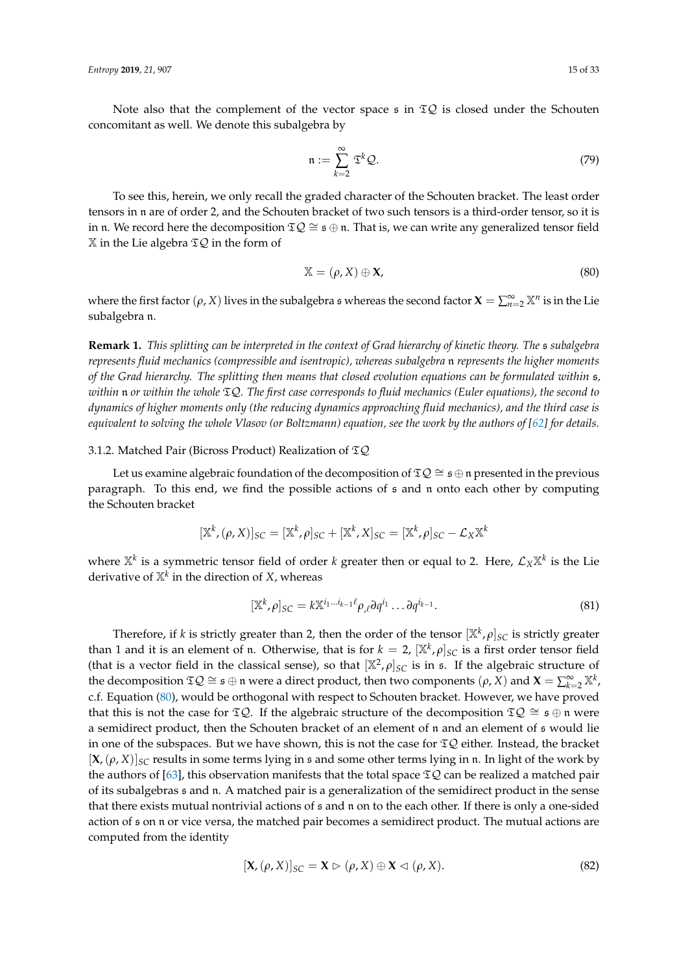Note also that the complement of the vector space  $\epsilon$  in  $\mathfrak{T}Q$  is closed under the Schouten concomitant as well. We denote this subalgebra by

<span id="page-14-1"></span>
$$
\mathfrak{n} := \sum_{k=2}^{\infty} \mathfrak{T}^k \mathcal{Q}.
$$
 (79)

To see this, herein, we only recall the graded character of the Schouten bracket. The least order tensors in n are of order 2, and the Schouten bracket of two such tensors is a third-order tensor, so it is in n. We record here the decomposition  $\mathfrak{TS} \cong \mathfrak{s} \oplus \mathfrak{n}$ . That is, we can write any generalized tensor field  $X$  in the Lie algebra  $\Sigma Q$  in the form of

<span id="page-14-0"></span>
$$
\mathbb{X} = (\rho, X) \oplus \mathbf{X},\tag{80}
$$

where the first factor  $(\rho, X)$  lives in the subalgebra s whereas the second factor  $X = \sum_{n=2}^{\infty} X^n$  is in the Lie subalgebra n.

**Remark 1.** *This splitting can be interpreted in the context of Grad hierarchy of kinetic theory. The* s *subalgebra represents fluid mechanics (compressible and isentropic), whereas subalgebra* n *represents the higher moments of the Grad hierarchy. The splitting then means that closed evolution equations can be formulated within* s*, within* n *or within the whole* TQ*. The first case corresponds to fluid mechanics (Euler equations), the second to dynamics of higher moments only (the reducing dynamics approaching fluid mechanics), and the third case is equivalent to solving the whole Vlasov (or Boltzmann) equation, see the work by the authors of [\[62\]](#page-31-23) for details.* 

## 3.1.2. Matched Pair (Bicross Product) Realization of TQ

Let us examine algebraic foundation of the decomposition of  $\mathfrak{T}Q \cong \mathfrak{s} \oplus \mathfrak{n}$  presented in the previous paragraph. To this end, we find the possible actions of  $\epsilon$  and  $\eta$  onto each other by computing the Schouten bracket

$$
[\mathbb{X}^k, (\rho, X)]_{SC} = [\mathbb{X}^k, \rho]_{SC} + [\mathbb{X}^k, X]_{SC} = [\mathbb{X}^k, \rho]_{SC} - \mathcal{L}_X \mathbb{X}^k
$$

where  $\mathbb{X}^k$  is a symmetric tensor field of order  $k$  greater then or equal to 2. Here,  $\mathcal{L}_X\mathbb{X}^k$  is the Lie derivative of X*<sup>k</sup>* in the direction of *X*, whereas

$$
[\mathbb{X}^k, \rho]_{SC} = k \mathbb{X}^{i_1 \dots i_{k-1} \ell} \rho_{\ell} \partial q^{i_1} \dots \partial q^{i_{k-1}}.
$$
\n(81)

Therefore, if *k* is strictly greater than 2, then the order of the tensor [X*<sup>k</sup>* , *ρ*]*SC* is strictly greater than 1 and it is an element of n. Otherwise, that is for  $k = 2$ ,  $[\mathbb{X}^k, \rho]_{SC}$  is a first order tensor field (that is a vector field in the classical sense), so that  $[\mathbb{X}^2, \rho]_{SC}$  is in s. If the algebraic structure of the decomposition  $\mathfrak{T}Q \cong \mathfrak{s} \oplus \mathfrak{n}$  were a direct product, then two components  $(\rho, X)$  and  $\mathbf{X} = \sum_{k=2}^{\infty} \mathbb{X}^k$ , c.f. Equation [\(80\)](#page-14-0), would be orthogonal with respect to Schouten bracket. However, we have proved that this is not the case for  $\mathfrak{T}Q$ . If the algebraic structure of the decomposition  $\mathfrak{T}Q \cong \mathfrak{s} \oplus \mathfrak{n}$  were a semidirect product, then the Schouten bracket of an element of n and an element of s would lie in one of the subspaces. But we have shown, this is not the case for  $\mathfrak{TS}$  either. Instead, the bracket  $[X,(\rho, X)]_{SC}$  results in some terms lying in s and some other terms lying in n. In light of the work by the authors of [\[63\]](#page-32-0), this observation manifests that the total space  $\mathfrak{D}Q$  can be realized a matched pair of its subalgebras s and n. A matched pair is a generalization of the semidirect product in the sense that there exists mutual nontrivial actions of s and n on to the each other. If there is only a one-sided action of s on n or vice versa, the matched pair becomes a semidirect product. The mutual actions are computed from the identity

$$
[\mathbf{X}, (\rho, X)]_{SC} = \mathbf{X} \triangleright (\rho, X) \oplus \mathbf{X} \triangleleft (\rho, X). \tag{82}
$$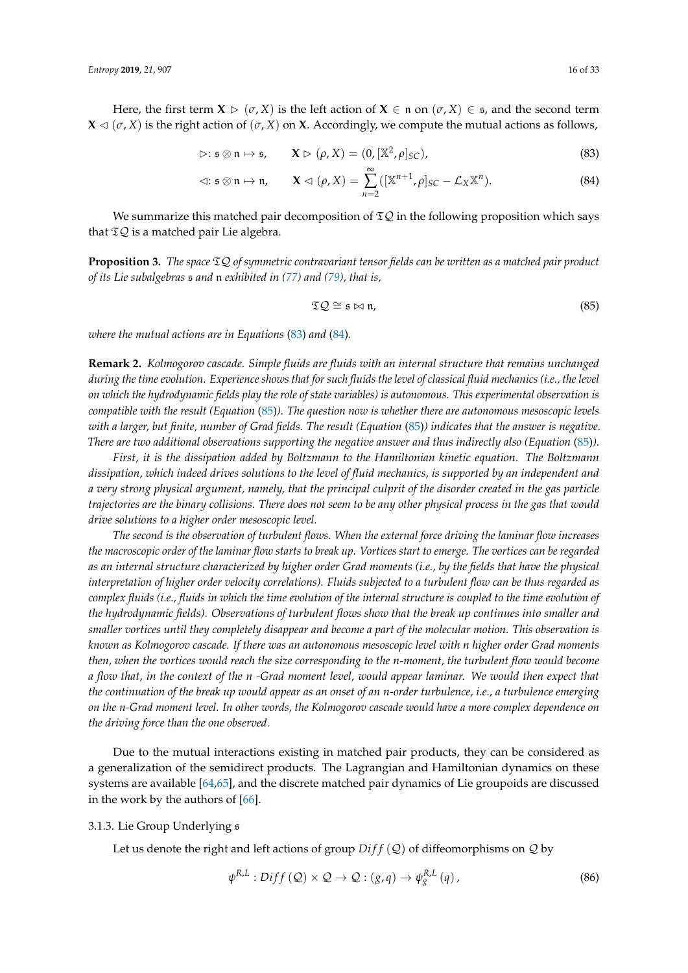Here, the first term  $X \triangleright (\sigma, X)$  is the left action of  $X \in \mathfrak{n}$  on  $(\sigma, X) \in \mathfrak{s}$ , and the second term  $X \triangleleft (\sigma, X)$  is the right action of  $(\sigma, X)$  on **X**. Accordingly, we compute the mutual actions as follows,

$$
\triangleright: \mathfrak{s} \otimes \mathfrak{n} \mapsto \mathfrak{s}, \qquad \mathbf{X} \triangleright (\rho, X) = (0, [\mathbb{X}^2, \rho]_{SC}), \tag{83}
$$

$$
\vartriangleleft: \mathfrak{s} \otimes \mathfrak{n} \mapsto \mathfrak{n}, \qquad \mathbf{X} \vartriangleleft (\rho, X) = \sum_{n=2}^{\infty} ([\mathbb{X}^{n+1}, \rho]_{SC} - \mathcal{L}_X \mathbb{X}^n). \tag{84}
$$

We summarize this matched pair decomposition of  $\mathfrak{D}Q$  in the following proposition which says that  $\mathfrak{T} \mathcal{Q}$  is a matched pair Lie algebra.

**Proposition 3.** *The space* TQ *of symmetric contravariant tensor fields can be written as a matched pair product of its Lie subalgebras* s *and* n *exhibited in [\(77\)](#page-13-0) and [\(79\)](#page-14-1), that is,*

<span id="page-15-2"></span><span id="page-15-1"></span><span id="page-15-0"></span>
$$
\mathfrak{TD} \cong \mathfrak{s} \bowtie \mathfrak{n},\tag{85}
$$

*where the mutual actions are in Equations* [\(83\)](#page-15-0) *and* [\(84\)](#page-15-1)*.*

**Remark 2.** *Kolmogorov cascade. Simple fluids are fluids with an internal structure that remains unchanged during the time evolution. Experience shows that for such fluids the level of classical fluid mechanics (i.e., the level on which the hydrodynamic fields play the role of state variables) is autonomous. This experimental observation is compatible with the result (Equation* [\(85\)](#page-15-2)*). The question now is whether there are autonomous mesoscopic levels with a larger, but finite, number of Grad fields. The result (Equation* [\(85\)](#page-15-2)*) indicates that the answer is negative. There are two additional observations supporting the negative answer and thus indirectly also (Equation* [\(85\)](#page-15-2)*).*

*First, it is the dissipation added by Boltzmann to the Hamiltonian kinetic equation. The Boltzmann dissipation, which indeed drives solutions to the level of fluid mechanics, is supported by an independent and a very strong physical argument, namely, that the principal culprit of the disorder created in the gas particle trajectories are the binary collisions. There does not seem to be any other physical process in the gas that would drive solutions to a higher order mesoscopic level.*

*The second is the observation of turbulent flows. When the external force driving the laminar flow increases the macroscopic order of the laminar flow starts to break up. Vortices start to emerge. The vortices can be regarded as an internal structure characterized by higher order Grad moments (i.e., by the fields that have the physical interpretation of higher order velocity correlations). Fluids subjected to a turbulent flow can be thus regarded as complex fluids (i.e., fluids in which the time evolution of the internal structure is coupled to the time evolution of the hydrodynamic fields). Observations of turbulent flows show that the break up continues into smaller and smaller vortices until they completely disappear and become a part of the molecular motion. This observation is known as Kolmogorov cascade. If there was an autonomous mesoscopic level with n higher order Grad moments then, when the vortices would reach the size corresponding to the n-moment, the turbulent flow would become a flow that, in the context of the n -Grad moment level, would appear laminar. We would then expect that the continuation of the break up would appear as an onset of an n-order turbulence, i.e., a turbulence emerging on the n-Grad moment level. In other words, the Kolmogorov cascade would have a more complex dependence on the driving force than the one observed.*

Due to the mutual interactions existing in matched pair products, they can be considered as a generalization of the semidirect products. The Lagrangian and Hamiltonian dynamics on these systems are available [\[64](#page-32-1)[,65\]](#page-32-2), and the discrete matched pair dynamics of Lie groupoids are discussed in the work by the authors of [\[66\]](#page-32-3).

## 3.1.3. Lie Group Underlying s

Let us denote the right and left actions of group  $Diff(Q)$  of diffeomorphisms on Q by

<span id="page-15-3"></span>
$$
\psi^{R,L}: Diff\left(Q\right) \times \mathcal{Q} \rightarrow \mathcal{Q}: (g,q) \rightarrow \psi^{R,L}_{g}(q), \qquad (86)
$$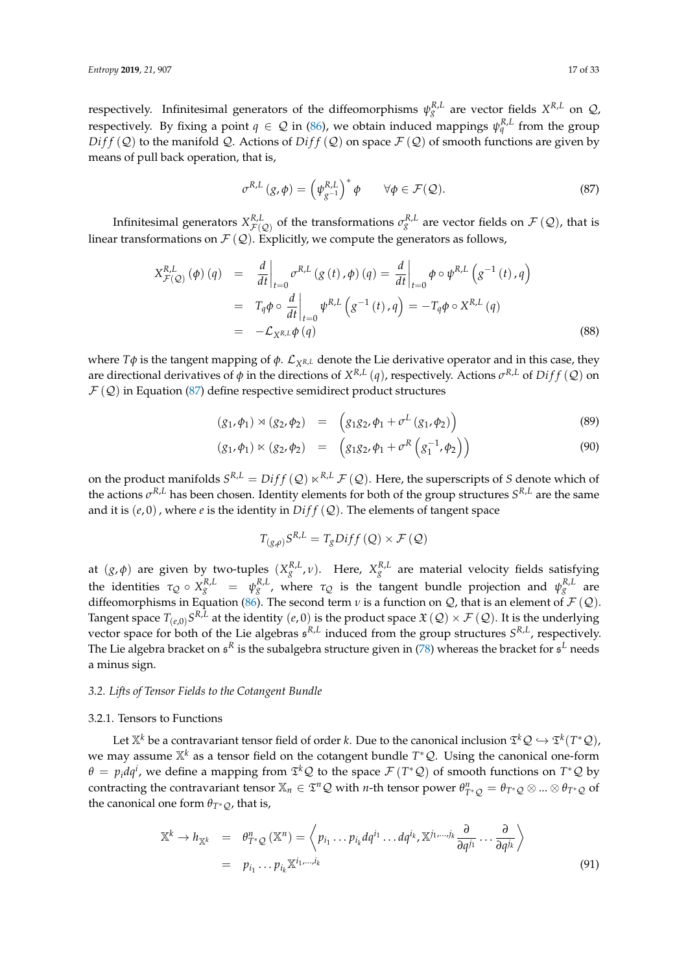respectively. Infinitesimal generators of the diffeomorphisms  $\psi_g^{R,L}$  are vector fields  $X^{R,L}$  on  $\mathcal{Q}$ , respectively. By fixing a point  $q \in \mathcal{Q}$  in [\(86\)](#page-15-3), we obtain induced mappings  $\psi_q^{R,L}$  from the group  $Diff(Q)$  to the manifold Q. Actions of  $Diff(Q)$  on space  $\mathcal{F}(Q)$  of smooth functions are given by means of pull back operation, that is,

<span id="page-16-1"></span>
$$
\sigma^{R,L}(g,\phi) = \left(\psi_{g^{-1}}^{R,L}\right)^* \phi \qquad \forall \phi \in \mathcal{F}(\mathcal{Q}). \tag{87}
$$

Infinitesimal generators  $X^{R,L}_{\mathcal F(\mathcal Q)}$  of the transformations  $\sigma^{R,L}_g$  are vector fields on  $\mathcal F(\mathcal Q)$ , that is linear transformations on  $\mathcal{F}(\mathcal{Q})$ . Explicitly, we compute the generators as follows,

$$
X_{\mathcal{F}(\mathcal{Q})}^{R,L}(\phi)(q) = \frac{d}{dt}\Big|_{t=0} \sigma^{R,L}(g(t),\phi)(q) = \frac{d}{dt}\Big|_{t=0} \phi \circ \psi^{R,L}(g^{-1}(t),q)
$$
  

$$
= T_q \phi \circ \frac{d}{dt}\Big|_{t=0} \psi^{R,L}(g^{-1}(t),q) = -T_q \phi \circ X^{R,L}(q)
$$
  

$$
= -\mathcal{L}_{X^{R,L}}\phi(q)
$$
(88)

where  $T\phi$  is the tangent mapping of  $\phi$ .  $\mathcal{L}_{X^{R,L}}$  denote the Lie derivative operator and in this case, they are directional derivatives of  $\phi$  in the directions of  $X^{R,L}(q)$ , respectively. Actions  $\sigma^{R,L}$  of  $Diff(Q)$  on  $\mathcal{F}(\mathcal{Q})$  in Equation [\(87\)](#page-16-1) define respective semidirect product structures

$$
(g_1, \phi_1) \rtimes (g_2, \phi_2) = (g_1 g_2, \phi_1 + \sigma^L (g_1, \phi_2))
$$
\n(89)

$$
(g_1, \phi_1) \ltimes (g_2, \phi_2) = (g_1 g_2, \phi_1 + \sigma^R (g_1^{-1}, \phi_2))
$$
\n(90)

on the product manifolds  $S^{R,L} = Diff(Q) \ltimes^{R,L} \mathcal{F}(Q)$ . Here, the superscripts of *S* denote which of the actions *σ <sup>R</sup>*,*<sup>L</sup>* has been chosen. Identity elements for both of the group structures *S <sup>R</sup>*,*<sup>L</sup>* are the same and it is  $(e, 0)$ , where  $e$  is the identity in  $Diff(Q)$ . The elements of tangent space

$$
T_{(g,\rho)}S^{R,L} = T_gDiff(Q) \times \mathcal{F}(Q)
$$

at  $(g, \phi)$  are given by two-tuples  $(X_g^{R,L}, \nu)$ . Here,  $X_g^{R,L}$  are material velocity fields satisfying the identities  $τ_Q \circ X_g^{R,L} = ψ_g^{R,L}$ , where  $τ_Q$  is the tangent bundle projection and  $ψ_g^{R,L}$  are diffeomorphisms in Equation [\(86\)](#page-15-3). The second term *v* is a function on *Q*, that is an element of  $\mathcal{F}(\mathcal{Q})$ . Tangent space  $T_{(e,0)}S^{R,L}$  at the identity  $(e,0)$  is the product space  $\mathfrak{X}\left(\mathcal{Q}\right)\times\mathcal{F}\left(\mathcal{Q}\right)$ . It is the underlying vector space for both of the Lie algebras s *R*,*L* induced from the group structures *S R*,*L* , respectively. The Lie algebra bracket on  $\mathfrak{s}^R$  is the subalgebra structure given in [\(78\)](#page-13-1) whereas the bracket for  $\mathfrak{s}^L$  needs a minus sign.

# <span id="page-16-0"></span>*3.2. Lifts of Tensor Fields to the Cotangent Bundle*

## 3.2.1. Tensors to Functions

Let  $\mathbb{X}^k$  be a contravariant tensor field of order  $k.$  Due to the canonical inclusion  $\mathfrak{T}^k\mathcal{Q}\hookrightarrow \mathfrak{T}^k(T^*\mathcal{Q})$ , we may assume <sup>Xk</sup> as a tensor field on the cotangent bundle T<sup>∗</sup>Q. Using the canonical one-form  $\theta = p_i dq^i$ , we define a mapping from  $\mathfrak{T}^k \mathcal{Q}$  to the space  $\mathcal{F} (T^* \mathcal{Q})$  of smooth functions on  $T^* \mathcal{Q}$  by contracting the contravariant tensor  $\mathbb{X}_n \in \mathfrak{T}^n\mathcal{Q}$  with *n*-th tensor power  $\theta_{T^*\mathcal{Q}}^n = \theta_{T^*\mathcal{Q}} \otimes ... \otimes \theta_{T^*\mathcal{Q}}$  of the canonical one form  $\theta_{T^*O}$ , that is,

<span id="page-16-2"></span>
$$
\mathbb{X}^{k} \to h_{\mathbb{X}^{k}} = \theta_{T^{*}\mathcal{Q}}^{n}(\mathbb{X}^{n}) = \left\langle p_{i_{1}} \dots p_{i_{k}} dq^{i_{1}} \dots dq^{i_{k}}, \mathbb{X}^{j_{1},...,j_{k}} \frac{\partial}{\partial q^{j_{1}}} \dots \frac{\partial}{\partial q^{j_{k}}}\right\rangle
$$
\n
$$
= p_{i_{1}} \dots p_{i_{k}} \mathbb{X}^{i_{1},...,i_{k}}
$$
\n(91)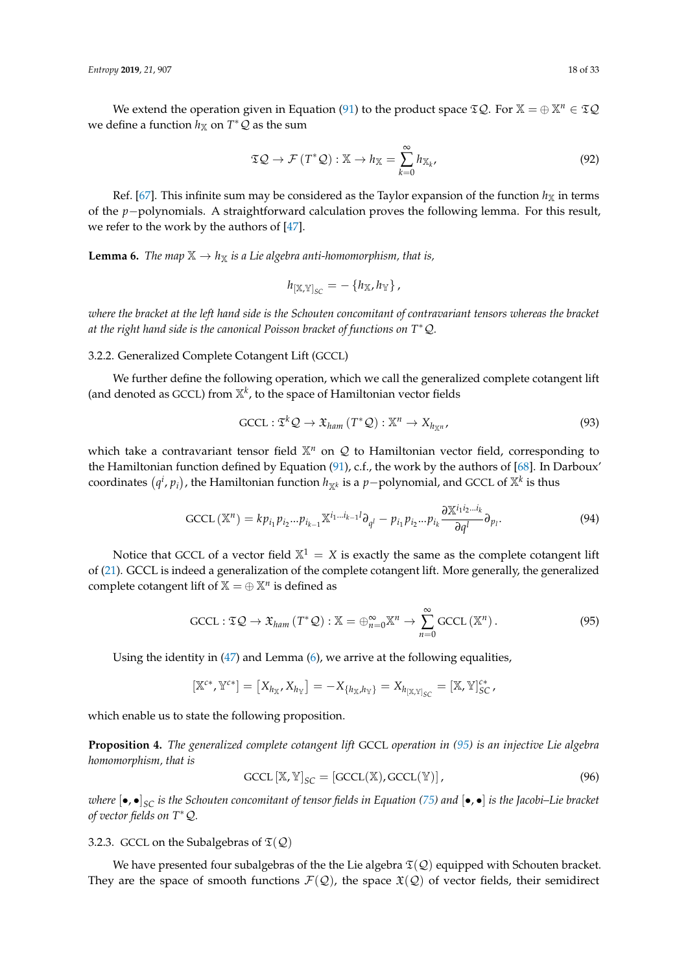We extend the operation given in Equation [\(91\)](#page-16-2) to the product space  $\mathfrak{TS}Q$ . For  $\mathbb{X} = \bigoplus \mathbb{X}^n \in \mathfrak{TS}Q$ we define a function  $h$ <sub>X</sub> on  $T^*Q$  as the sum

<span id="page-17-3"></span>
$$
\mathfrak{T}\mathcal{Q} \to \mathcal{F}(T^*\mathcal{Q}): \mathbb{X} \to h_{\mathbb{X}} = \sum_{k=0}^{\infty} h_{\mathbb{X}_k},
$$
\n(92)

Ref. [\[67\]](#page-32-4). This infinite sum may be considered as the Taylor expansion of the function  $h_X$  in terms of the *p*−polynomials. A straightforward calculation proves the following lemma. For this result, we refer to the work by the authors of [\[47\]](#page-31-20).

<span id="page-17-0"></span>**Lemma 6.** *The map*  $\mathbb{X} \to h_{\mathbb{X}}$  *is a Lie algebra anti-homomorphism, that is,* 

$$
h_{\left[\mathbb{X},\mathbb{Y}\right]_{SC}}=-\left\{h_{\mathbb{X}},h_{\mathbb{Y}}\right\},\,
$$

*where the bracket at the left hand side is the Schouten concomitant of contravariant tensors whereas the bracket at the right hand side is the canonical Poisson bracket of functions on T*∗Q*.*

3.2.2. Generalized Complete Cotangent Lift (GCCL)

We further define the following operation, which we call the generalized complete cotangent lift (and denoted as GCCL) from  $\mathbb{X}^k$ , to the space of Hamiltonian vector fields

<span id="page-17-4"></span>
$$
\text{GCCL}: \mathfrak{T}^k \mathcal{Q} \to \mathfrak{X}_{ham} \left( T^* \mathcal{Q} \right) : \mathbb{X}^n \to X_{h_{\mathbb{X}^n}}, \tag{93}
$$

which take a contravariant tensor field  $\mathbb{X}^n$  on Q to Hamiltonian vector field, corresponding to the Hamiltonian function defined by Equation [\(91\)](#page-16-2), c.f., the work by the authors of [\[68\]](#page-32-5). In Darboux'  $\alpha$  coordinates  $(q^i, p_i)$ , the Hamiltonian function  $h_{\mathbb{X}^k}$  is a  $p-$ polynomial, and GCCL of  $\mathbb{X}^k$  is thus

GCCL 
$$
(\mathbb{X}^n)
$$
 =  $kp_{i_1}p_{i_2}...p_{i_{k-1}}\mathbb{X}^{i_1...i_{k-1}l}\partial_{q^l} - p_{i_1}p_{i_2}...p_{i_k}\frac{\partial \mathbb{X}^{i_1i_2...i_k}}{\partial q^l}\partial_{p_l}.$  (94)

Notice that GCCL of a vector field  $X^1 = X$  is exactly the same as the complete cotangent lift of [\(21\)](#page-5-1). GCCL is indeed a generalization of the complete cotangent lift. More generally, the generalized complete cotangent lift of  $X = \bigoplus X^n$  is defined as

<span id="page-17-1"></span>
$$
\text{GCL}: \mathfrak{T} \mathcal{Q} \to \mathfrak{X}_{ham}(T^* \mathcal{Q}): \mathbb{X} = \bigoplus_{n=0}^{\infty} \mathbb{X}^n \to \sum_{n=0}^{\infty} \text{GCL}(\mathbb{X}^n).
$$
 (95)

Using the identity in  $(47)$  and Lemma  $(6)$ , we arrive at the following equalities,

$$
[{\mathbb X}^{c*}, {\mathbb Y}^{c*}] = \left[ X_{h_{{\mathbb X}}}, X_{h_{{\mathbb Y}}}\right] = -X_{\{h_{{\mathbb X}},h_{{\mathbb Y}}\}} = X_{h_{[{\mathbb X}, {\mathbb Y}]_{SC}}}= [{\mathbb X}, {\mathbb Y}]_{SC}^{c*} \,.
$$

which enable us to state the following proposition.

**Proposition 4.** *The generalized complete cotangent lift* GCCL *operation in [\(95\)](#page-17-1) is an injective Lie algebra homomorphism, that is*

<span id="page-17-2"></span>
$$
\text{GCL} \left[ \mathbb{X}, \mathbb{Y} \right]_{SC} = \left[ \text{GCL}(\mathbb{X}), \text{GCL}(\mathbb{Y}) \right],\tag{96}
$$

*where* [•, •]*SC is the Schouten concomitant of tensor fields in Equation [\(75\)](#page-13-2) and* [•, •] *is the Jacobi–Lie bracket of vector fields on T*∗Q*.*

3.2.3. GCCL on the Subalgebras of  $\mathfrak{T}(\mathcal{Q})$ 

We have presented four subalgebras of the the Lie algebra  $\mathfrak{T}(\mathcal{Q})$  equipped with Schouten bracket. They are the space of smooth functions  $\mathcal{F}(\mathcal{Q})$ , the space  $\mathfrak{X}(\mathcal{Q})$  of vector fields, their semidirect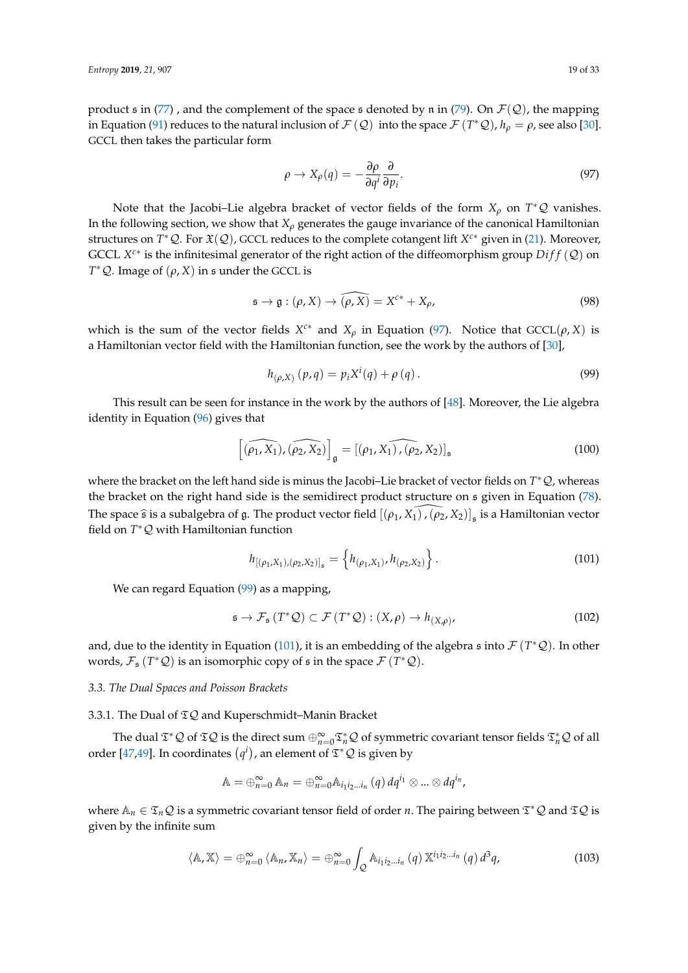product s in [\(77\)](#page-13-0), and the complement of the space s denoted by n in [\(79\)](#page-14-1). On  $\mathcal{F}(\mathcal{Q})$ , the mapping in Equation [\(91\)](#page-16-2) reduces to the natural inclusion of  $\mathcal{F}(\mathcal{Q})$  into the space  $\mathcal{F}(T^*\mathcal{Q})$ ,  $h_\rho = \rho$ , see also [\[30\]](#page-30-14). GCCL then takes the particular form

<span id="page-18-0"></span>
$$
\rho \to X_{\rho}(q) = -\frac{\partial \rho}{\partial q^i} \frac{\partial}{\partial p_i}.
$$
\n(97)

Note that the Jacobi–Lie algebra bracket of vector fields of the form *X<sup>ρ</sup>* on *T* <sup>∗</sup>Q vanishes. In the following section, we show that  $X_\rho$  generates the gauge invariance of the canonical Hamiltonian structures on *T* <sup>∗</sup>Q. For X(Q), GCCL reduces to the complete cotangent lift *X <sup>c</sup>*<sup>∗</sup> given in [\(21\)](#page-5-1). Moreover, GCCL  $X^{c*}$  is the infinitesimal generator of the right action of the diffeomorphism group  $Diff(Q)$  on  $T^*Q$ . Image of  $(\rho, X)$  in s under the GCCL is

<span id="page-18-4"></span>
$$
\mathfrak{s} \to \mathfrak{g} : (\rho, X) \to \widehat{(\rho, X)} = X^{c*} + X_{\rho}, \tag{98}
$$

which is the sum of the vector fields  $X^{c*}$  and  $X_\rho$  in Equation [\(97\)](#page-18-0). Notice that  $GCCL(\rho, X)$  is a Hamiltonian vector field with the Hamiltonian function, see the work by the authors of [\[30\]](#page-30-14),

<span id="page-18-1"></span>
$$
h_{(\rho,X)}(p,q) = p_i X^i(q) + \rho(q).
$$
 (99)

This result can be seen for instance in the work by the authors of [\[48\]](#page-31-24). Moreover, the Lie algebra identity in Equation [\(96\)](#page-17-2) gives that

$$
\left[ \widehat{(\rho_1, X_1)}, \widehat{(\rho_2, X_2)} \right]_{\mathfrak{g}} = \left[ \widehat{(\rho_1, X_1)}, \widehat{(\rho_2, X_2)} \right]_{\mathfrak{s}}
$$
\n(100)

where the bracket on the left hand side is minus the Jacobi–Lie bracket of vector fields on *T* <sup>∗</sup>Q, whereas the bracket on the right hand side is the semidirect product structure on s given in Equation [\(78\)](#page-13-1). The space  $\hat{\mathfrak{s}}$  is a subalgebra of g. The product vector field  $[(\rho_1, X_1), (\rho_2, X_2)]_{\mathfrak{s}}$  is a Hamiltonian vector field on *T* <sup>∗</sup>Q with Hamiltonian function

<span id="page-18-2"></span>
$$
h_{[(\rho_1, X_1), (\rho_2, X_2)]_{\mathfrak{s}}} = \left\{ h_{(\rho_1, X_1)}, h_{(\rho_2, X_2)} \right\}.
$$
 (101)

We can regard Equation [\(99\)](#page-18-1) as a mapping,

$$
\mathfrak{s} \to \mathcal{F}_{\mathfrak{s}}\left(T^*\mathcal{Q}\right) \subset \mathcal{F}\left(T^*\mathcal{Q}\right) : (X,\rho) \to h_{(X,\rho)},\tag{102}
$$

and, due to the identity in Equation [\(101\)](#page-18-2), it is an embedding of the algebra  $\frak{s}$  into  $\mathcal{F}(T^*\mathcal{Q})$ . In other words,  $\mathcal{F}_\mathfrak{s}(T^*\mathcal{Q})$  is an isomorphic copy of  $\mathfrak{s}$  in the space  $\mathcal{F}(T^*\mathcal{Q})$ .

# *3.3. The Dual Spaces and Poisson Brackets*

3.3.1. The Dual of  $I\mathcal{Q}$  and Kuperschmidt–Manin Bracket

The dual  $\mathfrak{T}^*\mathcal{Q}$  of  $\mathfrak{T}\mathcal{Q}$  is the direct sum  $\oplus_{n=0}^{\infty}\mathfrak{T}^*_n\mathcal{Q}$  of symmetric covariant tensor fields  $\mathfrak{T}^*_n\mathcal{Q}$  of all order [\[47](#page-31-20)[,49\]](#page-31-8). In coordinates  $(q<sup>i</sup>)$ , an element of  $\mathfrak{T}^*\mathcal{Q}$  is given by

$$
\mathbb{A}=\oplus_{n=0}^{\infty}\mathbb{A}_n=\oplus_{n=0}^{\infty}\mathbb{A}_{i_1i_2...i_n}(q) \, dq^{i_1}\otimes...\otimes dq^{i_n},
$$

where  $\mathbb{A}_n \in \mathfrak{T}_n\mathcal{Q}$  is a symmetric covariant tensor field of order *n*. The pairing between  $\mathfrak{T}^*\mathcal{Q}$  and  $\mathfrak{T}\mathcal{Q}$  is given by the infinite sum

<span id="page-18-3"></span>
$$
\langle \mathbb{A}, \mathbb{X} \rangle = \bigoplus_{n=0}^{\infty} \langle \mathbb{A}_n, \mathbb{X}_n \rangle = \bigoplus_{n=0}^{\infty} \int_{\mathcal{Q}} \mathbb{A}_{i_1 i_2 \dots i_n} (q) \, \mathbb{X}^{i_1 i_2 \dots i_n} (q) \, d^3q,
$$
 (103)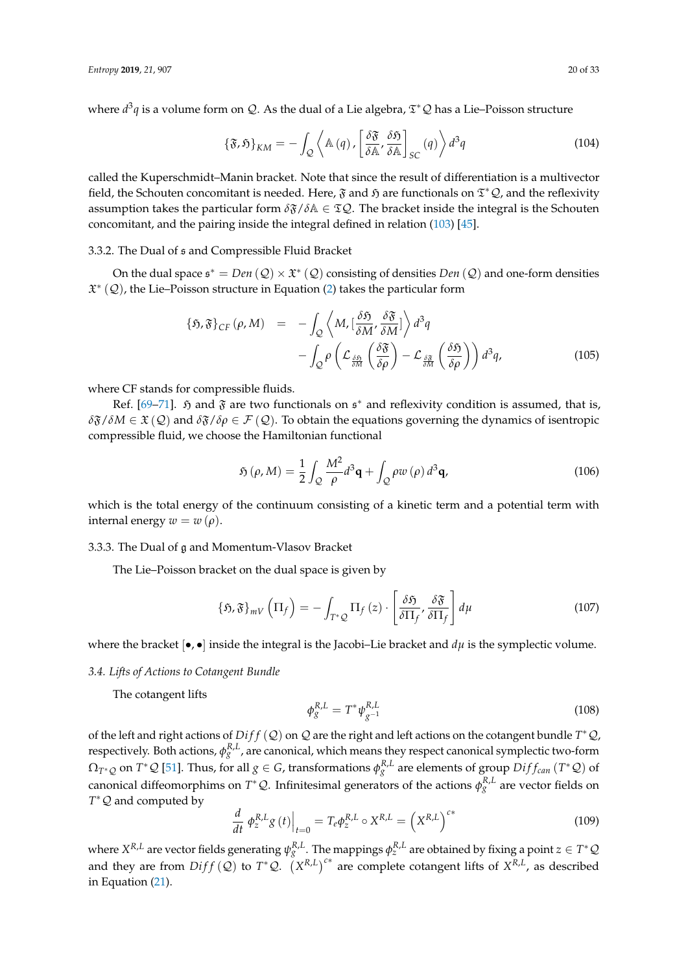where *d<sup>3</sup>q* is a volume form on *Q*. As the dual of a Lie algebra,  $\mathfrak{T}^*Q$  has a Lie–Poisson structure

<span id="page-19-3"></span>
$$
\{\mathfrak{F},\mathfrak{H}\}_{KM} = -\int_{\mathcal{Q}} \left\langle \mathbb{A}\left(q\right), \left[\frac{\delta \mathfrak{F}}{\delta \mathbb{A}}, \frac{\delta \mathfrak{H}}{\delta \mathbb{A}}\right]_{SC}\left(q\right) \right\rangle d^3q \tag{104}
$$

called the Kuperschmidt–Manin bracket. Note that since the result of differentiation is a multivector field, the Schouten concomitant is needed. Here,  $\frak{F}$  and  $\frak{H}$  are functionals on  $\mathfrak{T}^*\mathcal{Q}$ , and the reflexivity assumption takes the particular form  $\delta \mathfrak{F}/\delta \mathbb{A} \in \mathfrak{T}Q$ . The bracket inside the integral is the Schouten concomitant, and the pairing inside the integral defined in relation [\(103\)](#page-18-3) [\[45\]](#page-31-7).

# 3.3.2. The Dual of s and Compressible Fluid Bracket

On the dual space  $\mathfrak{s}^* = Den(\mathcal{Q}) \times \mathfrak{X}^*(\mathcal{Q})$  consisting of densities  $Den(\mathcal{Q})$  and one-form densities X ∗ (Q), the Lie–Poisson structure in Equation [\(2\)](#page-1-0) takes the particular form

<span id="page-19-4"></span>
$$
\{\mathfrak{H},\mathfrak{F}\}_{CF}(\rho,M) = -\int_{\mathcal{Q}} \left\langle M, \left[\frac{\delta \mathfrak{H}}{\delta M}, \frac{\delta \mathfrak{F}}{\delta M}\right] \right\rangle d^{3}q
$$

$$
-\int_{\mathcal{Q}} \rho \left(\mathcal{L}_{\frac{\delta \mathfrak{H}}{\delta M}}\left(\frac{\delta \mathfrak{F}}{\delta \rho}\right) - \mathcal{L}_{\frac{\delta \mathfrak{F}}{\delta M}}\left(\frac{\delta \mathfrak{H}}{\delta \rho}\right)\right) d^{3}q, \tag{105}
$$

where CF stands for compressible fluids.

Ref. [\[69](#page-32-6)[–71\]](#page-32-7).  $\mathfrak H$  and  $\mathfrak F$  are two functionals on  $\mathfrak s^*$  and reflexivity condition is assumed, that is,  $\delta\mathfrak{F}/\delta M \in \mathfrak{X}(\mathcal{Q})$  and  $\delta\mathfrak{F}/\delta\rho \in \mathcal{F}(\mathcal{Q})$ . To obtain the equations governing the dynamics of isentropic compressible fluid, we choose the Hamiltonian functional

$$
\mathfrak{H}\left(\rho,M\right) = \frac{1}{2} \int_{\mathcal{Q}} \frac{M^2}{\rho} d^3 \mathbf{q} + \int_{\mathcal{Q}} \rho w \left(\rho\right) d^3 \mathbf{q},\tag{106}
$$

which is the total energy of the continuum consisting of a kinetic term and a potential term with internal energy  $w = w(\rho)$ .

## 3.3.3. The Dual of g and Momentum-Vlasov Bracket

The Lie–Poisson bracket on the dual space is given by

<span id="page-19-2"></span>
$$
\{\mathfrak{H},\mathfrak{F}\}_{mV}\left(\Pi_{f}\right)=-\int_{T^{*}\mathcal{Q}}\Pi_{f}\left(z\right)\cdot\left[\frac{\delta\mathfrak{H}}{\delta\Pi_{f}},\frac{\delta\mathfrak{F}}{\delta\Pi_{f}}\right]d\mu\tag{107}
$$

where the bracket  $[•, •]$  inside the integral is the Jacobi–Lie bracket and  $d\mu$  is the symplectic volume.

## *3.4. Lifts of Actions to Cotangent Bundle*

The cotangent lifts

<span id="page-19-0"></span>
$$
\phi_g^{R,L} = T^* \psi_{g^{-1}}^{R,L} \tag{108}
$$

of the left and right actions of  $Diff(Q)$  on Q are the right and left actions on the cotangent bundle  $T^*Q$ , respectively. Both actions,  $\phi_g^{R,L}$ , are canonical, which means they respect canonical symplectic two-form  $\Omega_{T^*\mathcal{Q}}$  on  $T^*\mathcal{Q}$  [\[51\]](#page-31-10). Thus, for all  $g\in G$ , transformations  $\phi_g^{R,L}$  are elements of group  $Diff_{can}\left(T^*\mathcal{Q}\right)$  of canonical diffeomorphims on  $T^*\mathcal{Q}$ . Infinitesimal generators of the actions  $\phi_g^{R,L}$  are vector fields on *T*<sup>\*</sup>  $Q$  and computed by

<span id="page-19-1"></span>
$$
\frac{d}{dt} \left. \phi_z^{R,L} g\left(t\right) \right|_{t=0} = T_e \phi_z^{R,L} \circ X^{R,L} = \left(X^{R,L}\right)^{c*} \tag{109}
$$

where  $X^{R,L}$  are vector fields generating  $\psi_g^{R,L}$  . The mappings  $\phi_z^{R,L}$  are obtained by fixing a point  $z\in T^*\mathcal{Q}$ and they are from  $Diff(Q)$  to  $T^*Q$ .  $(X^{R,L})^{c*}$  are complete cotangent lifts of  $X^{R,L}$ , as described in Equation [\(21\)](#page-5-1).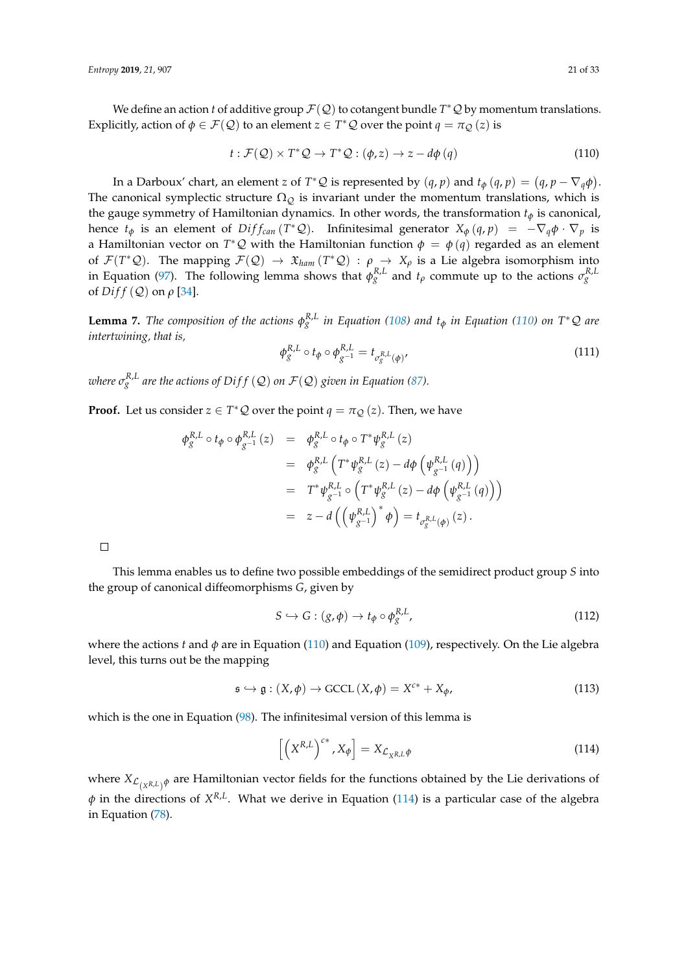We define an action *t* of additive group  $\mathcal{F}(\mathcal{Q})$  to cotangent bundle  $T^*\mathcal{Q}$  by momentum translations. Explicitly, action of  $\phi \in \mathcal{F}(\mathcal{Q})$  to an element  $z \in T^*\mathcal{Q}$  over the point  $q = \pi_{\mathcal{Q}}(z)$  is

<span id="page-20-0"></span>
$$
t: \mathcal{F}(\mathcal{Q}) \times T^* \mathcal{Q} \to T^* \mathcal{Q} : (\phi, z) \to z - d\phi(q)
$$
 (110)

In a Darboux' chart, an element *z* of  $T^*\mathcal{Q}$  is represented by  $(q, p)$  and  $t_{\phi}(q, p) = (q, p - \nabla_q \phi)$ . The canonical symplectic structure  $\Omega_{Q}$  is invariant under the momentum translations, which is the gauge symmetry of Hamiltonian dynamics. In other words, the transformation *t<sup>φ</sup>* is canonical, hence  $t_{\phi}$  is an element of  $Diff_{can}(T^*\mathcal{Q})$ . Infinitesimal generator  $X_{\phi}(q,p) = -\nabla_q \phi \cdot \nabla_p$  is a Hamiltonian vector on  $T^*\mathcal{Q}$  with the Hamiltonian function  $\phi = \phi(q)$  regarded as an element of  $\mathcal{F}(T^*\mathcal{Q})$ . The mapping  $\mathcal{F}(\mathcal{Q}) \to \mathfrak{X}_{ham}(T^*\mathcal{Q}) : \rho \to X_\rho$  is a Lie algebra isomorphism into in Equation [\(97\)](#page-18-0). The following lemma shows that  $\phi_g^{R,L}$  and  $t_\rho$  commute up to the actions  $\sigma_g^{R,L}$ of *Di f f* (Q) on *ρ* [\[34\]](#page-30-17).

**Lemma 7.** The composition of the actions  $\phi_g^{R,L}$  in Equation [\(108\)](#page-19-0) and  $t_\phi$  in Equation [\(110\)](#page-20-0) on T\*Q are *intertwining, that is,*

<span id="page-20-2"></span>
$$
\phi_g^{R,L} \circ t_{\phi} \circ \phi_{g^{-1}}^{R,L} = t_{\sigma_g^{R,L}(\phi)} \tag{111}
$$

 $\sigma^{R,L}_g$  are the actions of Diff  $(\mathcal{Q})$  on  $\mathcal{F}(\mathcal{Q})$  given in Equation [\(87\)](#page-16-1).

**Proof.** Let us consider  $z \in T^*Q$  over the point  $q = \pi_Q(z)$ . Then, we have

$$
\begin{array}{rcl}\n\phi_{g}^{R,L} \circ t_{\phi} \circ \phi_{g^{-1}}^{R,L}(z) & = & \phi_{g}^{R,L} \circ t_{\phi} \circ T^{*} \psi_{g}^{R,L}(z) \\
& = & \phi_{g}^{R,L} \left( T^{*} \psi_{g}^{R,L}(z) - d\phi \left( \psi_{g^{-1}}^{R,L}(q) \right) \right) \\
& = & T^{*} \psi_{g^{-1}}^{R,L} \circ \left( T^{*} \psi_{g}^{R,L}(z) - d\phi \left( \psi_{g^{-1}}^{R,L}(q) \right) \right) \\
& = & z - d \left( \left( \psi_{g^{-1}}^{R,L} \right)^{*} \phi \right) = t_{\sigma_{g}^{R,L}(\phi)}(z).\n\end{array}
$$

 $\Box$ 

This lemma enables us to define two possible embeddings of the semidirect product group *S* into the group of canonical diffeomorphisms *G*, given by

$$
S \hookrightarrow G : (g, \phi) \to t_{\phi} \circ \phi_g^{R,L}, \tag{112}
$$

where the actions *t* and *φ* are in Equation [\(110\)](#page-20-0) and Equation [\(109\)](#page-19-1), respectively. On the Lie algebra level, this turns out be the mapping

$$
\mathfrak{s} \hookrightarrow \mathfrak{g} : (X, \phi) \to \text{GCCL}(X, \phi) = X^{c*} + X_{\phi}, \tag{113}
$$

which is the one in Equation [\(98\)](#page-18-4). The infinitesimal version of this lemma is

<span id="page-20-1"></span>
$$
\[ \left( X^{R,L} \right)^{c*}, X_{\phi} \] = X_{\mathcal{L}_{X^{R,L}} \phi} \tag{114}
$$

where  $X_{\mathcal{L}_{(X^{R,L})}\phi}$  are Hamiltonian vector fields for the functions obtained by the Lie derivations of *φ* in the directions of *X<sup>R,L</sup>*. What we derive in Equation [\(114\)](#page-20-1) is a particular case of the algebra in Equation [\(78\)](#page-13-1).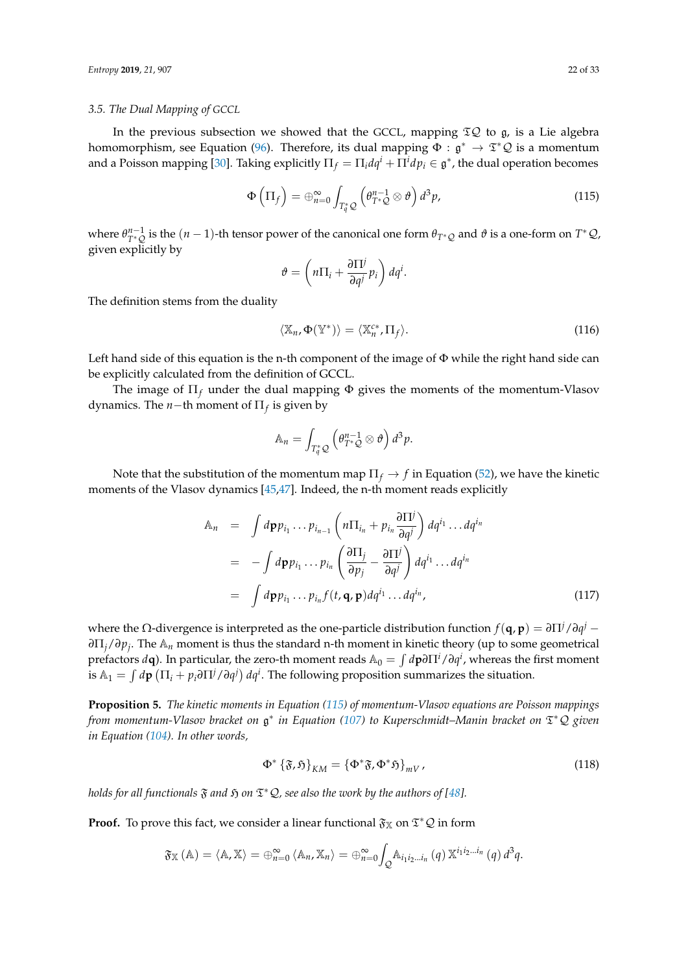#### <span id="page-21-0"></span>*3.5. The Dual Mapping of GCCL*

In the previous subsection we showed that the GCCL, mapping  $\mathfrak{TS}$  to  $\mathfrak{g}$ , is a Lie algebra homomorphism, see Equation [\(96\)](#page-17-2). Therefore, its dual mapping  $\Phi : \mathfrak{g}^* \to \mathfrak{T}^* \mathcal{Q}$  is a momentum and a Poisson mapping [\[30\]](#page-30-14). Taking explicitly  $\Pi_f = \Pi_i dq^i + \Pi^i dp_i \in \mathfrak{g}^*$ , the dual operation becomes

<span id="page-21-1"></span>
$$
\Phi\left(\Pi_f\right) = \bigoplus_{n=0}^{\infty} \int_{T_q^* \mathcal{Q}} \left(\theta_{T^* \mathcal{Q}}^{n-1} \otimes \theta\right) d^3 p, \tag{115}
$$

where  $\theta_{T^*\mathcal{Q}}^{n-1}$  is the  $(n-1)$ -th tensor power of the canonical one form  $\theta_{T^*\mathcal{Q}}$  and  $\vartheta$  is a one-form on  $T^*\mathcal{Q}$ , given explicitly by

$$
\vartheta = \left( n \Pi_i + \frac{\partial \Pi^j}{\partial q^j} p_i \right) dq^i.
$$

The definition stems from the duality

$$
\langle \mathbb{X}_n, \Phi(\mathbb{Y}^*) \rangle = \langle \mathbb{X}_n^{c*}, \Pi_f \rangle.
$$
 (116)

Left hand side of this equation is the n-th component of the image of  $\Phi$  while the right hand side can be explicitly calculated from the definition of GCCL.

The image of  $\Pi_f$  under the dual mapping  $\Phi$  gives the moments of the momentum-Vlasov dynamics. The *n*−th moment of Π*<sup>f</sup>* is given by

$$
\mathbb{A}_n = \int_{T_q^* \mathcal{Q}} \left( \theta_{T^* \mathcal{Q}}^{n-1} \otimes \theta \right) d^3 p.
$$

Note that the substitution of the momentum map  $\Pi_f \to f$  in Equation [\(52\)](#page-10-3), we have the kinetic moments of the Vlasov dynamics [\[45,](#page-31-7)[47\]](#page-31-20). Indeed, the n-th moment reads explicitly

$$
\begin{array}{rcl}\n\mathbb{A}_n & = & \int d\mathbf{p} p_{i_1} \dots p_{i_{n-1}} \left( n \Pi_{i_n} + p_{i_n} \frac{\partial \Pi^j}{\partial q^j} \right) dq^{i_1} \dots dq^{i_n} \\
& = & - \int d\mathbf{p} p_{i_1} \dots p_{i_n} \left( \frac{\partial \Pi_j}{\partial p_j} - \frac{\partial \Pi^j}{\partial q^j} \right) dq^{i_1} \dots dq^{i_n} \\
& = & \int d\mathbf{p} p_{i_1} \dots p_{i_n} f(t, \mathbf{q}, \mathbf{p}) dq^{i_1} \dots dq^{i_n},\n\end{array} \tag{117}
$$

where the Ω-divergence is interpreted as the one-particle distribution function  $f(\bf{q},\bf{p}) = \partial\Pi^j/\partial q^j -$ *∂*Π*j*/*∂p<sup>j</sup>* . The A*<sup>n</sup>* moment is thus the standard n-th moment in kinetic theory (up to some geometrical prefactors  $d$ **q**). In particular, the zero-th moment reads  $\mathbb{A}_0 = \int d{\bf p}\partial\Pi^i/\partial q^i$ , whereas the first moment is  $\mathbb{A}_1 = \int d\mathbf{p} \left( \Pi_i + p_i \partial \Pi^j / \partial q^j \right) dq^i$ . The following proposition summarizes the situation.

**Proposition 5.** *The kinetic moments in Equation [\(115\)](#page-21-1) of momentum-Vlasov equations are Poisson mappings from momentum-Vlasov bracket on* g ∗ *in Equation [\(107\)](#page-19-2) to Kuperschmidt–Manin bracket on* T <sup>∗</sup>Q *given in Equation [\(104\)](#page-19-3). In other words,*

<span id="page-21-2"></span>
$$
\Phi^* {\{\mathfrak{F},\mathfrak{H}\}}_{KM} = {\Phi^*\mathfrak{F},\Phi^*\mathfrak{H}\}}_{mV},
$$
\n(118)

*holds for all functionals*  $\mathfrak F$  *and*  $\mathfrak H$  *on*  $\mathfrak T^*\mathcal Q$ *, see also the work by the authors of [\[48\]](#page-31-24).* 

**Proof.** To prove this fact, we consider a linear functional  $\mathfrak{F}_{\mathbb{X}}$  on  $\mathfrak{T}^*\mathcal{Q}$  in form

$$
\mathfrak{F}_{\mathbb{X}}\left(\mathbb{A}\right)=\left\langle \mathbb{A},\mathbb{X}\right\rangle =\oplus_{n=0}^{\infty}\left\langle \mathbb{A}_{n},\mathbb{X}_{n}\right\rangle =\oplus_{n=0}^{\infty}\int_{\mathcal{Q}}\mathbb{A}_{i_{1}i_{2}...i_{n}}\left(q\right)\mathbb{X}^{i_{1}i_{2}...i_{n}}\left(q\right)d^{3}q.
$$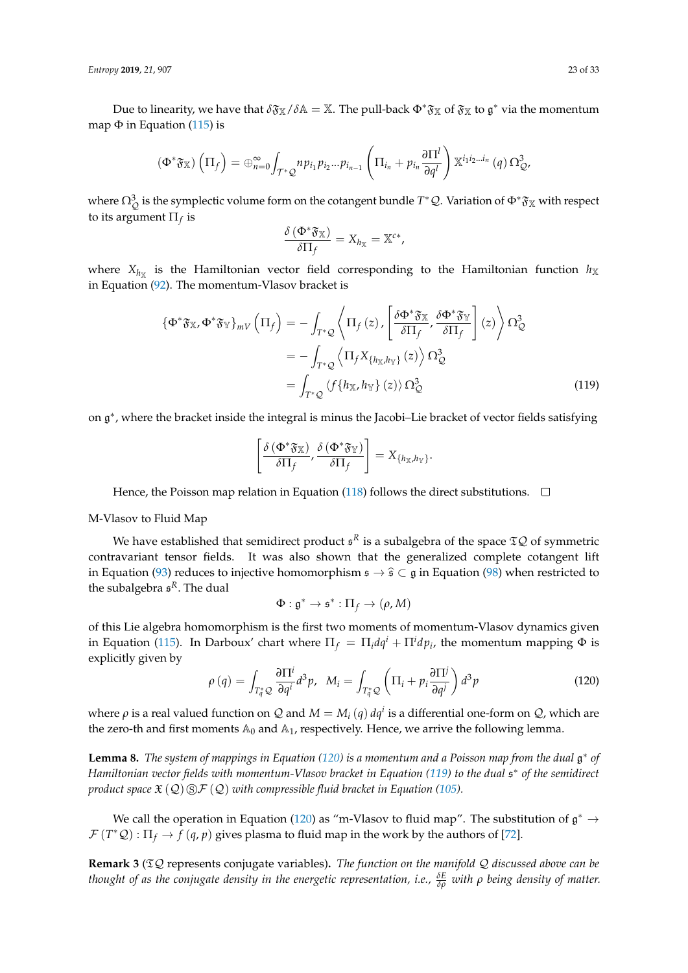*Entropy* **2019**, *21*, 907 23 of 33

Due to linearity, we have that  $\delta\mathfrak{F}_X/\delta\mathbb{A}=\mathbb{X}$ . The pull-back  $\Phi^*\mathfrak{F}_X$  of  $\mathfrak{F}_X$  to  $\mathfrak{g}^*$  via the momentum map  $\Phi$  in Equation [\(115\)](#page-21-1) is

$$
\left(\Phi^*\mathfrak{F}_{\mathbb{X}}\right)\left(\Pi_f\right)=\oplus_{n=0}^{\infty}\int_{\mathcal{T}^*\mathcal{Q}}np_{i_1}p_{i_2}...p_{i_{n-1}}\left(\Pi_{i_n}+p_{i_n}\frac{\partial\Pi^l}{\partial q^l}\right)\mathbb{X}^{i_1i_2...i_n}\left(q\right)\Omega_{\mathcal{Q}}^3,
$$

where  $\Omega^3_Q$  is the symplectic volume form on the cotangent bundle  $T^*\mathcal{Q}$ . Variation of  $\Phi^*\mathfrak{F}_\mathbb{X}$  with respect to its argument  $\Pi_f$  is

$$
\frac{\delta(\Phi^*\mathfrak{F}_\mathbb{X})}{\delta\Pi_f}=X_{h_\mathbb{X}}=\mathbb{X}^{c*},
$$

where  $X_{h_X}$  is the Hamiltonian vector field corresponding to the Hamiltonian function  $h_X$ in Equation [\(92\)](#page-17-3). The momentum-Vlasov bracket is

$$
\begin{split} \{\Phi^*\mathfrak{F}_{\mathbb{X}},\Phi^*\mathfrak{F}_{\mathbb{Y}}\}_{mV} \left(\Pi_f\right) &= -\int_{T^*\mathcal{Q}} \left\langle \Pi_f\left(z\right), \left[\frac{\delta\Phi^*\mathfrak{F}_{\mathbb{X}}}{\delta\Pi_f}, \frac{\delta\Phi^*\mathfrak{F}_{\mathbb{Y}}}{\delta\Pi_f}\right](z) \right\rangle \Omega_{\mathcal{Q}}^3 \\ &= -\int_{T^*\mathcal{Q}} \left\langle \Pi_f X_{\{h_{\mathbb{X}}, h_{\mathbb{Y}}\}}(z) \right\rangle \Omega_{\mathcal{Q}}^3 \\ &= \int_{T^*\mathcal{Q}} \left\langle f\{h_{\mathbb{X}}, h_{\mathbb{Y}}\}(z) \right\rangle \Omega_{\mathcal{Q}}^3 \end{split} \tag{119}
$$

on  $\mathfrak{g}^*$ , where the bracket inside the integral is minus the Jacobi–Lie bracket of vector fields satisfying

<span id="page-22-1"></span>
$$
\left[\frac{\delta\left(\Phi^*\mathfrak{F}_{\mathbb{X}}\right)}{\delta\Pi_f},\frac{\delta\left(\Phi^*\mathfrak{F}_{\mathbb{Y}}\right)}{\delta\Pi_f}\right]=X_{\left\{h_{\mathbb{X}},h_{\mathbb{Y}}\right\}}.
$$

Hence, the Poisson map relation in Equation [\(118\)](#page-21-2) follows the direct substitutions.  $\Box$ 

## M-Vlasov to Fluid Map

We have established that semidirect product  $\mathfrak{s}^R$  is a subalgebra of the space  $\mathfrak{T}\mathcal{Q}$  of symmetric contravariant tensor fields. It was also shown that the generalized complete cotangent lift in Equation [\(93\)](#page-17-4) reduces to injective homomorphism  $\mathfrak{s} \to \hat{\mathfrak{s}} \subset \mathfrak{g}$  in Equation [\(98\)](#page-18-4) when restricted to the subalgebra s *<sup>R</sup>*. The dual

$$
\Phi: \mathfrak{g}^* \to \mathfrak{s}^*: \Pi_f \to (\rho, M)
$$

of this Lie algebra homomorphism is the first two moments of momentum-Vlasov dynamics given in Equation [\(115\)](#page-21-1). In Darboux' chart where  $\Pi_f = \Pi_i dq^i + \Pi^i dp_i$ , the momentum mapping  $\Phi$  is explicitly given by

<span id="page-22-0"></span>
$$
\rho(q) = \int_{T_q^*Q} \frac{\partial \Pi^i}{\partial q^i} d^3p, \quad M_i = \int_{T_q^*Q} \left( \Pi_i + p_i \frac{\partial \Pi^j}{\partial q^j} \right) d^3p \tag{120}
$$

where  $\rho$  is a real valued function on  $Q$  and  $M = M_i(q) dq^i$  is a differential one-form on  $Q$ , which are the zero-th and first moments  $\mathbb{A}_0$  and  $\mathbb{A}_1$ , respectively. Hence, we arrive the following lemma.

**Lemma 8.** *The system of mappings in Equation [\(120\)](#page-22-0) is a momentum and a Poisson map from the dual* g ∗ *of Hamiltonian vector fields with momentum-Vlasov bracket in Equation [\(119\)](#page-22-1) to the dual* s ∗ *of the semidirect product space*  $\mathfrak{X}(\mathcal{Q}) \circledS \mathcal{F}(\mathcal{Q})$  *with compressible fluid bracket in Equation [\(105\)](#page-19-4).* 

We call the operation in Equation [\(120\)](#page-22-0) as "m-Vlasov to fluid map". The substitution of  $\mathfrak{g}^* \to$  $\mathcal{F}(T^*\mathcal{Q}): \Pi_f \to f(q,p)$  gives plasma to fluid map in the work by the authors of [\[72\]](#page-32-8).

**Remark 3** (TQ represents conjugate variables)**.** *The function on the manifold* Q *discussed above can be thought of as the conjugate density in the energetic representation, i.e., <sup>δ</sup><sup>E</sup> δρ with ρ being density of matter.*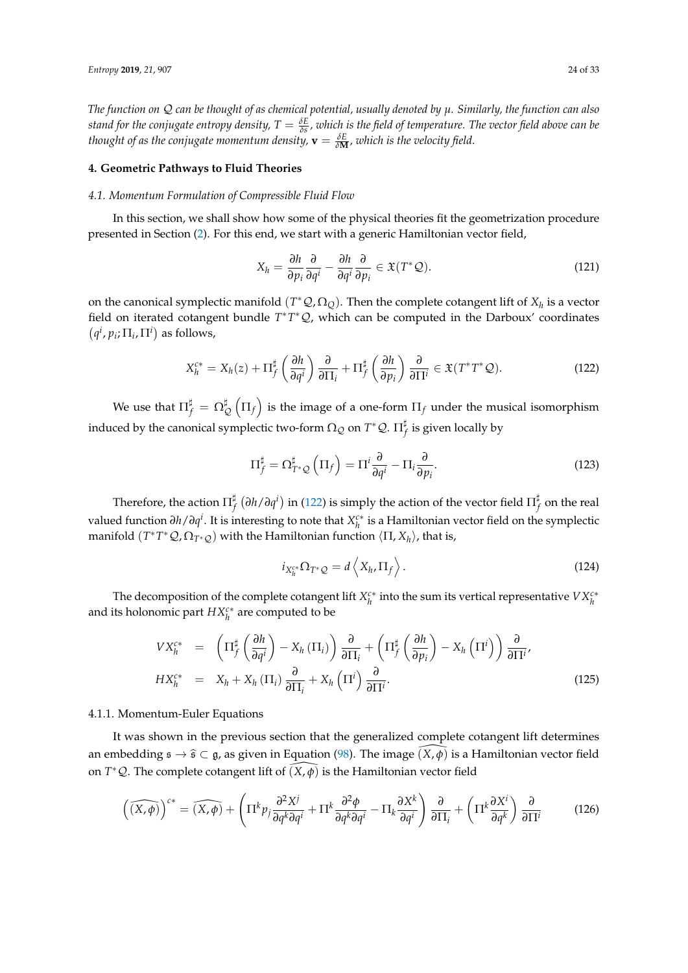*The function on* Q *can be thought of as chemical potential, usually denoted by µ. Similarly, the function can also stand for the conjugate entropy density,*  $T=\frac{\delta E}{\delta s}$ , which is the field of temperature. The vector field above can be *thought of as the conjugate momentum density,*  $\mathbf{v} = \frac{\delta E}{\delta \mathbf{M}}$ *, which is the velocity field.* 

#### **4. Geometric Pathways to Fluid Theories**

# <span id="page-23-0"></span>*4.1. Momentum Formulation of Compressible Fluid Flow*

In this section, we shall show how some of the physical theories fit the geometrization procedure presented in Section [\(2\)](#page-4-2). For this end, we start with a generic Hamiltonian vector field,

$$
X_h = \frac{\partial h}{\partial p_i} \frac{\partial}{\partial q^i} - \frac{\partial h}{\partial q^i} \frac{\partial}{\partial p_i} \in \mathfrak{X}(T^* \mathcal{Q}). \tag{121}
$$

on the canonical symplectic manifold  $(T^*\mathcal{Q}, \Omega_{\mathcal{Q}})$ . Then the complete cotangent lift of  $X_h$  is a vector field on iterated cotangent bundle *T*<sup>\*</sup>*T*<sup>\*</sup>*Q*, which can be computed in the Darboux' coordinates  $(q^i, p_i; \Pi_i, \Pi^i)$  as follows,

<span id="page-23-1"></span>
$$
X_h^{c*} = X_h(z) + \Pi_f^{\sharp} \left( \frac{\partial h}{\partial q^i} \right) \frac{\partial}{\partial \Pi_i} + \Pi_f^{\sharp} \left( \frac{\partial h}{\partial p_i} \right) \frac{\partial}{\partial \Pi^i} \in \mathfrak{X}(T^*T^*\mathcal{Q}). \tag{122}
$$

We use that  $\Pi_f^\sharp \,=\, \Omega^{\sharp}_\mathfrak{g}$  $\frac{\sharp}{\mathcal{Q}}\left(\Pi_f\right)$  is the image of a one-form  $\Pi_f$  under the musical isomorphism induced by the canonical symplectic two-form  $\Omega_{\mathcal{Q}}$  on  $T^*\mathcal{Q}$ .  $\Pi_I^\sharp$  $f \atop f$  is given locally by

$$
\Pi_f^{\sharp} = \Omega_{T^*\mathcal{Q}}^{\sharp} \left( \Pi_f \right) = \Pi^i \frac{\partial}{\partial q^i} - \Pi_i \frac{\partial}{\partial p_i}.
$$
 (123)

Therefore, the action  $\Pi_f^\sharp$ *f ∂h*/*∂q i* in [\(122\)](#page-23-1) is simply the action of the vector field Π ]  $^{\ast}_{f}$  on the real valued function *∂h*/*∂q i* . It is interesting to note that *X c*∗ *h* is a Hamiltonian vector field on the symplectic manifold (*T*<sup>∗</sup>*T*<sup>∗</sup>*Q*, Ω<sub>*T*<sup>∗</sup>*Q*</sub>) with the Hamiltonian function  $\langle \Pi, X_h \rangle$ , that is,

<span id="page-23-2"></span>
$$
i_{X_h^{c*}} \Omega_{T^*Q} = d \left\langle X_h, \Pi_f \right\rangle. \tag{124}
$$

The decomposition of the complete cotangent lift  $X_h^{c*}$  into the sum its vertical representative  $V X_h^{c*}$ and its holonomic part *HXc*<sup>∗</sup> *h* are computed to be

$$
V X_h^{c*} = \left( \Pi_f^{\sharp} \left( \frac{\partial h}{\partial q^i} \right) - X_h (\Pi_i) \right) \frac{\partial}{\partial \Pi_i} + \left( \Pi_f^{\sharp} \left( \frac{\partial h}{\partial p_i} \right) - X_h (\Pi^i) \right) \frac{\partial}{\partial \Pi^i},
$$
  
\n
$$
H X_h^{c*} = X_h + X_h (\Pi_i) \frac{\partial}{\partial \Pi_i} + X_h (\Pi^i) \frac{\partial}{\partial \Pi^i}.
$$
\n(125)

## 4.1.1. Momentum-Euler Equations

It was shown in the previous section that the generalized complete cotangent lift determines an embedding  $\mathfrak{s} \to \hat{\mathfrak{s}} \subset \mathfrak{g}$ , as given in Equation [\(98\)](#page-18-4). The image  $(X, \phi)$  is a Hamiltonian vector field on  $T^*Q$ . The complete cotangent lift of  $(\widehat{X,\varphi})$  is the Hamiltonian vector field

$$
\left(\widehat{(X,\phi)}\right)^{c*} = \widehat{(X,\phi)} + \left(\Pi^k p_j \frac{\partial^2 X^j}{\partial q^k \partial q^i} + \Pi^k \frac{\partial^2 \phi}{\partial q^k \partial q^i} - \Pi_k \frac{\partial X^k}{\partial q^i}\right) \frac{\partial}{\partial \Pi_i} + \left(\Pi^k \frac{\partial X^i}{\partial q^k}\right) \frac{\partial}{\partial \Pi^i}
$$
(126)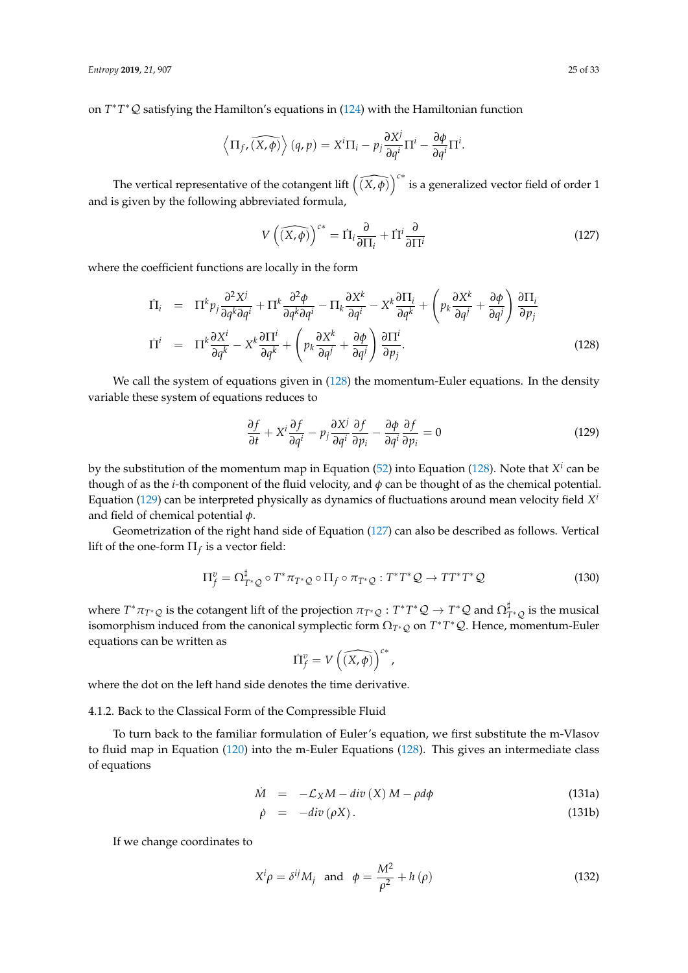on *T* ∗*T* <sup>∗</sup>Q satisfying the Hamilton's equations in [\(124\)](#page-23-2) with the Hamiltonian function

$$
\left\langle \Pi_{f}, \widehat{(X,\phi)} \right\rangle (q,p) = X^{i} \Pi_{i} - p_{j} \frac{\partial X^{j}}{\partial q^{i}} \Pi^{i} - \frac{\partial \phi}{\partial q^{i}} \Pi^{i}.
$$

The vertical representative of the cotangent lift  $(\widehat{(X,\phi)})^{c*}$  is a generalized vector field of order 1 and is given by the following abbreviated formula,

<span id="page-24-2"></span>
$$
V\left(\widehat{(X,\phi)}\right)^{c*} = \Pi_i \frac{\partial}{\partial \Pi_i} + \Pi^i \frac{\partial}{\partial \Pi^i}
$$
 (127)

where the coefficient functions are locally in the form

<span id="page-24-0"></span>
$$
\begin{array}{rcl}\n\dot{\Pi}_{i} & = & \Pi^{k} p_{j} \frac{\partial^{2} X^{j}}{\partial q^{k} \partial q^{i}} + \Pi^{k} \frac{\partial^{2} \phi}{\partial q^{k} \partial q^{i}} - \Pi_{k} \frac{\partial X^{k}}{\partial q^{i}} - X^{k} \frac{\partial \Pi_{i}}{\partial q^{k}} + \left( p_{k} \frac{\partial X^{k}}{\partial q^{j}} + \frac{\partial \phi}{\partial q^{j}} \right) \frac{\partial \Pi_{i}}{\partial p_{j}} \\
\dot{\Pi}^{i} & = & \Pi^{k} \frac{\partial X^{i}}{\partial q^{k}} - X^{k} \frac{\partial \Pi^{i}}{\partial q^{k}} + \left( p_{k} \frac{\partial X^{k}}{\partial q^{j}} + \frac{\partial \phi}{\partial q^{j}} \right) \frac{\partial \Pi^{i}}{\partial p_{j}}.\n\end{array} \tag{128}
$$

We call the system of equations given in [\(128\)](#page-24-0) the momentum-Euler equations. In the density variable these system of equations reduces to

<span id="page-24-1"></span>
$$
\frac{\partial f}{\partial t} + X^i \frac{\partial f}{\partial q^i} - p_j \frac{\partial X^j}{\partial q^i} \frac{\partial f}{\partial p_i} - \frac{\partial \phi}{\partial q^i} \frac{\partial f}{\partial p_i} = 0
$$
\n(129)

by the substitution of the momentum map in Equation [\(52\)](#page-10-3) into Equation [\(128\)](#page-24-0). Note that *X i* can be though of as the *i*-th component of the fluid velocity, and  $\phi$  can be thought of as the chemical potential. Equation [\(129\)](#page-24-1) can be interpreted physically as dynamics of fluctuations around mean velocity field *X i* and field of chemical potential *φ*.

Geometrization of the right hand side of Equation [\(127\)](#page-24-2) can also be described as follows. Vertical lift of the one-form  $\Pi_f$  is a vector field:

$$
\Pi_f^v = \Omega_{T^*\mathcal{Q}}^\sharp \circ T^*\pi_{T^*\mathcal{Q}} \circ \Pi_f \circ \pi_{T^*\mathcal{Q}} : T^*T^*\mathcal{Q} \to TT^*T^*\mathcal{Q}
$$
\n(130)

where  $T^*\pi_{T^*\mathcal{Q}}$  is the cotangent lift of the projection  $\pi_{T^*\mathcal{Q}}:T^*T^*\mathcal{Q}\to T^*\mathcal{Q}$  and  $\Omega_{T^*\mathcal{Q}}^\sharp$  is the musical isomorphism induced from the canonical symplectic form  $\Omega_{T^*\mathcal{Q}}$  on  $T^*T^*\mathcal{Q}$ . Hence, momentum-Euler equations can be written as

$$
\dot{\Pi}_f^v = V\left(\widehat{(X,\phi)}\right)^{c*},
$$

where the dot on the left hand side denotes the time derivative.

4.1.2. Back to the Classical Form of the Compressible Fluid

<span id="page-24-5"></span>To turn back to the familiar formulation of Euler's equation, we first substitute the m-Vlasov to fluid map in Equation [\(120\)](#page-22-0) into the m-Euler Equations [\(128\)](#page-24-0). This gives an intermediate class of equations

<span id="page-24-3"></span>
$$
\dot{M} = -\mathcal{L}_X M - div(X) M - \rho d\phi \qquad (131a)
$$

$$
\dot{\rho} = -div(\rho X). \tag{131b}
$$

If we change coordinates to

<span id="page-24-4"></span>
$$
X^{i} \rho = \delta^{ij} M_{j} \text{ and } \phi = \frac{M^{2}}{\rho^{2}} + h(\rho)
$$
 (132)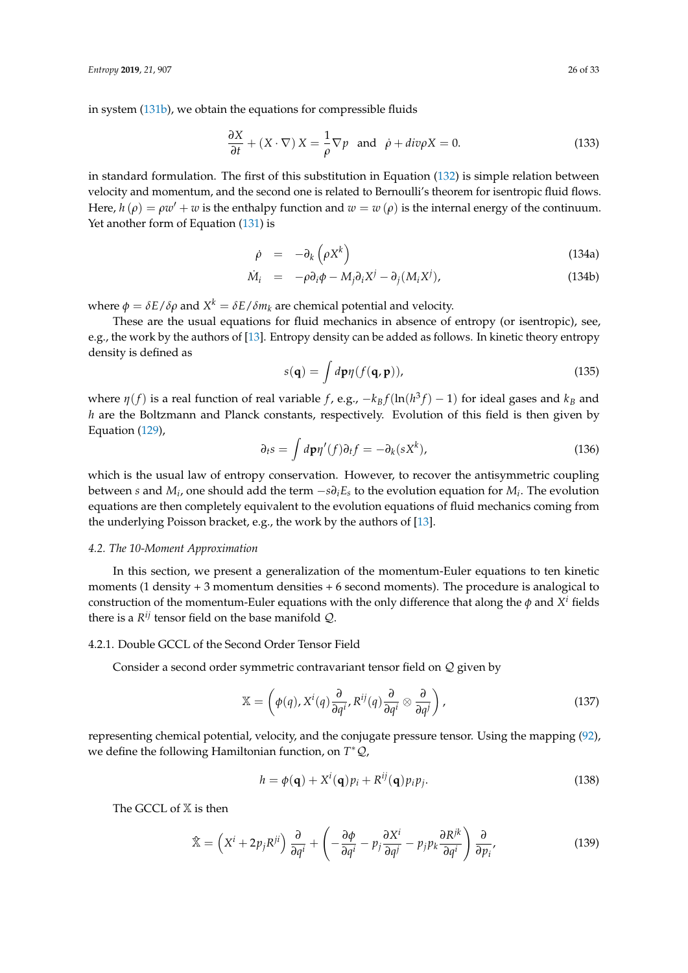in system [\(131b\)](#page-24-3), we obtain the equations for compressible fluids

$$
\frac{\partial X}{\partial t} + (X \cdot \nabla) X = \frac{1}{\rho} \nabla p \text{ and } \dot{\rho} + div \rho X = 0.
$$
 (133)

in standard formulation. The first of this substitution in Equation [\(132\)](#page-24-4) is simple relation between velocity and momentum, and the second one is related to Bernoulli's theorem for isentropic fluid flows. Here,  $h(\rho) = \rho w' + w$  is the enthalpy function and  $w = w(\rho)$  is the internal energy of the continuum. Yet another form of Equation [\(131\)](#page-24-5) is

$$
\dot{\rho} = -\partial_k \left( \rho X^k \right) \tag{134a}
$$

$$
\dot{M}_i = -\rho \partial_i \phi - M_j \partial_i X^j - \partial_j (M_i X^j), \qquad (134b)
$$

where  $\phi = \delta E / \delta \rho$  and  $X^k = \delta E / \delta m_k$  are chemical potential and velocity.

These are the usual equations for fluid mechanics in absence of entropy (or isentropic), see, e.g., the work by the authors of [\[13\]](#page-30-1). Entropy density can be added as follows. In kinetic theory entropy density is defined as

$$
s(\mathbf{q}) = \int d\mathbf{p}\eta (f(\mathbf{q}, \mathbf{p})), \qquad (135)
$$

where  $\eta(f)$  is a real function of real variable *f*, e.g.,  $-k_B f(\ln(h^3 f) - 1)$  for ideal gases and  $k_B$  and *h* are the Boltzmann and Planck constants, respectively. Evolution of this field is then given by Equation [\(129\)](#page-24-1),

$$
\partial_t s = \int d\mathbf{p} \eta'(f) \partial_t f = -\partial_k (s X^k), \qquad (136)
$$

which is the usual law of entropy conservation. However, to recover the antisymmetric coupling between *s* and *M<sup>i</sup>* , one should add the term −*s∂iE<sup>s</sup>* to the evolution equation for *M<sup>i</sup>* . The evolution equations are then completely equivalent to the evolution equations of fluid mechanics coming from the underlying Poisson bracket, e.g., the work by the authors of [\[13\]](#page-30-1).

## <span id="page-25-0"></span>*4.2. The 10-Moment Approximation*

In this section, we present a generalization of the momentum-Euler equations to ten kinetic moments (1 density + 3 momentum densities + 6 second moments). The procedure is analogical to construction of the momentum-Euler equations with the only difference that along the  $\phi$  and  $X^i$  fields there is a  $R^{ij}$  tensor field on the base manifold  $\mathcal{Q}$ .

# 4.2.1. Double GCCL of the Second Order Tensor Field

Consider a second order symmetric contravariant tensor field on Q given by

$$
\mathbb{X} = \left( \phi(q), X^i(q) \frac{\partial}{\partial q^i}, R^{ij}(q) \frac{\partial}{\partial q^i} \otimes \frac{\partial}{\partial q^j} \right),\tag{137}
$$

representing chemical potential, velocity, and the conjugate pressure tensor. Using the mapping [\(92\)](#page-17-3), we define the following Hamiltonian function, on *T* <sup>∗</sup>Q,

$$
h = \phi(\mathbf{q}) + X^{i}(\mathbf{q})p_{i} + R^{ij}(\mathbf{q})p_{i}p_{j}.
$$
\n(138)

The GCCL of  $X$  is then

$$
\hat{\mathbb{X}} = \left(X^{i} + 2p_{j}R^{ji}\right)\frac{\partial}{\partial q^{i}} + \left(-\frac{\partial \phi}{\partial q^{i}} - p_{j}\frac{\partial X^{i}}{\partial q^{j}} - p_{j}p_{k}\frac{\partial R^{jk}}{\partial q^{i}}\right)\frac{\partial}{\partial p_{i}},
$$
\n(139)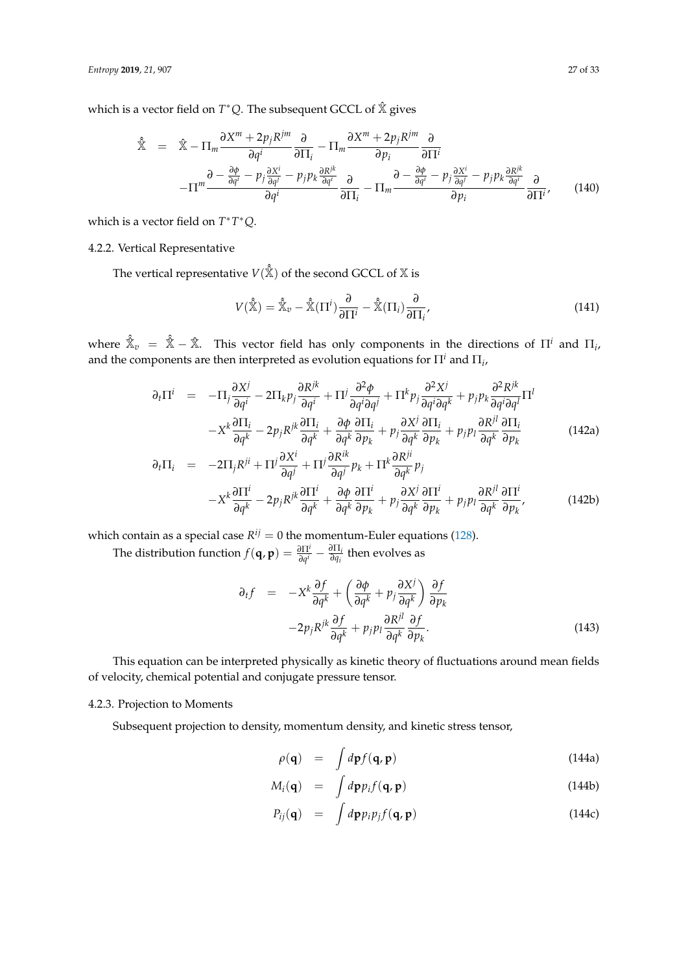which is a vector field on *T* <sup>∗</sup>*Q*. The subsequent GCCL of Xˆ gives

$$
\hat{\mathbb{X}} = \hat{\mathbb{X}} - \Pi_m \frac{\partial X^m + 2p_j R^{jm}}{\partial q^i} \frac{\partial}{\partial \Pi_i} - \Pi_m \frac{\partial X^m + 2p_j R^{jm}}{\partial p_i} \frac{\partial}{\partial \Pi^i} \n- \Pi^m \frac{\partial - \frac{\partial \phi}{\partial q^i} - p_j \frac{\partial X^i}{\partial q^j} - p_j p_k \frac{\partial R^k}{\partial q^i}}{\partial q^i} \frac{\partial}{\partial \Pi_i} - \Pi_m \frac{\partial - \frac{\partial \phi}{\partial q^i} - p_j \frac{\partial X^i}{\partial q^j} - p_j p_k \frac{\partial R^k}{\partial q^i}}{\partial p_i} \frac{\partial}{\partial \Pi^i},
$$
\n(140)

which is a vector field on *T* ∗*T* <sup>∗</sup>*Q*.

# 4.2.2. Vertical Representative

The vertical representative  $V(\hat{\hat{\mathbb{X}}})$  of the second GCCL of  $\mathbb X$  is

$$
V(\hat{\mathbb{X}}) = \hat{\mathbb{X}}_v - \hat{\mathbb{X}}(\Pi^i) \frac{\partial}{\partial \Pi^i} - \hat{\mathbb{X}}(\Pi_i) \frac{\partial}{\partial \Pi_i},\tag{141}
$$

where  $\hat{\mathbb{X}}_v = \hat{\mathbb{X}} - \hat{\mathbb{X}}$ . This vector field has only components in the directions of  $\Pi^i$  and  $\Pi_i$ , and the components are then interpreted as evolution equations for  $\Pi^i$  and  $\Pi_i$ ,

$$
\partial_t \Pi^i = -\Pi_j \frac{\partial X^j}{\partial q^i} - 2\Pi_k p_j \frac{\partial R^{jk}}{\partial q^i} + \Pi^j \frac{\partial^2 \phi}{\partial q^i \partial q^j} + \Pi^k p_j \frac{\partial^2 X^j}{\partial q^i \partial q^k} + p_j p_k \frac{\partial^2 R^{jk}}{\partial q^i \partial q^l} \Pi^l
$$
  

$$
-X^k \frac{\partial \Pi_i}{\partial q^k} - 2p_j R^{jk} \frac{\partial \Pi_i}{\partial q^k} + \frac{\partial \phi}{\partial q^k} \frac{\partial \Pi_i}{\partial p_k} + p_j \frac{\partial X^j}{\partial q^k} \frac{\partial \Pi_i}{\partial p_k} + p_j p_l \frac{\partial R^{jl}}{\partial q^k} \frac{\partial \Pi_i}{\partial p_k}
$$
(142a)

$$
\partial_t \Pi_i = -2\Pi_j R^{ji} + \Pi^j \frac{\partial X^i}{\partial q^j} + \Pi^j \frac{\partial R^{ik}}{\partial q^j} p_k + \Pi^k \frac{\partial R^{ji}}{\partial q^k} p_j
$$
  

$$
-X^k \frac{\partial \Pi^i}{\partial q^k} - 2p_j R^{jk} \frac{\partial \Pi^i}{\partial q^k} + \frac{\partial \phi}{\partial q^k} \frac{\partial \Pi^i}{\partial p_k} + p_j \frac{\partial X^j}{\partial q^k} \frac{\partial \Pi^i}{\partial p_k} + p_j p_l \frac{\partial R^{jl}}{\partial q^k} \frac{\partial \Pi^i}{\partial p_k},
$$
(142b)

which contain as a special case  $R^{ij} = 0$  the momentum-Euler equations [\(128\)](#page-24-0).

The distribution function  $f(\mathbf{q}, \mathbf{p}) = \frac{\partial \Pi^i}{\partial q^i} - \frac{\partial \Pi_i}{\partial q_i}$  $\frac{\partial \Pi_i}{\partial q_i}$  then evolves as

<span id="page-26-0"></span>
$$
\partial_{t}f = -X^{k} \frac{\partial f}{\partial q^{k}} + \left( \frac{\partial \phi}{\partial q^{k}} + p_{j} \frac{\partial X^{j}}{\partial q^{k}} \right) \frac{\partial f}{\partial p_{k}} -2p_{j}R^{jk} \frac{\partial f}{\partial q^{k}} + p_{j}p_{l} \frac{\partial R^{jl}}{\partial q^{k}} \frac{\partial f}{\partial p_{k}}.
$$
\n(143)

This equation can be interpreted physically as kinetic theory of fluctuations around mean fields of velocity, chemical potential and conjugate pressure tensor.

# 4.2.3. Projection to Moments

Subsequent projection to density, momentum density, and kinetic stress tensor,

$$
\rho(\mathbf{q}) = \int d\mathbf{p} f(\mathbf{q}, \mathbf{p}) \tag{144a}
$$

$$
M_i(\mathbf{q}) = \int d\mathbf{p} p_i f(\mathbf{q}, \mathbf{p}) \qquad (144b)
$$

$$
P_{ij}(\mathbf{q}) = \int d\mathbf{p} p_i p_j f(\mathbf{q}, \mathbf{p}) \qquad (144c)
$$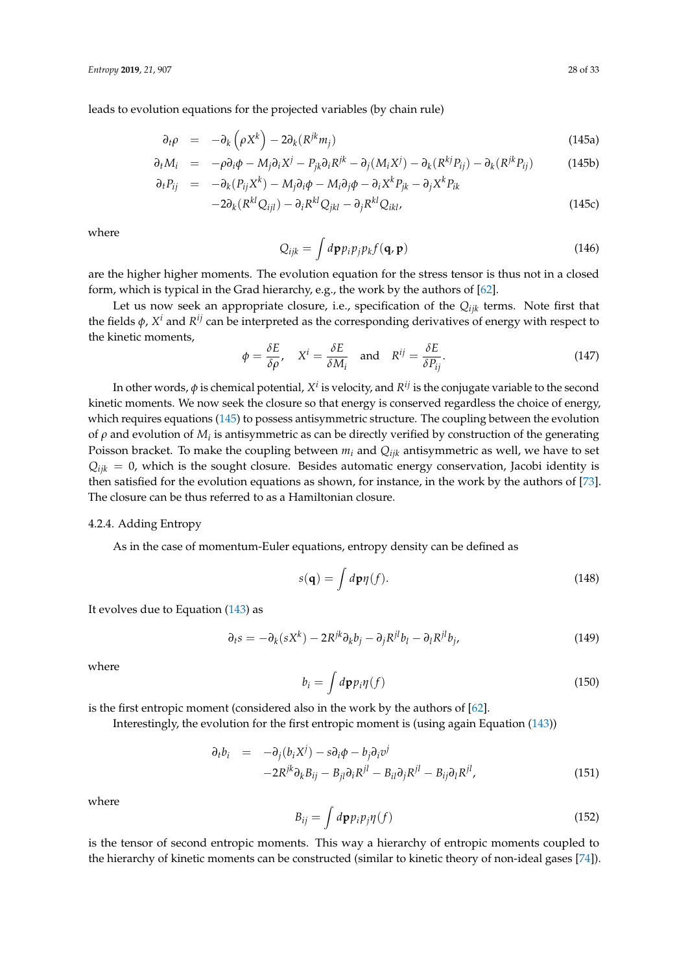leads to evolution equations for the projected variables (by chain rule)

<span id="page-27-1"></span>
$$
\partial_t \rho = -\partial_k \left( \rho X^k \right) - 2\partial_k (R^{jk} m_j) \tag{145a}
$$

$$
\partial_t M_i = -\rho \partial_i \phi - M_j \partial_i X^j - P_{jk} \partial_i R^{jk} - \partial_j (M_i X^j) - \partial_k (R^{kj} P_{ij}) - \partial_k (R^{jk} P_{ij})
$$
\n
$$
\partial_t P_{ij} = -\partial_k (P_{ij} X^k) - M_j \partial_i \phi - M_i \partial_j \phi - \partial_i X^k P_{jk} - \partial_j X^k P_{ik}
$$
\n(145b)

$$
-2\partial_k (R^{kl}Q_{ijl}) - \partial_i R^{kl}Q_{jkl} - \partial_j R^{kl}Q_{ikl},
$$
\n(145c)

where

<span id="page-27-0"></span>
$$
Q_{ijk} = \int d\mathbf{p} p_i p_j p_k f(\mathbf{q}, \mathbf{p})
$$
 (146)

are the higher higher moments. The evolution equation for the stress tensor is thus not in a closed form, which is typical in the Grad hierarchy, e.g., the work by the authors of [\[62\]](#page-31-23).

Let us now seek an appropriate closure, i.e., specification of the *Qijk* terms. Note first that the fields *φ*, *X <sup>i</sup>* and *R ij* can be interpreted as the corresponding derivatives of energy with respect to the kinetic moments,

$$
\phi = \frac{\delta E}{\delta \rho}, \quad X^i = \frac{\delta E}{\delta M_i} \quad \text{and} \quad R^{ij} = \frac{\delta E}{\delta P_{ij}}.
$$
\n(147)

In other words,  $\phi$  is chemical potential,  $X^i$  is velocity, and  $R^{ij}$  is the conjugate variable to the second kinetic moments. We now seek the closure so that energy is conserved regardless the choice of energy, which requires equations [\(145\)](#page-27-0) to possess antisymmetric structure. The coupling between the evolution of  $ρ$  and evolution of  $M$ *<sub>i</sub>* is antisymmetric as can be directly verified by construction of the generating Poisson bracket. To make the coupling between  $m_i$  and  $Q_{ijk}$  antisymmetric as well, we have to set  $Q_{ijk} = 0$ , which is the sought closure. Besides automatic energy conservation, Jacobi identity is then satisfied for the evolution equations as shown, for instance, in the work by the authors of [\[73\]](#page-32-9). The closure can be thus referred to as a Hamiltonian closure.

#### 4.2.4. Adding Entropy

As in the case of momentum-Euler equations, entropy density can be defined as

$$
s(\mathbf{q}) = \int d\mathbf{p}\eta(f). \tag{148}
$$

It evolves due to Equation  $(143)$  as

$$
\partial_t s = -\partial_k(sX^k) - 2R^{jk}\partial_k b_j - \partial_j R^{jl}b_l - \partial_l R^{jl}b_j,
$$
\n(149)

where

$$
b_i = \int d\mathbf{p} p_i \eta(f) \tag{150}
$$

is the first entropic moment (considered also in the work by the authors of [\[62\]](#page-31-23).

Interestingly, the evolution for the first entropic moment is (using again Equation [\(143\)](#page-26-0))

$$
\partial_t b_i = -\partial_j (b_i X^j) - s \partial_i \phi - b_j \partial_i v^j
$$
  
-2R<sup>jk</sup>  $\partial_k B_{ij} - B_{jl} \partial_i R^{jl} - B_{il} \partial_j R^{jl} - B_{ij} \partial_l R^{jl},$  (151)

where

$$
B_{ij} = \int d\mathbf{p} p_i p_j \eta(f) \tag{152}
$$

is the tensor of second entropic moments. This way a hierarchy of entropic moments coupled to the hierarchy of kinetic moments can be constructed (similar to kinetic theory of non-ideal gases [\[74\]](#page-32-10)).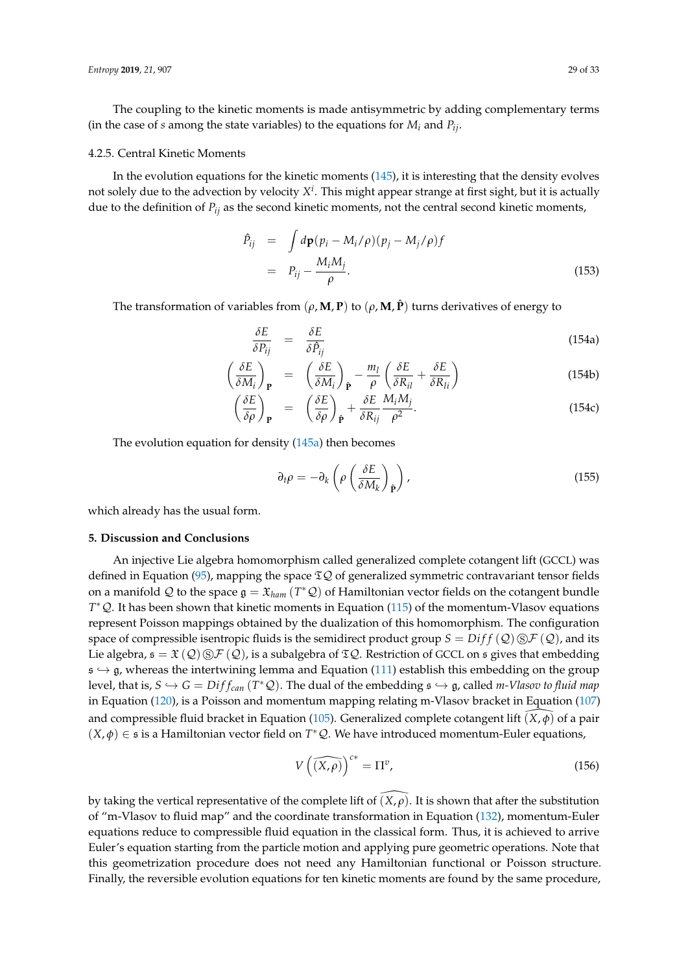The coupling to the kinetic moments is made antisymmetric by adding complementary terms (in the case of *s* among the state variables) to the equations for *M<sup>i</sup>* and *Pij*.

#### 4.2.5. Central Kinetic Moments

In the evolution equations for the kinetic moments [\(145\)](#page-27-0), it is interesting that the density evolves not solely due to the advection by velocity *X i* . This might appear strange at first sight, but it is actually due to the definition of *Pij* as the second kinetic moments, not the central second kinetic moments,

$$
\begin{array}{rcl}\n\hat{P}_{ij} & = & \int d\mathbf{p}(p_i - M_i/\rho)(p_j - M_j/\rho)f \\
& = & P_{ij} - \frac{M_i M_j}{\rho}.\n\end{array} \tag{153}
$$

The transformation of variables from  $(\rho, M, P)$  to  $(\rho, M, \hat{P})$  turns derivatives of energy to

$$
\frac{\delta E}{\delta P_{ij}} = \frac{\delta E}{\delta \hat{P}_{ij}} \tag{154a}
$$

$$
\left(\frac{\delta E}{\delta M_i}\right)_{\mathbf{P}} = \left(\frac{\delta E}{\delta M_i}\right)_{\hat{\mathbf{P}}} - \frac{m_l}{\rho} \left(\frac{\delta E}{\delta R_{il}} + \frac{\delta E}{\delta R_{li}}\right)
$$
(154b)

$$
\left(\frac{\delta E}{\delta \rho}\right)_{\mathbf{P}} = \left(\frac{\delta E}{\delta \rho}\right)_{\hat{\mathbf{P}}} + \frac{\delta E}{\delta R_{ij}} \frac{M_i M_j}{\rho^2}.
$$
\n(154c)

The evolution equation for density [\(145a\)](#page-27-1) then becomes

$$
\partial_t \rho = -\partial_k \left( \rho \left( \frac{\delta E}{\delta M_k} \right)_\mathbf{\hat{p}} \right), \tag{155}
$$

which already has the usual form.

### **5. Discussion and Conclusions**

An injective Lie algebra homomorphism called generalized complete cotangent lift (GCCL) was defined in Equation [\(95\)](#page-17-1), mapping the space  $\mathfrak{D}Q$  of generalized symmetric contravariant tensor fields on a manifold  $\mathcal Q$  to the space  $\mathfrak g = \mathfrak X_{ham}$   $(T^*\mathcal Q)$  of Hamiltonian vector fields on the cotangent bundle *T*<sup>\*</sup>  $Q$ . It has been shown that kinetic moments in Equation [\(115\)](#page-21-1) of the momentum-Vlasov equations represent Poisson mappings obtained by the dualization of this homomorphism. The configuration space of compressible isentropic fluids is the semidirect product group  $S = Diff(Q) \text{S} \mathcal{F}(Q)$ , and its Lie algebra,  $\mathfrak{s} = \mathfrak{X}(\mathcal{Q}) \otimes \mathcal{F}(\mathcal{Q})$ , is a subalgebra of  $\mathfrak{TSQ}$ . Restriction of GCCL on  $\mathfrak{s}$  gives that embedding  $s \hookrightarrow g$ , whereas the intertwining lemma and Equation [\(111\)](#page-20-2) establish this embedding on the group level, that is,  $S \hookrightarrow G = Diff_{can} (T^*Q)$ . The dual of the embedding  $\mathfrak{s} \hookrightarrow \mathfrak{g}$ , called *m-Vlasov to fluid map* in Equation [\(120\)](#page-22-0), is a Poisson and momentum mapping relating m-Vlasov bracket in Equation [\(107\)](#page-19-2) and compressible fluid bracket in Equation [\(105\)](#page-19-4). Generalized complete cotangent lift  $(X, \phi)$  of a pair  $(X, \phi) \in \mathfrak{s}$  is a Hamiltonian vector field on  $T^*Q$ . We have introduced momentum-Euler equations,

$$
V\left(\widehat{(X,\rho)}\right)^{c*} = \Pi^v,\tag{156}
$$

by taking the vertical representative of the complete lift of  $(X, \rho)$ . It is shown that after the substitution of "m-Vlasov to fluid map" and the coordinate transformation in Equation [\(132\)](#page-24-4), momentum-Euler equations reduce to compressible fluid equation in the classical form. Thus, it is achieved to arrive Euler's equation starting from the particle motion and applying pure geometric operations. Note that this geometrization procedure does not need any Hamiltonian functional or Poisson structure. Finally, the reversible evolution equations for ten kinetic moments are found by the same procedure,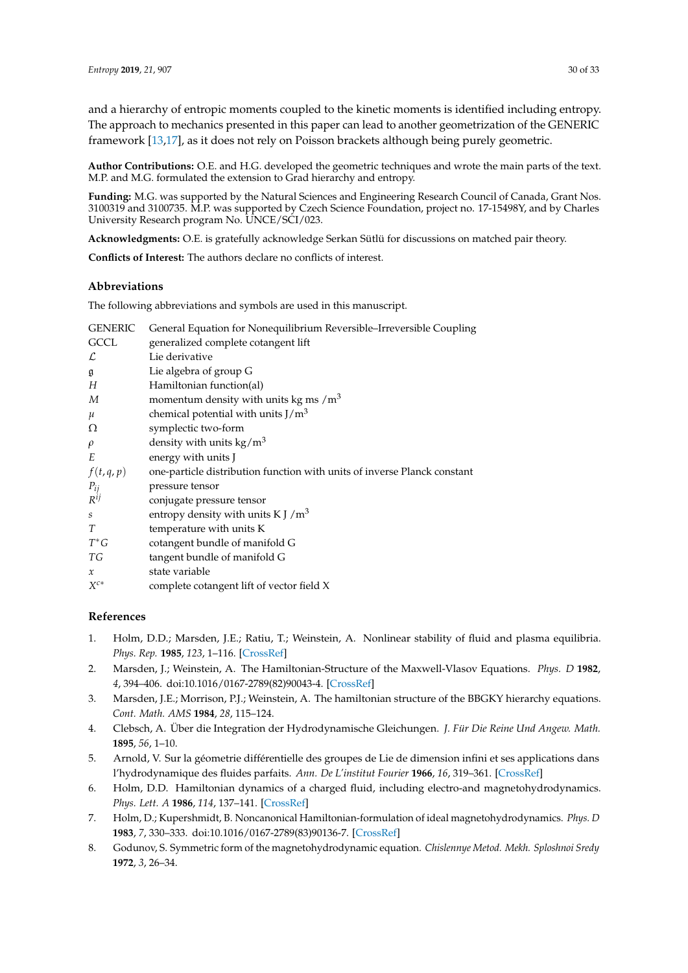and a hierarchy of entropic moments coupled to the kinetic moments is identified including entropy. The approach to mechanics presented in this paper can lead to another geometrization of the GENERIC framework [\[13](#page-30-1)[,17\]](#page-30-2), as it does not rely on Poisson brackets although being purely geometric.

**Author Contributions:** O.E. and H.G. developed the geometric techniques and wrote the main parts of the text. M.P. and M.G. formulated the extension to Grad hierarchy and entropy.

**Funding:** M.G. was supported by the Natural Sciences and Engineering Research Council of Canada, Grant Nos. 3100319 and 3100735. M.P. was supported by Czech Science Foundation, project no. 17-15498Y, and by Charles University Research program No. UNCE/SCI/023.

**Acknowledgments:** O.E. is gratefully acknowledge Serkan Sütlü for discussions on matched pair theory.

**Conflicts of Interest:** The authors declare no conflicts of interest.

# **Abbreviations**

The following abbreviations and symbols are used in this manuscript.

| <b>GENERIC</b>   | General Equation for Nonequilibrium Reversible-Irreversible Coupling     |
|------------------|--------------------------------------------------------------------------|
| GCCL             | generalized complete cotangent lift                                      |
| L                | Lie derivative                                                           |
| $\mathfrak g$    | Lie algebra of group G                                                   |
| Н                | Hamiltonian function(al)                                                 |
| M                | momentum density with units kg ms $/m3$                                  |
| $\mu$            | chemical potential with units $J/m3$                                     |
| Ω                | symplectic two-form                                                      |
| $\rho$           | density with units $\text{kg/m}^3$                                       |
| E                | energy with units J                                                      |
| f(t,q,p)         | one-particle distribution function with units of inverse Planck constant |
| $P_{ij}$         | pressure tensor                                                          |
| $R^{ij}$         | conjugate pressure tensor                                                |
| $\boldsymbol{S}$ | entropy density with units K J $/m3$                                     |
| T                | temperature with units K                                                 |
| $T^*G$           | cotangent bundle of manifold G                                           |
| ТG               | tangent bundle of manifold G                                             |
| $\mathcal{X}$    | state variable                                                           |
| $X^{c*}$         | complete cotangent lift of vector field X                                |
|                  |                                                                          |

# **References**

- <span id="page-29-0"></span>1. Holm, D.D.; Marsden, J.E.; Ratiu, T.; Weinstein, A. Nonlinear stability of fluid and plasma equilibria. *Phys. Rep.* **1985**, *123*, 1–116. [\[CrossRef\]](http://dx.doi.org/10.1016/0370-1573(85)90028-6)
- <span id="page-29-1"></span>2. Marsden, J.; Weinstein, A. The Hamiltonian-Structure of the Maxwell-Vlasov Equations. *Phys. D* **1982**, *4*, 394–406. doi:10.1016/0167-2789(82)90043-4. [\[CrossRef\]](http://dx.doi.org/10.1016/0167-2789(82)90043-4)
- <span id="page-29-2"></span>3. Marsden, J.E.; Morrison, P.J.; Weinstein, A. The hamiltonian structure of the BBGKY hierarchy equations. *Cont. Math. AMS* **1984**, *28*, 115–124.
- <span id="page-29-3"></span>4. Clebsch, A. Über die Integration der Hydrodynamische Gleichungen. *J. Für Die Reine Und Angew. Math.* **1895**, *56*, 1–10.
- <span id="page-29-4"></span>5. Arnold, V. Sur la géometrie différentielle des groupes de Lie de dimension infini et ses applications dans l'hydrodynamique des fluides parfaits. *Ann. De L'institut Fourier* **1966**, *16*, 319–361. [\[CrossRef\]](http://dx.doi.org/10.5802/aif.233)
- <span id="page-29-5"></span>6. Holm, D.D. Hamiltonian dynamics of a charged fluid, including electro-and magnetohydrodynamics. *Phys. Lett. A* **1986**, *114*, 137–141. [\[CrossRef\]](http://dx.doi.org/10.1016/0375-9601(86)90541-4)
- <span id="page-29-6"></span>7. Holm, D.; Kupershmidt, B. Noncanonical Hamiltonian-formulation of ideal magnetohydrodynamics. *Phys. D* **1983**, *7*, 330–333. doi:10.1016/0167-2789(83)90136-7. [\[CrossRef\]](http://dx.doi.org/10.1016/0167-2789(83)90136-7)
- <span id="page-29-7"></span>8. Godunov, S. Symmetric form of the magnetohydrodynamic equation. *Chislennye Metod. Mekh. Sploshnoi Sredy* **1972**, *3*, 26–34.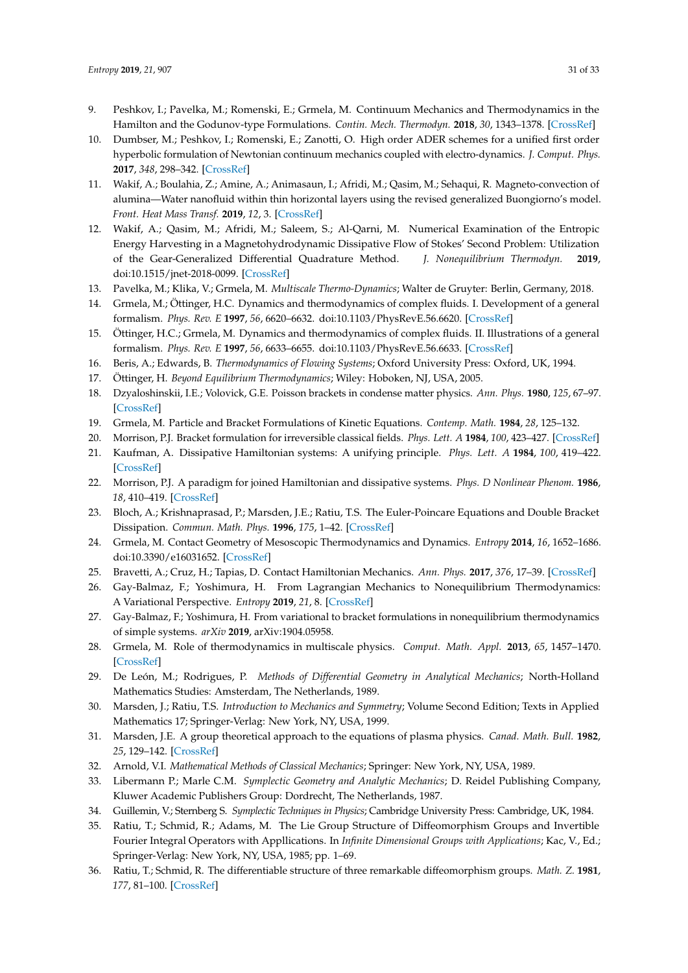- 9. Peshkov, I.; Pavelka, M.; Romenski, E.; Grmela, M. Continuum Mechanics and Thermodynamics in the Hamilton and the Godunov-type Formulations. *Contin. Mech. Thermodyn.* **2018**, *30*, 1343–1378. [\[CrossRef\]](http://dx.doi.org/10.1007/s00161-018-0621-2)
- 10. Dumbser, M.; Peshkov, I.; Romenski, E.; Zanotti, O. High order ADER schemes for a unified first order hyperbolic formulation of Newtonian continuum mechanics coupled with electro-dynamics. *J. Comput. Phys.* **2017**, *348*, 298–342. [\[CrossRef\]](http://dx.doi.org/10.1016/j.jcp.2017.07.020)
- 11. Wakif, A.; Boulahia, Z.; Amine, A.; Animasaun, I.; Afridi, M.; Qasim, M.; Sehaqui, R. Magneto-convection of alumina—Water nanofluid within thin horizontal layers using the revised generalized Buongiorno's model. *Front. Heat Mass Transf.* **2019**, *12*, 3. [\[CrossRef\]](http://dx.doi.org/10.5098/hmt.12.3)
- <span id="page-30-0"></span>12. Wakif, A.; Qasim, M.; Afridi, M.; Saleem, S.; Al-Qarni, M. Numerical Examination of the Entropic Energy Harvesting in a Magnetohydrodynamic Dissipative Flow of Stokes' Second Problem: Utilization of the Gear-Generalized Differential Quadrature Method. *J. Nonequilibrium Thermodyn.* **2019**, doi:10.1515/jnet-2018-0099. [\[CrossRef\]](http://dx.doi.org/10.1515/jnet-2018-0099)
- <span id="page-30-1"></span>13. Pavelka, M.; Klika, V.; Grmela, M. *Multiscale Thermo-Dynamics*; Walter de Gruyter: Berlin, Germany, 2018.
- 14. Grmela, M.; Öttinger, H.C. Dynamics and thermodynamics of complex fluids. I. Development of a general formalism. *Phys. Rev. E* **1997**, *56*, 6620–6632. doi:10.1103/PhysRevE.56.6620. [\[CrossRef\]](http://dx.doi.org/10.1103/PhysRevE.56.6620)
- <span id="page-30-7"></span>15. Öttinger, H.C.; Grmela, M. Dynamics and thermodynamics of complex fluids. II. Illustrations of a general formalism. *Phys. Rev. E* **1997**, *56*, 6633–6655. doi:10.1103/PhysRevE.56.6633. [\[CrossRef\]](http://dx.doi.org/10.1103/PhysRevE.56.6633)
- 16. Beris, A.; Edwards, B. *Thermodynamics of Flowing Systems*; Oxford University Press: Oxford, UK, 1994.
- <span id="page-30-2"></span>17. Öttinger, H. *Beyond Equilibrium Thermodynamics*; Wiley: Hoboken, NJ, USA, 2005.
- <span id="page-30-3"></span>18. Dzyaloshinskii, I.E.; Volovick, G.E. Poisson brackets in condense matter physics. *Ann. Phys.* **1980**, *125*, 67–97. [\[CrossRef\]](http://dx.doi.org/10.1016/0003-4916(80)90119-0)
- 19. Grmela, M. Particle and Bracket Formulations of Kinetic Equations. *Contemp. Math.* **1984**, *28*, 125–132.
- 20. Morrison, P.J. Bracket formulation for irreversible classical fields. *Phys. Lett. A* **1984**, *100*, 423–427. [\[CrossRef\]](http://dx.doi.org/10.1016/0375-9601(84)90635-2)
- <span id="page-30-4"></span>21. Kaufman, A. Dissipative Hamiltonian systems: A unifying principle. *Phys. Lett. A* **1984**, *100*, 419–422. [\[CrossRef\]](http://dx.doi.org/10.1016/0375-9601(84)90634-0)
- <span id="page-30-5"></span>22. Morrison, P.J. A paradigm for joined Hamiltonian and dissipative systems. *Phys. D Nonlinear Phenom.* **1986**, *18*, 410–419. [\[CrossRef\]](http://dx.doi.org/10.1016/0167-2789(86)90209-5)
- <span id="page-30-6"></span>23. Bloch, A.; Krishnaprasad, P.; Marsden, J.E.; Ratiu, T.S. The Euler-Poincare Equations and Double Bracket Dissipation. *Commun. Math. Phys.* **1996**, *175*, 1–42. [\[CrossRef\]](http://dx.doi.org/10.1007/BF02101622)
- <span id="page-30-8"></span>24. Grmela, M. Contact Geometry of Mesoscopic Thermodynamics and Dynamics. *Entropy* **2014**, *16*, 1652–1686. doi:10.3390/e16031652. [\[CrossRef\]](http://dx.doi.org/10.3390/e16031652)
- <span id="page-30-9"></span>25. Bravetti, A.; Cruz, H.; Tapias, D. Contact Hamiltonian Mechanics. *Ann. Phys.* **2017**, *376*, 17–39. [\[CrossRef\]](http://dx.doi.org/10.1016/j.aop.2016.11.003)
- <span id="page-30-10"></span>26. Gay-Balmaz, F.; Yoshimura, H. From Lagrangian Mechanics to Nonequilibrium Thermodynamics: A Variational Perspective. *Entropy* **2019**, *21*, 8. [\[CrossRef\]](http://dx.doi.org/10.3390/e21010008)
- <span id="page-30-11"></span>27. Gay-Balmaz, F.; Yoshimura, H. From variational to bracket formulations in nonequilibrium thermodynamics of simple systems. *arXiv* **2019**, arXiv:1904.05958.
- <span id="page-30-12"></span>28. Grmela, M. Role of thermodynamics in multiscale physics. *Comput. Math. Appl.* **2013**, *65*, 1457–1470. [\[CrossRef\]](http://dx.doi.org/10.1016/j.camwa.2012.11.019)
- <span id="page-30-13"></span>29. De León, M.; Rodrigues, P. *Methods of Differential Geometry in Analytical Mechanics*; North-Holland Mathematics Studies: Amsterdam, The Netherlands, 1989.
- <span id="page-30-14"></span>30. Marsden, J.; Ratiu, T.S. *Introduction to Mechanics and Symmetry*; Volume Second Edition; Texts in Applied Mathematics 17; Springer-Verlag: New York, NY, USA, 1999.
- <span id="page-30-15"></span>31. Marsden, J.E. A group theoretical approach to the equations of plasma physics. *Canad. Math. Bull.* **1982**, *25*, 129–142. [\[CrossRef\]](http://dx.doi.org/10.4153/CMB-1982-019-9)
- <span id="page-30-16"></span>32. Arnold, V.I. *Mathematical Methods of Classical Mechanics*; Springer: New York, NY, USA, 1989.
- 33. Libermann P.; Marle C.M. *Symplectic Geometry and Analytic Mechanics*; D. Reidel Publishing Company, Kluwer Academic Publishers Group: Dordrecht, The Netherlands, 1987.
- <span id="page-30-17"></span>34. Guillemin, V.; Sternberg S. *Symplectic Techniques in Physics*; Cambridge University Press: Cambridge, UK, 1984.
- <span id="page-30-18"></span>35. Ratiu, T.; Schmid, R.; Adams, M. The Lie Group Structure of Diffeomorphism Groups and Invertible Fourier Integral Operators with Appllications. In *Infinite Dimensional Groups with Applications*; Kac, V., Ed.; Springer-Verlag: New York, NY, USA, 1985; pp. 1–69.
- 36. Ratiu, T.; Schmid, R. The differentiable structure of three remarkable diffeomorphism groups. *Math. Z.* **1981**, *177*, 81–100. [\[CrossRef\]](http://dx.doi.org/10.1007/BF01214340)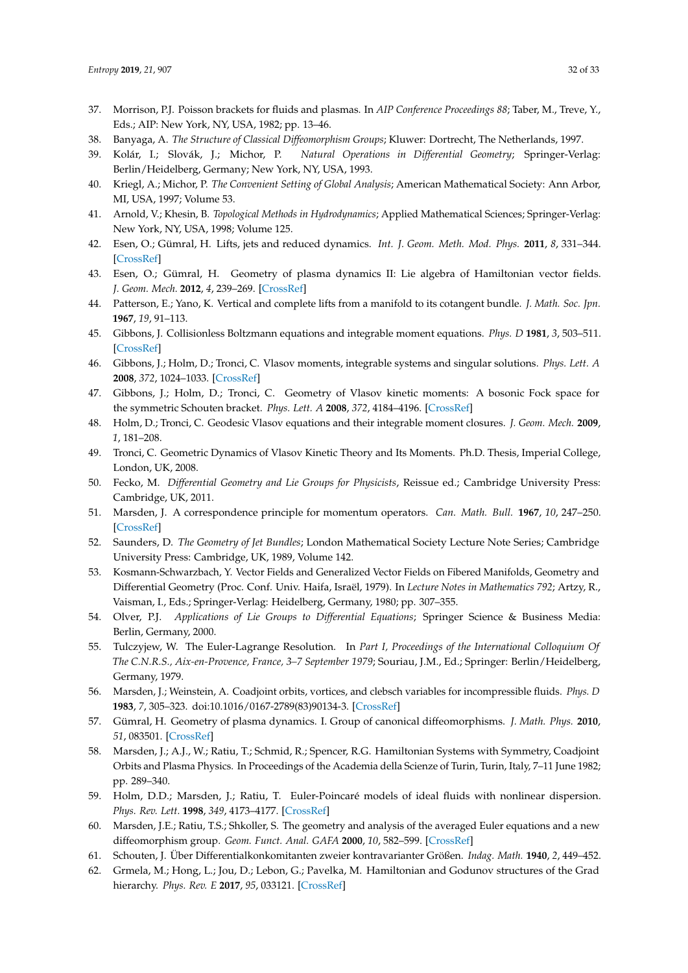- <span id="page-31-0"></span>37. Morrison, P.J. Poisson brackets for fluids and plasmas. In *AIP Conference Proceedings 88*; Taber, M., Treve, Y., Eds.; AIP: New York, NY, USA, 1982; pp. 13–46.
- <span id="page-31-1"></span>38. Banyaga, A. *The Structure of Classical Diffeomorphism Groups*; Kluwer: Dortrecht, The Netherlands, 1997.
- <span id="page-31-21"></span>39. Kolár, I.; Slovák, J.; Michor, P. *Natural Operations in Differential Geometry*; Springer-Verlag: Berlin/Heidelberg, Germany; New York, NY, USA, 1993.
- <span id="page-31-2"></span>40. Kriegl, A.; Michor, P. *The Convenient Setting of Global Analysis*; American Mathematical Society: Ann Arbor, MI, USA, 1997; Volume 53.
- <span id="page-31-3"></span>41. Arnold, V.; Khesin, B. *Topological Methods in Hydrodynamics*; Applied Mathematical Sciences; Springer-Verlag: New York, NY, USA, 1998; Volume 125.
- <span id="page-31-4"></span>42. Esen, O.; Gümral, H. Lifts, jets and reduced dynamics. *Int. J. Geom. Meth. Mod. Phys.* **2011**, *8*, 331–344. [\[CrossRef\]](http://dx.doi.org/10.1142/S0219887811005166)
- <span id="page-31-5"></span>43. Esen, O.; Gümral, H. Geometry of plasma dynamics II: Lie algebra of Hamiltonian vector fields. *J. Geom. Mech.* **2012**, *4*, 239–269. [\[CrossRef\]](http://dx.doi.org/10.3934/jgm.2012.4.239)
- <span id="page-31-6"></span>44. Patterson, E.; Yano, K. Vertical and complete lifts from a manifold to its cotangent bundle. *J. Math. Soc. Jpn.* **1967**, *19*, 91–113.
- <span id="page-31-7"></span>45. Gibbons, J. Collisionless Boltzmann equations and integrable moment equations. *Phys. D* **1981**, *3*, 503–511. [\[CrossRef\]](http://dx.doi.org/10.1016/0167-2789(81)90036-1)
- 46. Gibbons, J.; Holm, D.; Tronci, C. Vlasov moments, integrable systems and singular solutions. *Phys. Lett. A* **2008**, *372*, 1024–1033. [\[CrossRef\]](http://dx.doi.org/10.1016/j.physleta.2007.08.054)
- <span id="page-31-20"></span>47. Gibbons, J.; Holm, D.; Tronci, C. Geometry of Vlasov kinetic moments: A bosonic Fock space for the symmetric Schouten bracket. *Phys. Lett. A* **2008**, *372*, 4184–4196. [\[CrossRef\]](http://dx.doi.org/10.1016/j.physleta.2008.03.034)
- <span id="page-31-24"></span>48. Holm, D.; Tronci, C. Geodesic Vlasov equations and their integrable moment closures. *J. Geom. Mech.* **2009**, *1*, 181–208.
- <span id="page-31-8"></span>49. Tronci, C. Geometric Dynamics of Vlasov Kinetic Theory and Its Moments. Ph.D. Thesis, Imperial College, London, UK, 2008.
- <span id="page-31-9"></span>50. Fecko, M. *Differential Geometry and Lie Groups for Physicists*, Reissue ed.; Cambridge University Press: Cambridge, UK, 2011.
- <span id="page-31-10"></span>51. Marsden, J. A correspondence principle for momentum operators. *Can. Math. Bull.* **1967**, *10*, 247–250. [\[CrossRef\]](http://dx.doi.org/10.4153/CMB-1967-023-x)
- <span id="page-31-11"></span>52. Saunders, D. *The Geometry of Jet Bundles*; London Mathematical Society Lecture Note Series; Cambridge University Press: Cambridge, UK, 1989, Volume 142.
- <span id="page-31-14"></span>53. Kosmann-Schwarzbach, Y. Vector Fields and Generalized Vector Fields on Fibered Manifolds, Geometry and Differential Geometry (Proc. Conf. Univ. Haifa, Israël, 1979). In *Lecture Notes in Mathematics 792*; Artzy, R., Vaisman, I., Eds.; Springer-Verlag: Heidelberg, Germany, 1980; pp. 307–355.
- <span id="page-31-13"></span>54. Olver, P.J. *Applications of Lie Groups to Differential Equations*; Springer Science & Business Media: Berlin, Germany, 2000.
- <span id="page-31-12"></span>55. Tulczyjew, W. The Euler-Lagrange Resolution. In *Part I, Proceedings of the International Colloquium Of The C.N.R.S., Aix-en-Provence, France, 3–7 September 1979*; Souriau, J.M., Ed.; Springer: Berlin/Heidelberg, Germany, 1979.
- <span id="page-31-15"></span>56. Marsden, J.; Weinstein, A. Coadjoint orbits, vortices, and clebsch variables for incompressible fluids. *Phys. D* **1983**, *7*, 305–323. doi:10.1016/0167-2789(83)90134-3. [\[CrossRef\]](http://dx.doi.org/10.1016/0167-2789(83)90134-3)
- <span id="page-31-16"></span>57. Gümral, H. Geometry of plasma dynamics. I. Group of canonical diffeomorphisms. *J. Math. Phys.* **2010**, *51*, 083501. [\[CrossRef\]](http://dx.doi.org/10.1063/1.3429581)
- <span id="page-31-17"></span>58. Marsden, J.; A.J., W.; Ratiu, T.; Schmid, R.; Spencer, R.G. Hamiltonian Systems with Symmetry, Coadjoint Orbits and Plasma Physics. In Proceedings of the Academia della Scienze of Turin, Turin, Italy, 7–11 June 1982; pp. 289–340.
- <span id="page-31-18"></span>59. Holm, D.D.; Marsden, J.; Ratiu, T. Euler-Poincaré models of ideal fluids with nonlinear dispersion. *Phys. Rev. Lett.* **1998**, *349*, 4173–4177. [\[CrossRef\]](http://dx.doi.org/10.1103/PhysRevLett.80.4173)
- <span id="page-31-19"></span>60. Marsden, J.E.; Ratiu, T.S.; Shkoller, S. The geometry and analysis of the averaged Euler equations and a new diffeomorphism group. *Geom. Funct. Anal. GAFA* **2000**, *10*, 582–599. [\[CrossRef\]](http://dx.doi.org/10.1007/PL00001631)
- <span id="page-31-22"></span>61. Schouten, J. Über Differentialkonkomitanten zweier kontravarianter Größen. *Indag. Math.* **1940**, *2*, 449–452.
- <span id="page-31-23"></span>62. Grmela, M.; Hong, L.; Jou, D.; Lebon, G.; Pavelka, M. Hamiltonian and Godunov structures of the Grad hierarchy. *Phys. Rev. E* **2017**, *95*, 033121. [\[CrossRef\]](http://dx.doi.org/10.1103/PhysRevE.95.033121)